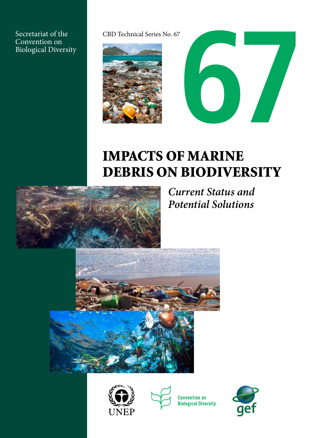Secretariat of the Convention on Biological Diversity





# Impacts of Marine Debris on Biodiversity



*Current Status and Potential Solutions* 







**Convention on Biological Diversity** 

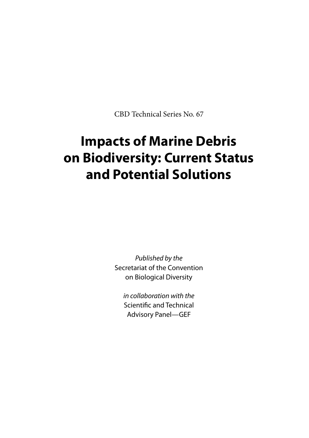CBD Technical Series No. 67

## **Impacts of Marine Debris on Biodiversity: Current Status and Potential Solutions**

*Published by the* Secretariat of the Convention on Biological Diversity

*in collaboration with the* Scientific and Technical Advisory Panel—GEF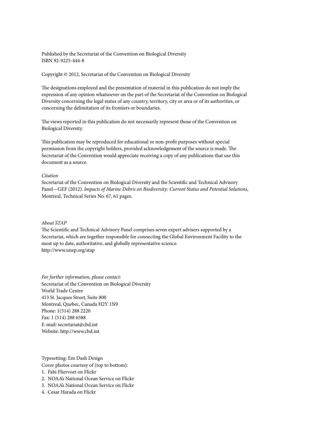Published by the Secretariat of the Convention on Biological Diversity ISBN 92-9225-444-8

Copyright © 2012, Secretariat of the Convention on Biological Diversity

The designations employed and the presentation of material in this publication do not imply the expression of any opinion whatsoever on the part of the Secretariat of the Convention on Biological Diversity concerning the legal status of any country, territory, city or area or of its authorities, or concerning the delimitation of its frontiers or boundaries.

The views reported in this publication do not necessarily represent those of the Convention on Biological Diversity.

This publication may be reproduced for educational or non-profit purposes without special permission from the copyright holders, provided acknowledgement of the source is made. The Secretariat of the Convention would appreciate receiving a copy of any publications that use this document as a source.

#### *Citation*

Secretariat of the Convention on Biological Diversity and the Scientific and Technical Advisory Panel—GEF (2012). *Impacts of Marine Debris on Biodiversity: Current Status and Potential Solutions*, Montreal, Technical Series No. 67, 61 pages.

#### *About STAP*

The Scientific and Technical Advisory Panel comprises seven expert advisers supported by a Secretariat, which are together responsible for connecting the Global Environment Facility to the most up to date, authoritative, and globally representative science. http://www.unep.org/stap

*For further information, please contact:* Secretariat of the Convention on Biological Diversity World Trade Centre 413 St. Jacques Street, Suite 800 Montreal, Quebec, Canada H2Y 1N9 Phone: 1(514) 288 2220 Fax: 1 (514) 288 6588 E-mail: secretariat@cbd.int Website: http://www.cbd.int

Typesetting: Em Dash Design Cover photos courtesy of (top to bottom):

- 1. Fabi Fliervoet on Flickr
- 2. NOAA's National Ocean Service on Flickr
- 3. NOAA's National Ocean Service on Flickr
- 4. Cesar Harada on Flickr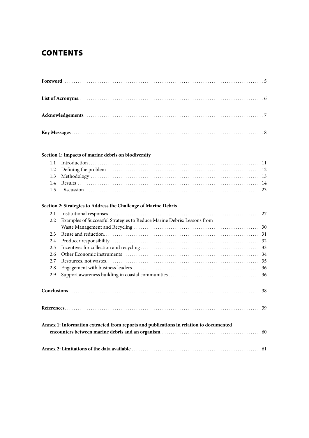### **CONTENTS**

|               | Section 1: Impacts of marine debris on biodiversity                                    |  |
|---------------|----------------------------------------------------------------------------------------|--|
| 1.1           |                                                                                        |  |
| 1.2           |                                                                                        |  |
| 1.3           |                                                                                        |  |
| $1.4^{\circ}$ |                                                                                        |  |
| 1.5           |                                                                                        |  |
|               | Section 2: Strategies to Address the Challenge of Marine Debris                        |  |
| 2.1           |                                                                                        |  |
| 2.2           | Examples of Successful Strategies to Reduce Marine Debris: Lessons from                |  |
|               |                                                                                        |  |
| 2.3           |                                                                                        |  |
| 2.4           |                                                                                        |  |
| 2.5           |                                                                                        |  |
| 2.6           |                                                                                        |  |
| 2.7           |                                                                                        |  |
| 2.8           |                                                                                        |  |
| 2.9           |                                                                                        |  |
|               |                                                                                        |  |
|               |                                                                                        |  |
|               | Annex 1: Information extracted from reports and publications in relation to documented |  |
|               |                                                                                        |  |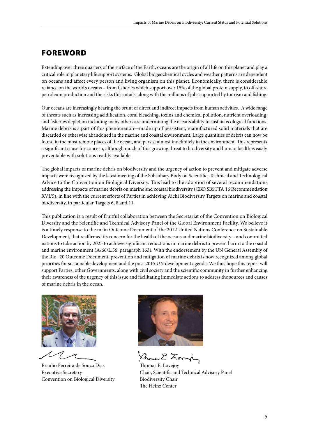### **FOREWORD**

Extending over three quarters of the surface of the Earth, oceans are the origin of all life on this planet and play a critical role in planetary life support systems. Global biogeochemical cycles and weather patterns are dependent on oceans and affect every person and living organism on this planet. Economically, there is considerable reliance on the world's oceans – from fisheries which support over 15% of the global protein supply, to off-shore petroleum production and the risks this entails, along with the millions of jobs supported by tourism and fishing.

Our oceans are increasingly bearing the brunt of direct and indirect impacts from human activities. A wide range of threats such as increasing acidification, coral bleaching, toxins and chemical pollution, nutrient overloading, and fisheries depletion including many others are undermining the ocean's ability to sustain ecological functions. Marine debris is a part of this phenomenon—made up of persistent, manufactured solid materials that are discarded or otherwise abandoned in the marine and coastal environment. Large quantities of debris can now be found in the most remote places of the ocean, and persist almost indefinitely in the environment. This represents a significant cause for concern, although much of this growing threat to biodiversity and human health is easily preventable with solutions readily available.

The global impacts of marine debris on biodiversity and the urgency of action to prevent and mitigate adverse impacts were recognized by the latest meeting of the Subsidiary Body on Scientific, Technical and Technological Advice to the Convention on Biological Diversity. This lead to the adoption of several recommendations addressing the impacts of marine debris on marine and coastal biodiversity (CBD SBSTTA 16 Recommendation XVI/5), in line with the current efforts of Parties in achieving Aichi Biodiversity Targets on marine and coastal biodiversity, in particular Targets 6, 8 and 11.

This publication is a result of fruitful collaboration between the Secretariat of the Convention on Biological Diversity and the Scientific and Technical Advisory Panel of the Global Environment Facility. We believe it is a timely response to the main Outcome Document of the 2012 United Nations Conference on Sustainable Development, that reaffirmed its concern for the health of the oceans and marine biodiversity – and committed nations to take action by 2025 to achieve significant reductions in marine debris to prevent harm to the coastal and marine environment (A/66/L.56, paragraph 163). With the endorsement by the UN General Assembly of the Rio+20 Outcome Document, prevention and mitigation of marine debris is now recognized among global priorities for sustainable development and the post-2015 UN development agenda. We thus hope this report will support Parties, other Governments, along with civil society and the scientific community in further enhancing their awareness of the urgency of this issue and facilitating immediate actions to address the sources and causes of marine debris in the ocean.



Braulio Ferreira de Souza Dias Executive Secretary Convention on Biological Diversity



Ann 2 Xon

Thomas E. Lovejoy Chair, Scientific and Technical Advisory Panel Biodiversity Chair The Heinz Center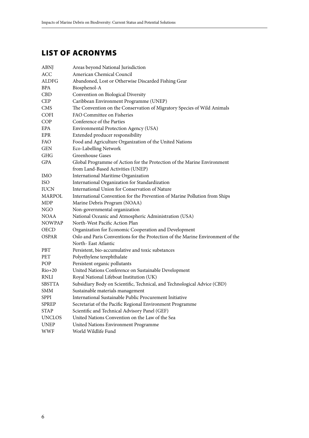### List of Acronyms

| Areas beyond National Jurisdiction                                             |
|--------------------------------------------------------------------------------|
| American Chemical Council                                                      |
| Abandoned, Lost or Otherwise Discarded Fishing Gear                            |
| Biosphenol-A                                                                   |
| Convention on Biological Diversity                                             |
| Caribbean Environment Programme (UNEP)                                         |
| The Convention on the Conservation of Migratory Species of Wild Animals        |
| FAO Committee on Fisheries                                                     |
| Conference of the Parties                                                      |
| Environmental Protection Agency (USA)                                          |
| Extended producer responsibility                                               |
| Food and Agriculture Organization of the United Nations                        |
| Eco-Labelling Network                                                          |
| <b>Greenhouse Gases</b>                                                        |
| Global Programme of Action for the Protection of the Marine Environment        |
| from Land-Based Activities (UNEP)                                              |
| International Maritime Organization                                            |
| International Organization for Standardization                                 |
| International Union for Conservation of Nature                                 |
| International Convention for the Prevention of Marine Pollution from Ships     |
| Marine Debris Program (NOAA)                                                   |
| Non-governmental organization                                                  |
| National Oceanic and Atmospheric Administration (USA)                          |
| North-West Pacific Action Plan                                                 |
| Organization for Economic Cooperation and Development                          |
| Oslo and Paris Conventions for the Protection of the Marine Environment of the |
| North-East Atlantic                                                            |
| Persistent, bio-accumulative and toxic substances                              |
| Polyethylene terephthalate                                                     |
| Persistent organic pollutants                                                  |
| United Nations Conference on Sustainable Development                           |
| Royal National Lifeboat Institution (UK)                                       |
| Subsidiary Body on Scientific, Technical, and Technological Advice (CBD)       |
| Sustainable materials management                                               |
| International Sustainable Public Procurement Initiative                        |
| Secretariat of the Pacific Regional Environment Programme                      |
| Scientific and Technical Advisory Panel (GEF)                                  |
| United Nations Convention on the Law of the Sea                                |
| United Nations Environment Programme                                           |
| World Wildlife Fund                                                            |
|                                                                                |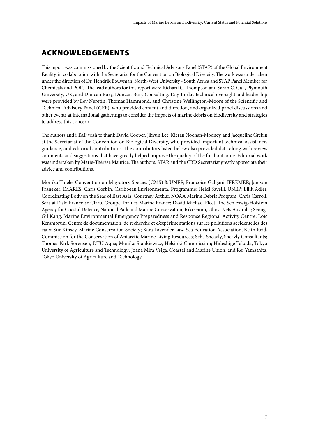### Acknowledgements

This report was commissioned by the Scientific and Technical Advisory Panel (STAP) of the Global Environment Facility, in collaboration with the Secretariat for the Convention on Biological Diversity. The work was undertaken under the direction of Dr. Hendrik Bouwman, North-West University - South Africa and STAP Panel Member for Chemicals and POPs. The lead authors for this report were Richard C. Thompson and Sarah C. Gall, Plymouth University, UK, and Duncan Bury, Duncan Bury Consulting. Day-to-day technical oversight and leadership were provided by Lev Neretin, Thomas Hammond, and Christine Wellington-Moore of the Scientific and Technical Advisory Panel (GEF), who provided content and direction, and organized panel discussions and other events at international gatherings to consider the impacts of marine debris on biodiversity and strategies to address this concern.

The authors and STAP wish to thank David Cooper, Jihyun Lee, Kieran Noonan-Mooney, and Jacqueline Grekin at the Secretariat of the Convention on Biological Diversity, who provided important technical assistance, guidance, and editorial contributions. The contributors listed below also provided data along with review comments and suggestions that have greatly helped improve the quality of the final outcome. Editorial work was undertaken by Marie-Thérèse Maurice. The authors, STAP, and the CBD Secretariat greatly appreciate their advice and contributions.

Monika Thiele, Convention on Migratory Species (CMS) & UNEP; Francoise Galgani, IFREMER; Jan van Franeker, IMARES; Chris Corbin, Caribbean Environmental Programme; Heidi Savelli, UNEP; Ellik Adler, Coordinating Body on the Seas of East Asia; Courtney Arthur, NOAA Marine Debris Program; Chris Carroll, Seas at Risk; Françoise Claro, Groupe Tortues Marine France; David Michael Fleet, The Schleswig-Holstein Agency for Coastal Defence, National Park and Marine Conservation; Riki Gunn, Ghost Nets Australia; Seong-Gil Kang, Marine Environmental Emergency Preparedness and Response Regional Activity Centre; Loïc Kerambrun, Centre de documentation, de recherché et d'expérimentations sur les pollutions accidentelles des eaux; Sue Kinsey, Marine Conservation Society; Kara Lavender Law, Sea Education Association; Keith Reid, Commission for the Conservation of Antarctic Marine Living Resources; Seba Sheavly, Sheavly Consultants; Thomas Kirk Sørensen, DTU Aqua; Monika Stankiewicz, Helsinki Commission; Hideshige Takada, Tokyo University of Agriculture and Technology; Joana Mira Veiga, Coastal and Marine Union, and Rei Yamashita, Tokyo University of Agriculture and Technology.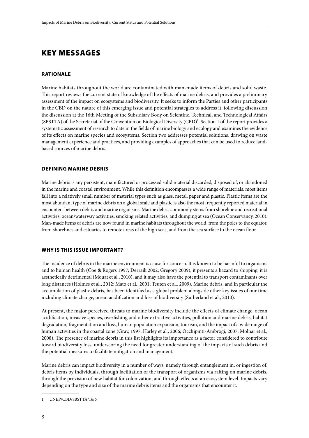### KEY MESSAGES

#### **RATIONALE**

Marine habitats throughout the world are contaminated with man-made items of debris and solid waste. This report reviews the current state of knowledge of the effects of marine debris, and provides a preliminary assessment of the impact on ecosystems and biodiversity. It seeks to inform the Parties and other participants in the CBD on the nature of this emerging issue and potential strategies to address it, following discussion the discussion at the 16th Meeting of the Subsidiary Body on Scientific, Technical, and Technological Affairs (SBSTTA) of the Secretariat of the Convention on Biological Diversity (CBD)<sup>1</sup>. Section 1 of the report provides a systematic assessment of research to date in the fields of marine biology and ecology and examines the evidence of its effects on marine species and ecosystems. Section two addresses potential solutions, drawing on waste management experience and practices, and providing examples of approaches that can be used to reduce landbased sources of marine debris.

#### **DEFINING MARINE DEBRIS**

Marine debris is any persistent, manufactured or processed solid material discarded, disposed of, or abandoned in the marine and coastal environment. While this definition encompasses a wide range of materials, most items fall into a relatively small number of material types such as glass, metal, paper and plastic. Plastic items are the most abundant type of marine debris on a global scale and plastic is also the most frequently reported material in encounters between debris and marine organisms. Marine debris commonly stems from shoreline and recreational activities, ocean/waterway activities, smoking related activities, and dumping at sea (Ocean Conservancy, 2010). Man-made items of debris are now found in marine habitats throughout the world, from the poles to the equator, from shorelines and estuaries to remote areas of the high seas, and from the sea surface to the ocean floor.

#### **WHY IS THIS ISSUE IMPORTANT?**

The incidence of debris in the marine environment is cause for concern. It is known to be harmful to organisms and to human health (Coe & Rogers 1997; Derraik 2002; Gregory 2009), it presents a hazard to shipping, it is aesthetically detrimental (Mouat et al., 2010), and it may also have the potential to transport contaminants over long distances (Holmes et al., 2012; Mato et al., 2001; Teuten et al., 2009). Marine debris, and in particular the accumulation of plastic debris, has been identified as a global problem alongside other key issues of our time including climate change, ocean acidification and loss of biodiversity (Sutherland et al., 2010).

At present, the major perceived threats to marine biodiversity include the effects of climate change, ocean acidification, invasive species, overfishing and other extractive activities, pollution and marine debris, habitat degradation, fragmentation and loss, human population expansion, tourism, and the impact of a wide range of human activities in the coastal zone (Gray, 1997; Harley et al., 2006; Occhipinti-Ambrogi, 2007; Molnar et al., 2008). The presence of marine debris in this list highlights its importance as a factor considered to contribute toward biodiversity loss, underscoring the need for greater understanding of the impacts of such debris and the potential measures to facilitate mitigation and management.

Marine debris can impact biodiversity in a number of ways, namely through entanglement in, or ingestion of, debris items by individuals, through facilitation of the transport of organisms via rafting on marine debris, through the provision of new habitat for colonization, and through effects at an ecosystem level. Impacts vary depending on the type and size of the marine debris items and the organisms that encounter it.

<sup>1</sup> UNEP/CBD/SBSTTA/16/6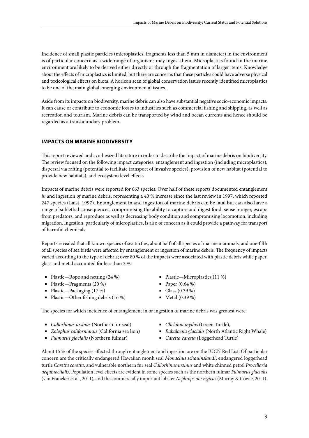Incidence of small plastic particles (microplastics, fragments less than 5 mm in diameter) in the environment is of particular concern as a wide range of organisms may ingest them. Microplastics found in the marine environment are likely to be derived either directly or through the fragmentation of larger items. Knowledge about the effects of microplastics is limited, but there are concerns that these particles could have adverse physical and toxicological effects on biota. A horizon scan of global conservation issues recently identified microplastics to be one of the main global emerging environmental issues.

Aside from its impacts on biodiversity, marine debris can also have substantial negative socio-economic impacts. It can cause or contribute to economic losses to industries such as commercial fishing and shipping, as well as recreation and tourism. Marine debris can be transported by wind and ocean currents and hence should be regarded as a transboundary problem.

#### **IMPACTS ON MARINE BIODIVERSITY**

This report reviewed and synthesized literature in order to describe the impact of marine debris on biodiversity. The review focused on the following impact categories: entanglement and ingestion (including microplastics), dispersal via rafting (potential to facilitate transport of invasive species), provision of new habitat (potential to provide new habitats), and ecosystem level effects.

Impacts of marine debris were reported for 663 species. Over half of these reports documented entanglement *in* and ingestion *of* marine debris, representing a 40 % increase since the last review in 1997, which reported 247 species (Laist, 1997). Entanglement in and ingestion of marine debris can be fatal but can also have a range of sublethal consequences, compromising the ability to capture and digest food, sense hunger, escape from predators, and reproduce as well as decreasing body condition and compromising locomotion, including migration. Ingestion, particularly of microplastics, is also of concern as it could provide a pathway for transport of harmful chemicals.

Reports revealed that all known species of sea turtles, about half of all species of marine mammals, and one-fifth of all species of sea birds were affected by entanglement or ingestion of marine debris. The frequency of impacts varied according to the type of debris; over 80 % of the impacts were associated with plastic debris while paper, glass and metal accounted for less than 2 %:

- Plastic—Rope and netting  $(24\%)$
- Plastic—Fragments (20 %)
- Plastic—Packaging (17 %)
- Plastic—Other fishing debris (16 %)

The species for which incidence of entanglement in or ingestion of marine debris was greatest were:

- *Callorhinus ursinus* (Northern fur seal)
- *Zalophus californianus* (California sea lion)
- *Fulmarus glacialis* (Northern fulmar)
- Plastic—Microplastics (11 %)
- Paper  $(0.64\%)$
- Glass  $(0.39\%)$
- Metal  $(0.39\%)$
- *Chelonia mydas* (Green Turtle),
- *Eubalaena glacialis* (North Atlantic Right Whale)
- *Caretta caretta* (Loggerhead Turtle)

About 15 % of the species affected through entanglement and ingestion are on the IUCN Red List. Of particular concern are the critically endangered Hawaiian monk seal *Monachus schauinslandi*, endangered loggerhead turtle *Caretta caretta*, and vulnerable northern fur seal *Callorhinus ursinus* and white chinned petrel *Procellaria aequinoctialis*. Population level effects are evident in some species such as the northern fulmar *Fulmarus glacialis* (van Franeker et al., 2011), and the commercially important lobster *Nephrops norvegicus* (Murray & Cowie, 2011).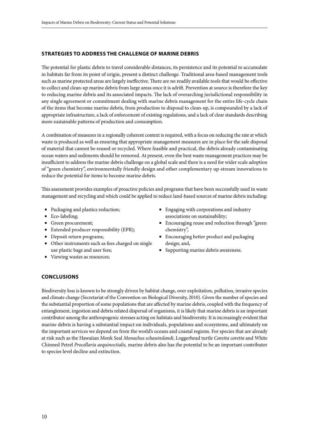#### **STRATEGIES TO ADDRESS THE CHALLENGE OF MARINE DEBRIS**

The potential for plastic debris to travel considerable distances, its persistence and its potential to accumulate in habitats far from its point of origin, present a distinct challenge. Traditional area-based management tools such as marine protected areas are largely ineffective. There are no readily available tools that would be effective to collect and clean-up marine debris from large areas once it is adrift. Prevention at source is therefore the key to reducing marine debris and its associated impacts. The lack of overarching jurisdictional responsibility in any single agreement or commitment dealing with marine debris management for the entire life-cycle chain of the items that become marine debris, from production to disposal to clean-up, is compounded by a lack of appropriate infrastructure, a lack of enforcement of existing regulations, and a lack of clear standards describing more sustainable patterns of production and consumption.

A combination of measures in a regionally coherent context is required, with a focus on reducing the rate at which waste is produced as well as ensuring that appropriate management measures are in place for the safe disposal of material that cannot be reused or recycled. Where feasible and practical, the debris already contaminating ocean waters and sediments should be removed. At present, even the best waste management practices may be insufficient to address the marine debris challenge on a global scale and there is a need for wider scale adoption of "green chemistry", environmentally friendly design and other complementary up-stream innovations to reduce the potential for items to become marine debris.

This assessment provides examples of proactive policies and programs that have been successfully used in waste management and recycling and which could be applied to reduce land-based sources of marine debris including:

- Packaging and plastics reduction;
- Eco-labeling;
- Green procurement;
- Extended producer responsibility (EPR);
- Deposit return programs;
- Other instruments such as fees charged on single use plastic bags and user fees;
- Viewing wastes as resources;
- Engaging with corporations and industry associations on sustainability;
- Encouraging reuse and reduction through "green chemistry",
- Encouraging better product and packaging design; and,
- Supporting marine debris awareness.

#### **CONCLUSIONS**

Biodiversity loss is known to be strongly driven by habitat change, over exploitation, pollution, invasive species and climate change (Secretariat of the Convention on Biological Diversity, 2010). Given the number of species and the substantial proportion of some populations that are affected by marine debris, coupled with the frequency of entanglement, ingestion and debris related dispersal of organisms, it is likely that marine debris is an important contributor among the anthropogenic stresses acting on habitats and biodiversity. It is increasingly evident that marine debris is having a substantial impact on individuals, populations and ecosystems, and ultimately on the important services we depend on from the world's oceans and coastal regions. For species that are already at risk such as the Hawaiian Monk Seal *Monachus schauinslandi*, Loggerhead turtle *Caretta caretta* and White Chinned Petrel *Procellaria aequinoctialis,* marine debris also has the potential to be an important contributor to species level decline and extinction.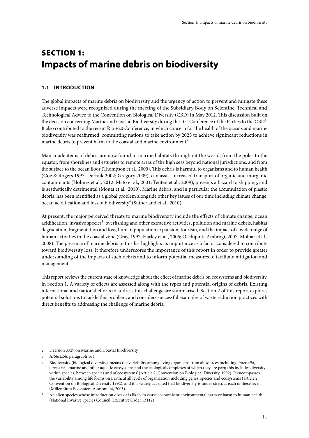### Section 1: **Impacts of marine debris on biodiversity**

#### **1.1 Introduction**

The global impacts of marine debris on biodiversity and the urgency of action to prevent and mitigate these adverse impacts were recognized during the meeting of the Subsidiary Body on Scientific, Technical and Technological Advice to the Convention on Biological Diversity (CBD) in May 2012. This discussion built on the decision concerning Marine and Coastal Biodiversity during the  $10^{th}$  Conference of the Parties to the CBD<sup>2</sup>. It also contributed to the recent Rio +20 Conference, in which concern for the health of the oceans and marine biodiversity was reaffirmed, committing nations to take action by 2025 to achieve significant reductions in marine debris to prevent harm to the coastal and marine environment<sup>3</sup>.

Man-made items of debris are now found in marine habitats throughout the world, from the poles to the equator, from shorelines and estuaries to remote areas of the high seas beyond national jurisdictions, and from the surface to the ocean floor (Thompson et al., 2009). This debris is harmful to organisms and to human health (Coe & Rogers 1997; Derraik 2002; Gregory 2009), can assist increased transport of organic and inorganic contaminants (Holmes et al., 2012; Mato et al., 2001; Teuten et al., 2009), presents a hazard to shipping, and is aesthetically detrimental (Mouat et al., 2010). Marine debris, and in particular the accumulation of plastic debris, has been identified as a global problem alongside other key issues of our time including climate change, ocean acidification and loss of biodiversity<sup>4</sup> (Sutherland et al., 2010).

At present, the major perceived threats to marine biodiversity include the effects of climate change, ocean acidification, invasive species<sup>5</sup>, overfishing and other extractive activities, pollution and marine debris, habitat degradation, fragmentation and loss, human population expansion, tourism, and the impact of a wide range of human activities in the coastal zone (Gray, 1997; Harley et al., 2006; Occhipinti-Ambrogi, 2007; Molnar et al., 2008). The presence of marine debris in this list highlights its importance as a factor considered to contribute toward biodiversity loss. It therefore underscores the importance of this report in order to provide greater understanding of the impacts of such debris and to inform potential measures to facilitate mitigation and management.

This report reviews the current state of knowledge about the effect of marine debris on ecosystems and biodiversity, in Section 1. A variety of effects are assessed along with the types and potential origins of debris. Existing international and national efforts to address this challenge are summarised. Section 2 of this report explores potential solutions to tackle this problem, and considers successful examples of waste reduction practices with direct benefits to addressing the challenge of marine debris.

<sup>2</sup> Decision X/29 on Marine and Coastal Biodiversity.

<sup>3</sup> A/66/L.56, paragraph 163.

<sup>4</sup> Biodiversity (biological diversity) 'means the variability among living organisms from all sources including, *inter alia*, terrestrial, marine and other aquatic ecosystems and the ecological complexes of which they are part; this includes diversity within species, between species and of ecosystems' (Article 2, Convention on Biological Diversity, 1992). It encompasses the variability among life forms on Earth, at all levels of organization including genes, species and ecosystems (article 2, Convention on Biological Diversity 1992), and it is widely accepted that biodiversity is under stress at each of these levels (Millennium Ecosystem Assessment, 2005).

<sup>5</sup> An alien species whose introduction does or is likely to cause economic or environmental harm or harm to human health, (National Invasive Species Council, Executive Order 13112)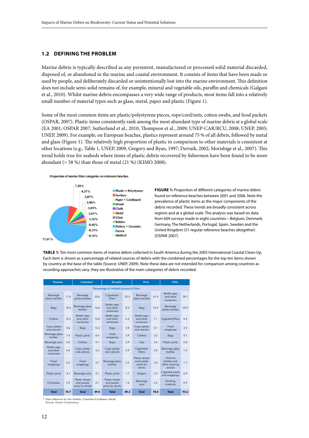#### **1.2 Defining the problem**

Marine debris is typically described as any persistent, manufactured or processed solid material discarded, disposed of, or abandoned in the marine and coastal environment. It consists of items that have been made or used by people, and deliberately discarded or unintentionally lost into the marine environment. This definition does not include semi-solid remains of, for example, mineral and vegetable oils, paraffin and chemicals (Galgani et al., 2010). Whilst marine debris encompasses a very wide range of products, most items fall into a relatively small number of material types such as glass, metal, paper and plastic (Figure 1).

Some of the most common items are plastic/polystyrene pieces, rope/cord/nets, cotton swabs, and food packets (OSPAR, 2007). Plastic items consistently rank among the most abundant type of marine debris at a global scale (EA 2001; OSPAR 2007; Sutherland et al., 2010; Thompson et al., 2009; UNEP-CAR/RCU, 2008; UNEP, 2005; UNEP, 2009). For example, on European beaches, plastics represent around 75 % of all debris, followed by metal and glass (Figure 1). The relatively high proportion of plastic in comparison to other materials is consistent at other locations (e.g., Table 1, UNEP, 2009, Gregory and Ryan, 1997; Derraik, 2002; Morishige et al., 2007). This trend holds true for seabeds where items of plastic debris recovered by fishermen have been found to be more abundant (> 58 %) than those of metal (21 %) (KIMO 2008).

#### Proportion of marine litter categories on reference beaches



**FIGURE 1:** Proportion of different categories of marine debris found on reference beaches between 2001 and 2006. Note the prevalence of plastic items as the major components of the debris recorded. These trends are broadly consistent across regions and at a global scale. The analysis was based on data from 609 surveys made in eight countries—Belgium, Denmark, Germany, The Netherlands, Portugal, Spain, Sweden and the United Kingdom (51 regular reference beaches altogether) (OSPAR 2007).

**Table 1:** Ten most common items of marine debris collected in South America during the 2005 International Coastal Clean-Up. Each item is shown as a percentage of related sources of debris with the combined percentages for the top ten items shown by country at the base of the table (Source: UNEP, 2009). Note these data are not intended for comparison among countries as recording approaches vary; they are illustrative of the main categories of debris recorded.

| Panama                                  |      | Columbia*                                          |      | Ecuador                                            |      | Perú                                                  |      | Chile                                                 |      |
|-----------------------------------------|------|----------------------------------------------------|------|----------------------------------------------------|------|-------------------------------------------------------|------|-------------------------------------------------------|------|
| Percentage of related sources of litter |      |                                                    |      |                                                    |      |                                                       |      |                                                       |      |
| Beverage<br>plastic bottles             | 11.8 | Beverage<br>plastic bottles                        | 20.6 | Cigarettes/<br>filters                             | 55.5 | Beverage<br>plastic bottles                           | 41.4 | Bottle caps<br>and other<br>containers                | 38.7 |
| Bags                                    | 10.6 | Beverage glass<br><b>bottles</b>                   | 16.6 | <b>Bottle caps</b><br>and other<br>containers      | 8.4  | Bags                                                  | 10.3 | Beverage<br>plastic bottles                           | 30.9 |
| Clothes                                 | 10.2 | Bottle caps<br>and other<br>containers             | 12.8 | <b>Bottle caps</b><br>and other<br>containers      | 6.4  | <b>Bottle</b> caps<br>and other<br>containers         | 7.1  | Cigarette/filters                                     | 8.4  |
| Cups, plates<br>and utensils            | 8.6  | <b>Bags</b>                                        | 12.2 | <b>Bags</b>                                        | 4.8  | Cups, plates<br>and utensils                          | 4.1  | Food<br>wrappings                                     | 4.4  |
| Beverage glass<br><b>bottles</b>        | 7.4  | Plastic joints                                     | 8.4  | Food<br>wrappings                                  | 3.9  | Clothes                                               | 3.0  | Bags                                                  | 4.1  |
| Beverage cans                           | 6.5  | Clothes                                            | 4.7  | Rope                                               | 2.9  | Toys                                                  | 2.6  | Plastic joints                                        | 2.8  |
| Bottle caps<br>and other<br>containers  | 6.4  | Cups, plates<br>and utensils                       | 4.2  | Cups, plates<br>and utensils                       | 2.9  | Cigarettes/<br>filters                                | 2.5  | Beverage glass<br>bottles                             | 1.4  |
| Food<br>wrappings                       | 6.2  | Food<br>wrappings                                  | 3.7  | Beverage glass<br>bottles                          | 2.3  | Plastic straws<br>and swizzle<br>sticks for<br>drinks | 2.5  | Chlorine<br>bottles and<br>other cleaning<br>articles | 1.1  |
| Plastic joints                          | 4.1  | Beverage cans                                      | 3.1  | Plastic joints                                     | 1.7  | Diapers                                               | 2.3  | Cigarette packs<br>and wrappings                      | 0.9  |
| Oil bottles                             | 2.9  | Plastic straws<br>and swizzle<br>sticks for drinks | 2.7  | Plastic straws<br>and swizzle<br>sticks for drinks | 1.6  | Beverage<br>cans                                      | 2.2  | <b>Building</b><br>materials                          | 0.9  |
| <b>Total</b>                            | 74.7 | <b>Total</b>                                       | 89.0 | <b>Total</b>                                       | 89.2 | <b>Total</b>                                          | 78.0 | <b>Total</b>                                          | 93.6 |

*\* Data reference for San Andrés, Colombia (Caribbean island) Source: Ocean Conservancy*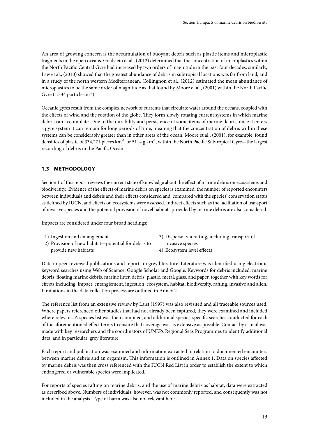An area of growing concern is the accumulation of buoyant debris such as plastic items and microplastic fragments in the open oceans. Goldstein et al., (2012) determined that the concentration of microplastics within the North Pacific Central Gyre had increased by two orders of magnitude in the past four decades, similarly, Law et al., (2010) showed that the greatest abundance of debris in subtropical locations was far from land, and in a study of the north western Mediterranean, Collingnon et al., (2012) estimated the mean abundance of microplastics to be the same order of magnitude as that found by Moore et al., (2001) within the North Pacific Gyre  $(1.334$  particles m<sup>-2</sup>).

Oceanic gyres result from the complex network of currents that circulate water around the oceans, coupled with the effects of wind and the rotation of the globe. They form slowly rotating current systems in which marine debris can accumulate. Due to the durability and persistence of some items of marine debris, once it enters a gyre system it can remain for long periods of time, meaning that the concentration of debris within these systems can be considerably greater than in other areas of the ocean. Moore et al., (2001), for example, found densities of plastic of 334,271 pieces km<sup>-2</sup>, or 5114 g km<sup>-2</sup>, within the North Pacific Subtropical Gyre—the largest recording of debris in the Pacific Ocean.

#### **1.3 Methodology**

Section 1 of this report reviews the current state of knowledge about the effect of marine debris on ecosystems and biodiversity. Evidence of the effects of marine debris on species is examined, the number of reported encounters between individuals and debris and their effects considered and compared with the species' conservation status as defined by IUCN, and effects on ecosystems were assessed. Indirect effects such as the facilitation of transport of invasive species and the potential provision of novel habitats provided by marine debris are also considered.

Impacts are considered under four broad headings:

- 1) Ingestion and entanglement
- 2) Provision of new habitat—potential for debris to provide new habitats
- 3) Dispersal via rafting, including transport of invasive species
- 4) Ecosystem level effects

Data in peer reviewed publications and reports in grey literature. Literature was identified using electronic keyword searches using Web of Science, Google Scholar and Google. Keywords for debris included: marine debris, floating marine debris, marine litter, debris, plastic, metal, glass, and paper, together with key words for effects including: impact, entanglement, ingestion, ecosystem, habitat, biodiversity, rafting, invasive and alien. Limitations in the data collection process are outlined in Annex 2.

The reference list from an extensive review by Laist (1997) was also revisited and all traceable sources used. Where papers referenced other studies that had not already been captured, they were examined and included where relevant. A species list was then compiled, and additional species-specific searches conducted for each of the aforementioned effect terms to ensure that coverage was as extensive as possible. Contact by e-mail was made with key researchers and the coordinators of UNEPs Regional Seas Programmes to identify additional data, and in particular, grey literature.

Each report and publication was examined and information extracted in relation to documented encounters between marine debris and an organism. This information is outlined in Annex 1. Data on species affected by marine debris was then cross referenced with the IUCN Red List in order to establish the extent to which endangered or vulnerable species were implicated.

For reports of species rafting on marine debris, and the use of marine debris as habitat, data were extracted as described above. Numbers of individuals, however, was not commonly reported, and consequently was not included in the analysis. Type of harm was also not relevant here.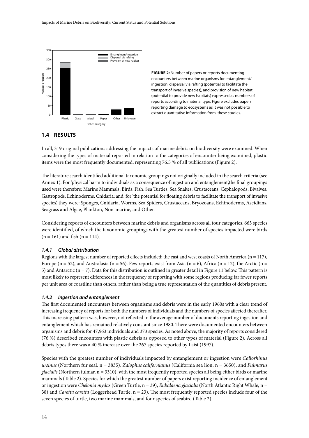

**Figure 2:** Number of papers or reports documenting encounters between marine organisms for entanglement/ ingestion, dispersal via rafting (potential to facilitate the transport of invasive species), and provision of new habitat (potential to provide new habitats) expressed as numbers of reports according to material type. Figure excludes papers reporting damage to ecosystems as it was not possible to extract quantitative information from these studies.

#### **1.4 Results**

In all, 319 original publications addressing the impacts of marine debris on biodiversity were examined. When considering the types of material reported in relation to the categories of encounter being examined, plastic items were the most frequently documented, representing 76.5 % of all publications (Figure 2).

The literature search identified additional taxonomic groupings not originally included in the search criteria (see Annex 1). For 'physical harm to individuals as a consequence of ingestion and entanglement', the final groupings used were therefore: Marine Mammals, Birds, Fish, Sea Turtles, Sea Snakes, Crustaceans, Cephalopods, Bivalves, Gastropods, Echinoderms, Cnidaria; and, for 'the potential for floating debris to facilitate the transport of invasive species', they were: Sponges, Cnidaria, Worms, Sea Spiders, Crustaceans, Bryozoans, Echinoderms, Ascidians, Seagrass and Algae, Plankton, Non-marine, and Other.

Considering reports of encounters between marine debris and organisms across all four categories, 663 species were identified, of which the taxonomic groupings with the greatest number of species impacted were birds  $(n = 161)$  and fish  $(n = 114)$ .

#### *1.4.1 Global distribution*

Regions with the largest number of reported effects included: the east and west coasts of North America ( $n = 117$ ), Europe (n = 52), and Australasia (n = 56). Few reports exist from Asia (n = 6), Africa (n = 12), the Arctic (n = 5) and Antarctic  $(n = 7)$ . Data for this distribution is outlined in greater detail in Figure 11 below. This pattern is most likely to represent differences in the frequency of reporting with some regions producing far fewer reports per unit area of coastline than others, rather than being a true representation of the quantities of debris present.

#### *1.4.2 Ingestion and entanglement*

The first documented encounters between organisms and debris were in the early 1960s with a clear trend of increasing frequency of reports for both the numbers of individuals and the numbers of species affected thereafter. This increasing pattern was, however, not reflected in the average number of documents reporting ingestion and entanglement which has remained relatively constant since 1980. There were documented encounters between organisms and debris for 47,963 individuals and 373 species. As noted above, the majority of reports considered (76 %) described encounters with plastic debris as opposed to other types of material (Figure 2). Across all debris types there was a 40 % increase over the 267 species reported by Laist (1997).

Species with the greatest number of individuals impacted by entanglement or ingestion were *Callorhinus ursinus* (Northern fur seal, n = 3835), *Zalophus californianus* (California sea lion, n = 3650), and *Fulmarus glacialis* (Northern fulmar, n = 3310), with the most frequently reported species all being either birds or marine mammals (Table 2). Species for which the greatest number of papers exist reporting incidence of entanglement or ingestion were *Chelonia mydas* (Green Turtle, n = 39), *Eubalaena glacialis* (North Atlantic Right Whale, n = 38) and *Caretta caretta* (Loggerhead Turtle, n = 23). The most frequently reported species include four of the seven species of turtle, two marine mammals, and four species of seabird (Table 2).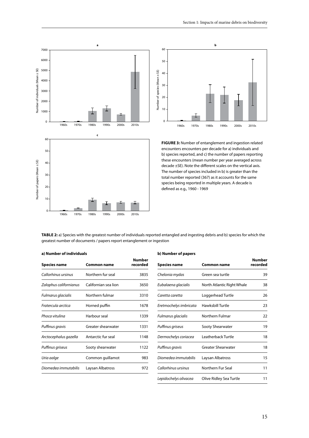



**FIGURE 3:** Number of entanglement and ingestion related encounters encounters per decade for a) individuals and b) species reported, and c) the number of papers reporting these encounters (mean number per year averaged across decade ±SE). Note the different scales on the vertical axis. The number of species included in b) is greater than the total number reported (367) as it accounts for the same species being reported in multiple years. A decade is defined as e.g., 1960 - 1969

**Table 2:** a) Species with the greatest number of individuals reported entangled and ingesting debris and b) species for which the greatest number of documents / papers report entanglement or ingestion

#### **a) Number of individuals**

| Species name           | <b>Common name</b>   | <b>Number</b><br>recorded |
|------------------------|----------------------|---------------------------|
| Callorhinus ursinus    | Northern fur seal    | 3835                      |
| Zalophus californianus | Californian sea lion | 3650                      |
| Fulmarus glacialis     | Northern fulmar      | 3310                      |
| Fratercula arctica     | Horned puffin        | 1678                      |
| Phoca vitulina         | Harbour seal         | 1339                      |
| Puffinus gravis        | Greater shearwater   | 1331                      |
| Arctocephalus gazella  | Antarctic fur seal   | 1148                      |
| Puffinus griseus       | Sooty shearwater     | 1122                      |
| Uria aalge             | Common guillamot     | 983                       |
| Diomedea immutabilis   | Laysan Albatross     | 972                       |
|                        |                      |                           |

| b) Number of papers    |                            |                    |  |  |  |
|------------------------|----------------------------|--------------------|--|--|--|
| Species name           | <b>Common name</b>         | Number<br>recorded |  |  |  |
| Chelonia mydas         | Green sea turtle           | 39                 |  |  |  |
| Eubalaena glacialis    | North Atlantic Right Whale | 38                 |  |  |  |
| Caretta caretta        | Loggerhead Turtle          | 26                 |  |  |  |
| Eretmochelys imbricata | Hawksbill Turtle           | 23                 |  |  |  |
| Fulmarus glacialis     | Northern Fulmar            | 22                 |  |  |  |
| Puffinus griseus       | Sooty Shearwater           | 19                 |  |  |  |
| Dermochelys coriacea   | Leatherback Turtle         | 18                 |  |  |  |
| Puffinus gravis        | <b>Greater Shearwater</b>  | 18                 |  |  |  |
| Diomedea immutabilis   | Laysan Albatross           | 15                 |  |  |  |
| Callorhinus ursinus    | Northern Fur Seal          | 11                 |  |  |  |
| Lepidochelys olivacea  | Olive Ridley Sea Turtle    | 11                 |  |  |  |
|                        |                            |                    |  |  |  |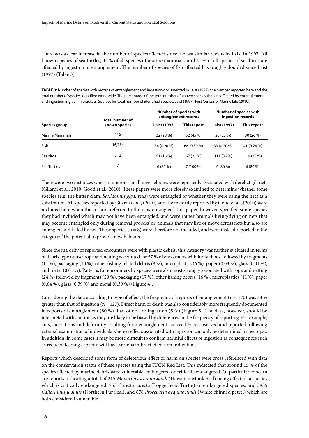There was a clear increase in the number of species affected since the last similar review by Laist in 1997. All known species of sea turtles, 45 % of all species of marine mammals, and 21 % of all species of sea birds are affected by ingestion or entanglement. The number of species of fish affected has roughly doubled since Laist (1997) (Table 3).

**Table 3:** Number of species with records of entanglement and ingestion documented in Laist (1997), the number reported here and the total number of species identified worldwide. The percentage of the total number of known species that are affected by entanglement and ingestion is given in brackets. Sources for total number of identified species: Laist (1997); First Census of Marine Life (2010).

|                       | Total number of |              | <b>Number of species with</b><br>entanglement records | <b>Number of species with</b><br>ingestion records |             |
|-----------------------|-----------------|--------------|-------------------------------------------------------|----------------------------------------------------|-------------|
| Species group         | known species   | Laist (1997) | This report                                           | Laist (1997)                                       | This report |
| <b>Marine Mammals</b> | 115             | 32 (28 %)    | 52 (45 %)                                             | 26 (23 %)                                          | 30 (26 %)   |
| Fish                  | 16,754          | 34 (0.20 %)  | 66 (0.39 %)                                           | 33 (0.20 %)                                        | 41 (0.24 %) |
| <b>Seabirds</b>       | 312             | 51 (16 %)    | 67(21%)                                               | 111 (36 %)                                         | 119 (38 %)  |
| Sea Turtles           |                 | 6(86%)       | $7(100\%)$                                            | 6(86%)                                             | 6(86%)      |

There were two instances where numerous small invertebrates were reportedly associated with derelict gill nets (Gilardi et al., 2010; Good et al., 2010). These papers were more closely examined to determine whether some species (e.g. the butter clam, *Saxidomus giganteus*) were entangled or whether they were using the nets as a substratum. All species reported by Gilardi et al., (2010) and the majority reported by Good et al., (2010) were included here when the authors referred to them as 'entangled'. This paper, however, specified some species they had included which may not have been entangled, and were rather 'animals living/dying on nets that may become entangled only during removal process' or 'animals that may live or move across nets but also are entangled and killed by net'. These species  $(n = 8)$  were therefore not included, and were instead reported in the category: 'The potential to provide new habitats'.

Since the majority of reported encounters were with plastic debris, this category was further evaluated in terms of debris type or use; rope and netting accounted for 57 % of encounters with individuals, followed by fragments (11 %), packaging (10 %), other fishing related debris (8 %), microplastics (6 %), paper (0.03 %), glass (0.01 %), and metal (0.01 %). Patterns for encounters by species were also most strongly associated with rope and netting (24 %) followed by fragments (20 %), packaging (17 %), other fishing debris (16 %), microplastics (11%), paper (0.64 %), glass (0.39 %) and metal (0.39 %) (Figure 4).

Considering the data according to type of effect, the frequency of reports of entanglement  $(n = 170)$  was 34 % greater than that of ingestion ( $n = 127$ ). Direct harm or death was also considerably more frequently documented in reports of entanglement (80 %) than of not for ingestion (5 %) (Figure 5). The data, however, should be interpreted with caution as they are likely to be biased by differences in the frequency of reporting. For example, cuts, lacerations and deformity resulting from entanglement can readily be observed and reported following external examination of individuals whereas effects associated with ingestion can only be determined by necropsy. In addition, in some cases it may be more difficult to confirm harmful effects of ingestion as consequences such as reduced feeding capacity will have various indirect effects on individuals.

Reports which described some form of deleterious effect or harm on species were cross referenced with data on the conservation status of these species using the IUCN Red List. This indicated that around 15 % of the species affected by marine debris were vulnerable, endangered or critically endangered. Of particular concern are reports indicating a total of 215 *Monachus schauinslandi* (Hawaiian Monk Seal) being affected, a species which is critically endangered; 753 *Caretta caretta* (Loggerhead Turtle) an endangered species; and 3835 *Callorhinus ursinus* (Northern Fur Seal), and 678 *Procellaria aequinoctialis* (White chinned petrel) which are both considered vulnerable.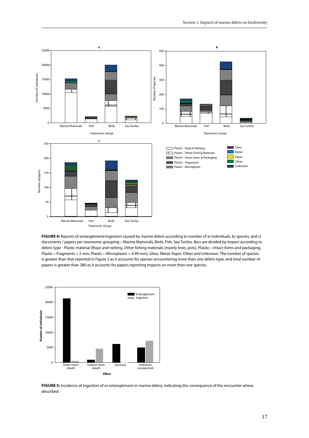

**Figure 4:** Reports of entanglement/ingestion caused by marine debris according to number of a) individuals, b) species, and c) documents / papers per taxonomic grouping—Marine Mammals, Birds, Fish, Sea Turtles. Bars are divided by impact according to debris type - Plastic material (Rope and netting, Other fishing materials (mainly lines, pots), Plastic—Intact items and packaging, Plastic—Fragments > 5 mm, Plastic—Microplastic < 4.99 mm), Glass, Metal, Paper, Other and Unknown. The number of species is greater than that reported in Figure 3 as it accounts for species encountering more than one debris type, and total number of papers is greater than 280 as it accounts for papers reporting impacts on more than one species.



**FIGURE 5:** Incidence of ingestion of or entanglement in marine debris, indicating the consequence of the encounter where described.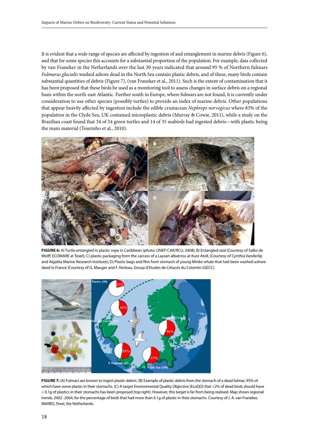It is evident that a wide range of species are affected by ingestion of and entanglement in marine debris (Figure 6), and that for some species this accounts for a substantial proportion of the population. For example, data collected by van Franeker in the Netherlands over the last 30 years indicated that around 95 % of Northern fulmars *Fulmarus glacialis* washed ashore dead in the North Sea contain plastic debris, and of these, many birds contain substantial quantities of debris (Figure 7), (van Franeker et al., 2011). Such is the extent of contamination that it has been proposed that these birds be used as a monitoring tool to assess changes in surface debris on a regional basis within the north-east Atlantic. Further south in Europe, where fulmars are not found, it is currently under consideration to use other species (possibly turtles) to provide an index of marine debris. Other populations that appear heavily affected by ingestion include the edible crustacean *Nephrops norvegicus* where 83% of the population in the Clyde Sea, UK contained microplastic debris (Murray & Cowie, 2011), while a study on the Brazilian coast found that 34 of 34 green turtles and 14 of 35 seabirds had ingested debris—with plastic being the main material (Tourinho et al., 2010).



**Figure 6:** A) Turtle entangled in plastic rope in Caribbean (photo: UNEP-CAR/RCU, 2008); B) Entangled seal (Courtesy of Salko de Wolff, ECOMARE at Texel); C) plastic packaging from the carcass of a Laysan albatross at Kure Atoll, (Courtesy of Cynthia Vanderlip and Algalita Marine Research Institute); D) Plastic bags and film from stomach of young Minke whale that had been washed ashore dead in France (Courtesy of G. Mauger and F. Kerleau, Group d'Etudes de Cétacés du Cotentin (GECC).



**Figure 7:** (A) Fulmars are known to ingest plastic debris. (B) Example of plastic debris from the stomach of a dead fulmar, 95% of which have some plastic in their stomachs. (C) A target Environmental Quality Objective (EcoQO) that <2% of dead birds should have < 0.1g of plastics in their stomachs has been proposed (top right). However, this target is far from being realised. Map shows regional trends, 2002 -2004, for the percentage of birds that had more than 0.1g of plastic in their stomachs. Courtesy of J. A. van Franeker, IMARES, Texel, the Netherlands.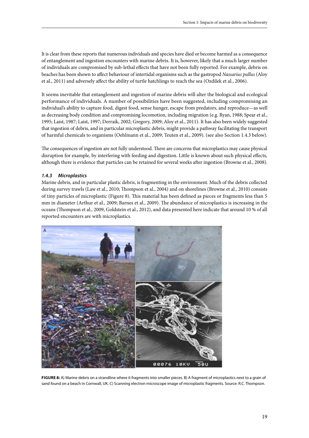It is clear from these reports that numerous individuals and species have died or become harmed as a consequence of entanglement and ingestion encounters with marine debris. It is, however, likely that a much larger number of individuals are compromised by sub-lethal effects that have not been fully reported. For example, debris on beaches has been shown to affect behaviour of intertidal organisms such as the gastropod *Nassarius pullus* (Aloy et al., 2011) and adversely affect the ability of turtle hatchlings to reach the sea (Ozdilek et al., 2006).

It seems inevitable that entanglement and ingestion of marine debris will alter the biological and ecological performance of individuals. A number of possibilities have been suggested, including compromising an individual's ability to capture food, digest food, sense hunger, escape from predators, and reproduce—as well as decreasing body condition and compromising locomotion, including migration (e.g. Ryan, 1988; Spear et al., 1995; Laist, 1987; Laist, 1997; Derraik, 2002; Gregory, 2009; Aloy et al., 2011). It has also been widely suggested that ingestion of debris, and in particular microplastic debris, might provide a pathway facilitating the transport of harmful chemicals to organisms (Oehlmann et al., 2009; Teuten et al., 2009). (see also Section 1.4.3 below).

The consequences of ingestion are not fully understood. There are concerns that microplastics may cause physical disruption for example, by interfering with feeding and digestion. Little is known about such physical effects, although there is evidence that particles can be retained for several weeks after ingestion (Browne et al., 2008).

#### *1.4.3 Microplastics*

Marine debris, and in particular plastic debris, is fragmenting in the environment. Much of the debris collected during survey trawls (Law et al., 2010; Thompson et al., 2004) and on shorelines (Browne et al., 2010) consists of tiny particles of microplastic (Figure 8). This material has been defined as pieces or fragments less than 5 mm in diameter (Arthur et al., 2009; Barnes et al., 2009). The abundance of microplastics is increasing in the oceans (Thompson et al., 2009, Goldstein et al., 2012), and data presented here indicate that around 10 % of all reported encounters are with microplastics.



**Figure 8:** A) Marine debris on a strandline where it fragments into smaller pieces. B) A fragment of microplastics next to a grain of sand found on a beach in Cornwall, UK. C) Scanning electron microscope image of microplastic fragments. Source: R.C. Thompson.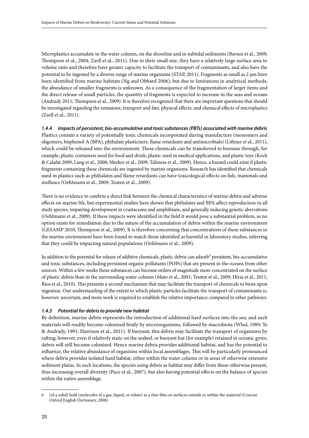Microplastics accumulate in the water column, on the shoreline and in subtidal sediments (Barnes et al., 2009; Thompson et al., 2004; Zarfl et al., 2011). Due to their small size, they have a relatively large surface area to volume ratio and therefore have greater capacity to facilitate the transport of contaminants, and also have the potential to be ingested by a diverse range of marine organisms (STAP, 2011). Fragments as small as 2 µm have been identified from marine habitats (Ng and Obbard 2006), but due to limitations in analytical methods, the abundance of smaller fragments is unknown. As a consequence of the fragmentation of larger items and the direct release of small particles, the quantity of fragments is expected to increase in the seas and oceans (Andrady 2011; Thompson et al., 2009). It is therefore recognized that there are important questions that should be investigated regarding the emissions, transport and fate, physical effects, and chemical effects of microplastics (Zarfl et al., 2011).

#### *1.4.4 Impacts of persistent, bio-accumulative and toxic substances (PBTs) associated with marine debris*

Plastics contain a variety of potentially toxic chemicals incorporated during manufacture (monomers and oligomers, bisphenol-A (BPA), phthalate plasticisers, flame retardants and antimicrobials) (Lithner et al., 2011), which could be released into the environment. These chemicals can be transferred to humans through, for example, plastic containers used for food and drink, plastic used in medical applications, and plastic toys (Koch & Calafat 2009; Lang et al., 2008; Meeker et al., 2009; Talsness et al., 2009). Hence, a hazard could exist if plastic fragments containing these chemicals are ingested by marine organisms. Research has identified that chemicals used in plastics such as phthalates and flame retardants can have toxicological effects on fish, mammals and molluscs (Oehlmann et al., 2009; Teuten et al., 2009).

There is no evidence to confirm a direct link between the chemical characteristics of marine debris and adverse effects on marine life, but experimental studies have shown that phthalates and BPA affect reproduction in all study species, impairing development in crustaceans and amphibians, and generally inducing genetic aberrations (Oehlmann et al., 2009). If these impacts were identified in the field it would pose a substantial problem, as no option exists for remediation due to the nature of the accumulation of debris within the marine environment (GESAMP 2010; Thompson et al., 2009). It is therefore concerning that concentrations of these substances in the marine environment have been found to match those identified as harmful in laboratory studies, inferring that they could be impacting natural populations (Oehlmann et al., 2009).

In addition to the potential for release of additive chemicals, plastic debris can adsorb<sup>6</sup> persistent, bio-accumulative and toxic substances, including persistent organic pollutants (POPs) that are present in the oceans from other sources. Within a few weeks these substances can become orders of magnitude more concentrated on the surface of plastic debris than in the surrounding water column (Mato et al., 2001; Teuten et al., 2009; Hirai et al., 2011; Rios et al., 2010). This presents a second mechanism that may facilitate the transport of chemicals to biota upon ingestion. Our understanding of the extent to which plastic particles facilitate the transport of contaminants is, however, uncertain, and more work is required to establish the relative importance compared to other pathways.

#### *1.4.5 Potential for debris to provide new habitat*

By definition, marine debris represents the introduction of additional hard surfaces into the sea; and such materials will readily become colonised firstly by microorganisms, followed by macrobiota (Whal, 1989; Ye & Andrady, 1991; Harrison et al., 2011). If buoyant, this debris may facilitate the transport of organisms by rafting; however, even if relatively static on the seabed, or buoyant but (for example) retained in oceanic gyres, debris will still become colonised. Hence marine debris provides additional habitat, and has the potential to influence, the relative abundance of organisms within local assemblages. This will be particularly pronounced where debris provides isolated hard habitat, either within the water column or in areas of otherwise extensive sediment plains. In such locations, the species using debris as habitat may differ from those otherwise present, thus increasing overall diversity (Pace et al., 2007), but also having potential effects on the balance of species within the native assemblage.

<sup>6</sup> (of a solid) hold (molecules of a gas, liquid, or solute) as a thin film on surfaces outside or within the material (Concise Oxford English Dictionary, 2008)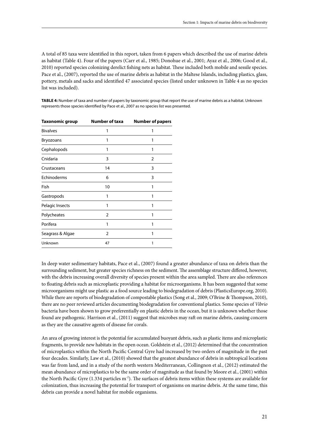A total of 85 taxa were identified in this report, taken from 6 papers which described the use of marine debris as habitat (Table 4). Four of the papers (Carr et al., 1985; Donohue et al., 2001; Ayaz et al., 2006; Good et al., 2010) reported species colonizing derelict fishing nets as habitat. These included both mobile and sessile species. Pace et al., (2007), reported the use of marine debris as habitat in the Maltese Islands, including plastics, glass, pottery, metals and sacks and identified 47 associated species (listed under unknown in Table 4 as no species list was included).

**Table 4:** Number of taxa and number of papers by taxonomic group that report the use of marine debris as a habitat. Unknown represents those species identified by Pace et al., 2007 as no species list was presented.

| Taxonomic group  | <b>Number of taxa</b> | <b>Number of papers</b> |  |  |
|------------------|-----------------------|-------------------------|--|--|
| <b>Bivalves</b>  | 1                     | 1                       |  |  |
| <b>Bryozoans</b> | 1                     | 1                       |  |  |
| Cephalopods      | 1                     | 1                       |  |  |
| Cnidaria         | 3                     | $\overline{2}$          |  |  |
| Crustaceans      | 14                    | 3                       |  |  |
| Echinoderms      | 6                     | 3                       |  |  |
| Fish             | 10                    | 1                       |  |  |
| Gastropods       | 1                     | 1                       |  |  |
| Pelagic Insects  | 1                     |                         |  |  |
| Polycheates      | 2                     |                         |  |  |
| Porifera         | 1                     | 1                       |  |  |
| Seagrass & Algae | $\overline{2}$        | 1                       |  |  |
| Unknown          | 47                    | 1                       |  |  |
|                  |                       |                         |  |  |

In deep water sedimentary habitats, Pace et al., (2007) found a greater abundance of taxa on debris than the surrounding sediment, but greater species richness on the sediment. The assemblage structure differed, however, with the debris increasing overall diversity of species present within the area sampled. There are also references to floating debris such as microplastic providing a habitat for microorganisms. It has been suggested that some microorganisms might use plastic as a food source leading to biodegradation of debris (PlasticsEurope.org, 2010). While there are reports of biodegradation of compostable plastics (Song et al., 2009; O'Brine & Thompson, 2010), there are no peer reviewed articles documenting biodegradation for conventional plastics. Some species of *Vibrio* bacteria have been shown to grow preferentially on plastic debris in the ocean, but it is unknown whether those found are pathogenic. Harrison et al., (2011) suggest that microbes may raft on marine debris, causing concern as they are the causative agents of disease for corals.

An area of growing interest is the potential for accumulated buoyant debris, such as plastic items and microplastic fragments, to provide new habitats in the open ocean. Goldstein et al., (2012) determined that the concentration of microplastics within the North Pacific Central Gyre had increased by two orders of magnitude in the past four decades. Similarly, Law et al., (2010) showed that the greatest abundance of debris in subtropical locations was far from land, and in a study of the north western Mediterranean, Collingnon et al., (2012) estimated the mean abundance of microplastics to be the same order of magnitude as that found by Moore et al., (2001) within the North Pacific Gyre (1.334 particles m<sup>-2</sup>). The surfaces of debris items within these systems are available for colonization, thus increasing the potential for transport of organisms on marine debris. At the same time, this debris can provide a novel habitat for mobile organisms.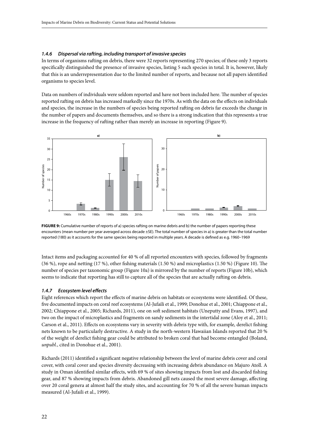#### *1.4.6 Dispersal via rafting, including transport of invasive species*

In terms of organisms rafting on debris, there were 32 reports representing 270 species; of these only 3 reports specifically distinguished the presence of invasive species, listing 5 such species in total. It is, however, likely that this is an underrepresentation due to the limited number of reports, and because not all papers identified organisms to species level.

Data on numbers of individuals were seldom reported and have not been included here. The number of species reported rafting on debris has increased markedly since the 1970s. As with the data on the effects on individuals and species, the increase in the numbers of species being reported rafting on debris far exceeds the change in the number of papers and documents themselves, and so there is a strong indication that this represents a true increase in the frequency of rafting rather than merely an increase in reporting (Figure 9).



**FIGURE 9:** Cumulative number of reports of a) species rafting on marine debris and b) the number of papers reporting these encounters (mean number per year averaged across decade ±SE). The total number of species in a) is greater than the total number reported (180) as it accounts for the same species being reported in multiple years. A decade is defined as e.g. 1960–1969

Intact items and packaging accounted for 40 % of all reported encounters with species, followed by fragments (36 %), rope and netting (17 %), other fishing materials (1.50 %) and microplastics (1.50 %) (Figure 10). The number of species per taxonomic group (Figure 10a) is mirrored by the number of reports (Figure 10b), which seems to indicate that reporting has still to capture all of the species that are actually rafting on debris.

#### *1.4.7 Ecosystem level effects*

Eight references which report the effects of marine debris on habitats or ecosystems were identified. Of these, five documented impacts on coral reef ecosystems (Al-Jufaili et al., 1999; Donohue et al., 2001; Chiappone et al., 2002; Chiappone et al., 2005; Richards, 2011), one on soft sediment habitats (Uneputty and Evans, 1997), and two on the impact of microplastics and fragments on sandy sediments in the intertidal zone (Aloy et al., 2011; Carson et al., 2011). Effects on ecosystems vary in severity with debris type with, for example, derelict fishing nets known to be particularly destructive. A study in the north-western Hawaiian Islands reported that 20 % of the weight of derelict fishing gear could be attributed to broken coral that had become entangled (Boland, *unpubl.*, cited in Donohue et al., 2001).

Richards (2011) identified a significant negative relationship between the level of marine debris cover and coral cover, with coral cover and species diversity decreasing with increasing debris abundance on Majuro Atoll. A study in Oman identified similar effects, with 69 % of sites showing impacts from lost and discarded fishing gear, and 87 % showing impacts from debris. Abandoned gill nets caused the most severe damage, affecting over 20 coral genera at almost half the study sites, and accounting for 70 % of all the severe human impacts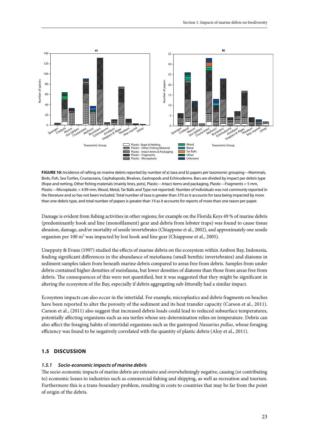

**Figure 10:** Incidence of rafting on marine debris reported by number of a) taxa and b) papers per taxonomic grouping—Mammals, Birds, Fish, Sea Turtles, Crustaceans, Cephalopods, Bivalves, Gastropods and Echinoderms. Bars are divided by impact per debris type (Rope and netting, Other fishing materials (mainly lines, pots), Plastic—Intact items and packaging, Plastic—Fragments > 5 mm, Plastic—Microplastic < 4.99 mm, Wood, Metal, Tar Balls and Type not reported). Number of individuals was not commonly reported in the literature and so has not been included. Total number of taxa is greater than 370 as it accounts for taxa being impacted by more than one debris type, and total number of papers is greater than 19 as it accounts for reports of more than one taxon per paper.

Damage is evident from fishing activities in other regions; for example on the Florida Keys 49 % of marine debris (predominantly hook and line (monofilament) gear and debris from lobster traps) was found to cause tissue abrasion, damage, and/or mortality of sessile invertebrates (Chiappone et al., 2002), and approximately one sessile organism per 100 m<sup>2</sup> was impacted by lost hook and line gear (Chiappone et al., 2005).

Unepputy & Evans (1997) studied the effects of marine debris on the ecosystem within Ambon Bay, Indonesia, finding significant differences in the abundance of meiofauna (small benthic invertebrates) and diatoms in sediment samples taken from beneath marine debris compared to areas free from debris. Samples from under debris contained higher densities of meiofauna, but lower densities of diatoms than those from areas free from debris. The consequences of this were not quantified, but it was suggested that they might be significant in altering the ecosystem of the Bay, especially if debris aggregating sub-littorally had a similar impact.

Ecosystem impacts can also occur in the intertidal. For example, microplastics and debris fragments on beaches have been reported to alter the porosity of the sediment and its heat transfer capacity (Carson et al., 2011). Carson et al., (2011) also suggest that increased debris loads could lead to reduced subsurface temperatures, potentially affecting organisms such as sea turtles whose sex-determination relies on temperature. Debris can also affect the foraging habits of intertidal organisms such as the gastropod *Nassarius pullus*, whose foraging efficiency was found to be negatively correlated with the quantity of plastic debris (Aloy et al., 2011).

#### **1.5 Discussion**

#### *1.5.1 Socio-economic impacts of marine debris*

The socio-economic impacts of marine debris are extensive and overwhelmingly negative, causing (or contributing to) economic losses to industries such as commercial fishing and shipping, as well as recreation and tourism. Furthermore this is a trans-boundary problem, resulting in costs to countries that may be far from the point of origin of the debris.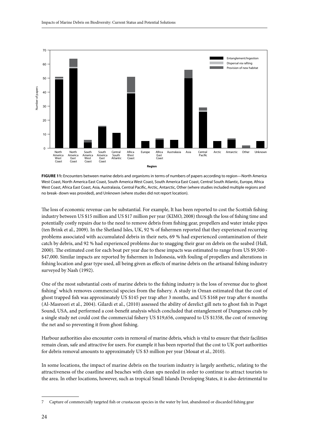

FIGURE 11: Encounters between marine debris and organisms in terms of numbers of papers according to region—North America West Coast, North America East Coast, South America West Coast, South America East Coast, Central South Atlantic, Europe, Africa West Coast, Africa East Coast, Asia, Australasia, Central Pacific, Arctic, Antarctic, Other (where studies included multiple regions and no break- down was provided), and Unknown (where studies did not report location).

The loss of economic revenue can be substantial. For example, It has been reported to cost the Scottish fishing industry between US \$15 million and US \$17 million per year (KIMO, 2008) through the loss of fishing time and potentially costly repairs due to the need to remove debris from fishing gear, propellers and water intake pipes (ten Brink et al., 2009). In the Shetland Isles, UK, 92 % of fishermen reported that they experienced recurring problems associated with accumulated debris in their nets, 69 % had experienced contamination of their catch by debris, and 92 % had experienced problems due to snagging their gear on debris on the seabed (Hall, 2000). The estimated cost for each boat per year due to these impacts was estimated to range from US \$9,500 - \$47,000. Similar impacts are reported by fishermen in Indonesia, with fouling of propellers and alterations in fishing location and gear type used, all being given as effects of marine debris on the artisanal fishing industry surveyed by Nash (1992).

One of the most substantial costs of marine debris to the fishing industry is the loss of revenue due to ghost fishing<sup>7</sup> which removes commercial species from the fishery. A study in Oman estimated that the cost of ghost trapped fish was approximately US \$145 per trap after 3 months, and US \$168 per trap after 6 months (Al-Masroori et al., 2004). Gilardi et al., (2010) assessed the ability of derelict gill nets to ghost fish in Puget Sound, USA, and performed a cost-benefit analysis which concluded that entanglement of Dungeness crab by a single study net could cost the commercial fishery US \$19,656, compared to US \$1358, the cost of removing the net and so preventing it from ghost fishing.

Harbour authorities also encounter costs in removal of marine debris, which is vital to ensure that their facilities remain clean, safe and attractive for users. For example it has been reported that the cost to UK port authorities for debris removal amounts to approximately US \$3 million per year (Mouat et al., 2010).

In some locations, the impact of marine debris on the tourism industry is largely aesthetic, relating to the attractiveness of the coastline and beaches with clean ups needed in order to continue to attract tourists to the area. In other locations, however, such as tropical Small Islands Developing States, it is also detrimental to

<sup>7</sup> Capture of commercially targeted fish or crustacean species in the water by lost, abandoned or discarded fishing gear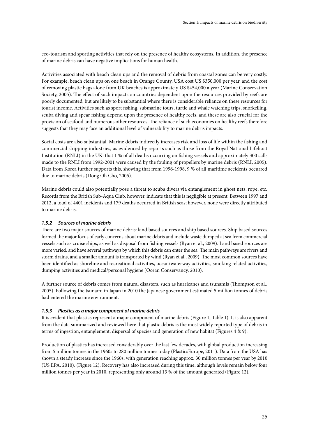eco-tourism and sporting activities that rely on the presence of healthy ecosystems. In addition, the presence of marine debris can have negative implications for human health.

Activities associated with beach clean ups and the removal of debris from coastal zones can be very costly. For example, beach clean ups on one beach in Orange County, USA cost US \$350,000 per year, and the cost of removing plastic bags alone from UK beaches is approximately US \$454,000 a year (Marine Conservation Society, 2005). The effect of such impacts on countries dependent upon the resources provided by reefs are poorly documented, but are likely to be substantial where there is considerable reliance on these resources for tourist income. Activities such as sport fishing, submarine tours, turtle and whale watching trips, snorkelling, scuba diving and spear fishing depend upon the presence of healthy reefs, and these are also crucial for the provision of seafood and numerous other resources. The reliance of such economies on healthy reefs therefore suggests that they may face an additional level of vulnerability to marine debris impacts.

Social costs are also substantial. Marine debris indirectly increases risk and loss of life within the fishing and commercial shipping industries, as evidenced by reports such as those from the Royal National Lifeboat Institution (RNLI) in the UK: that 1 % of all deaths occurring on fishing vessels and approximately 300 calls made to the RNLI from 1992-2001 were caused by the fouling of propellers by marine debris (RNLI, 2005). Data from Korea further supports this, showing that from 1996-1998, 9 % of all maritime accidents occurred due to marine debris (Dong Oh Cho, 2005).

Marine debris could also potentially pose a threat to scuba divers via entanglement in ghost nets, rope, etc. Records from the British Sub-Aqua Club, however, indicate that this is negligible at present. Between 1997 and 2012, a total of 4401 incidents and 179 deaths occurred in British seas; however, none were directly attributed to marine debris.

#### *1.5.2 Sources of marine debris*

There are two major sources of marine debris: land based sources and ship based sources. Ship based sources formed the major focus of early concerns about marine debris and include waste dumped at sea from commercial vessels such as cruise ships, as well as disposal from fishing vessels (Ryan et al., 2009). Land based sources are more varied, and have several pathways by which this debris can enter the sea. The main pathways are rivers and storm drains, and a smaller amount is transported by wind (Ryan et al., 2009). The most common sources have been identified as shoreline and recreational activities, ocean/waterway activities, smoking related activities, dumping activities and medical/personal hygiene (Ocean Conservancy, 2010).

A further source of debris comes from natural disasters, such as hurricanes and tsunamis (Thompson et al., 2005). Following the tsunami in Japan in 2010 the Japanese government estimated 5 million tonnes of debris had entered the marine environment.

#### *1.5.3 Plastics as a major component of marine debris*

It is evident that plastics represent a major component of marine debris (Figure 1, Table 1). It is also apparent from the data summarized and reviewed here that plastic debris is the most widely reported type of debris in terms of ingestion, entanglement, dispersal of species and generation of new habitat (Figures 4 & 9).

Production of plastics has increased considerably over the last few decades, with global production increasing from 5 million tonnes in the 1960s to 280 million tonnes today (PlasticsEurope, 2011). Data from the USA has shown a steady increase since the 1960s, with generation reaching approx. 30 million tonnes per year by 2010 (US EPA, 2010), (Figure 12). Recovery has also increased during this time, although levels remain below four million tonnes per year in 2010, representing only around 13 % of the amount generated (Figure 12).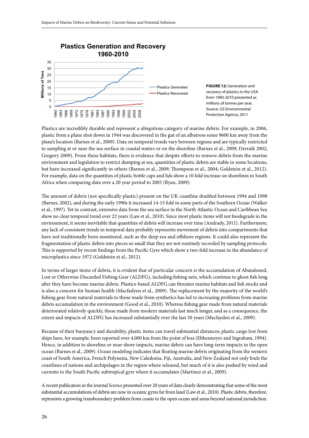

Plastics are incredibly durable and represent a ubiquitous category of marine debris. For example, in 2006, plastic from a plane shot down in 1944 was discovered in the gut of an albatross some 9600 km away from the plane's location (Barnes et al., 2009). Data on temporal trends vary between regions and are typically restricted to sampling at or near the sea surface in coastal waters or on the shoreline (Barnes et al., 2009; Derraik 2002; Gregory 2009). From these habitats, there is evidence that despite efforts to remove debris from the marine environment and legislation to restrict dumping at sea, quantities of plastic debris are stable in some locations, but have increased significantly in others (Barnes et al., 2009; Thompson et al., 2004; Goldstein et al., 2012). For example, data on the quantities of plastic bottle caps and lids show a 10 fold increase on shorelines in South Africa when comparing data over a 20 year period to 2005 (Ryan, 2009).

The amount of debris (not specifically plastic) present on the UK coastline doubled between 1994 and 1998 (Barnes, 2002), and during the early 1990s it increased 14-15 fold in some parts of the Southern Ocean (Walker et al., 1997). Yet in contrast, extensive data from the sea surface in the North Atlantic Ocean and Caribbean Sea show no clear temporal trend over 22 years (Law et al., 2010). Since most plastic items will not biodegrade in the environment, it seems inevitable that quantities of debris will increase over time (Andrady, 2011). Furthermore, any lack of consistent trends in temporal data probably represents movement of debris into compartments that have not traditionally been monitored, such as the deep sea and offshore regions. It could also represent the fragmentation of plastic debris into pieces so small that they are not routinely recorded by sampling protocols. This is supported by recent findings from the Pacific Gyre which show a two-fold increase in the abundance of microplastics since 1972 (Goldstein et al., 2012).

In terms of larger items of debris, it is evident that of particular concern is the accumulation of Abandoned, Lost or Otherwise Discarded Fishing Gear (ALDFG), including fishing nets, which continue to ghost fish long after they have become marine debris. Plastics-based ALDFG can threaten marine habitats and fish stocks and is also a concern for human health (Macfadyen et al., 2009). The replacement by the majority of the world's fishing gear from natural materials to those made from synthetics has led to increasing problems from marine debris accumulation in the environment (Good et al., 2010). Whereas fishing gear made from natural materials deteriorated relatively quickly, those made from modern materials last much longer, and as a consequence, the extent and impacts of ALDFG has increased substantially over the last 50 years (Macfayden et al., 2009).

Because of their buoyancy and durability, plastic items can travel substantial distances; plastic cargo lost from ships have, for example, been reported over 4,000 km from the point of loss (Ebbesmeyer and Ingraham, 1994). Hence, in addition to shoreline or near-shore impacts, marine debris can have long-term impacts in the open ocean (Barnes et al., 2009). Ocean modeling indicates that floating marine debris originating from the western coast of South America, French Polynesia, New Caledonia, Fiji, Australia, and New Zealand not only fouls the coastlines of nations and archipelagos in the region where released, but much of it is also pushed by wind and currents to the South Pacific subtropical gyre where it accumulates (Martinez et al., 2009).

A recent publication in the journal *Science* presented over 20 years of data clearly demonstrating that some of the most substantial accumulations of debris are now in oceanic gyres far from land (Law et al., 2010). Plastic debris, therefore, represents a growing transboundary problem from coasts to the open ocean and areas beyond national jurisdiction.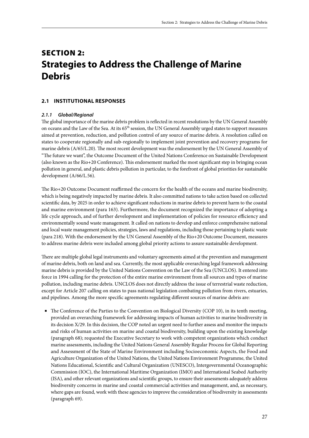### Section 2: **Strategies to Address the Challenge of Marine Debris**

#### **2.1 Institutional responses**

#### *2.1.1 Global/Regional*

The global importance of the marine debris problem is reflected in recent resolutions by the UN General Assembly on oceans and the Law of the Sea. At its 65<sup>th</sup> session, the UN General Assembly urged states to support measures aimed at prevention, reduction, and pollution control of any source of marine debris. A resolution called on states to cooperate regionally and sub-regionally to implement joint prevention and recovery programs for marine debris (A/65/L.20). The most recent development was the endorsement by the UN General Assembly of "The future we want", the Outcome Document of the United Nations Conference on Sustainable Development (also known as the Rio+20 Conference). This endorsement marked the most significant step in bringing ocean pollution in general, and plastic debris pollution in particular, to the forefront of global priorities for sustainable development (A/66/L.56).

The Rio+20 Outcome Document reaffirmed the concern for the health of the oceans and marine biodiversity, which is being negatively impacted by marine debris. It also committed nations to take action based on collected scientific data, by 2025 in order to achieve significant reductions in marine debris to prevent harm to the coastal and marine environment (para 163). Furthermore, the document recognized the importance of adopting a life cycle approach, and of further development and implementation of policies for resource efficiency and environmentally sound waste management. It called on nations to develop and enforce comprehensive national and local waste management policies, strategies, laws and regulations, including those pertaining to plastic waste (para 218). With the endorsement by the UN General Assembly of the Rio+20 Outcome Document, measures to address marine debris were included among global priority actions to assure sustainable development.

There are multiple global legal instruments and voluntary agreements aimed at the prevention and management of marine debris, both on land and sea. Currently, the most applicable overarching legal framework addressing marine debris is provided by the United Nations Convention on the Law of the Sea (UNCLOS). It entered into force in 1994 calling for the protection of the entire marine environment from all sources and types of marine pollution, including marine debris. UNCLOS does not directly address the issue of terrestrial waste reduction, except for Article 207 calling on states to pass national legislation combating pollution from rivers, estuaries, and pipelines. Among the more specific agreements regulating different sources of marine debris are:

• The Conference of the Parties to the Convention on Biological Diversity (COP 10), in its tenth meeting, provided an overarching framework for addressing impacts of human activities to marine biodiversity in its decision X/29. In this decision, the COP noted an urgent need to further assess and monitor the impacts and risks of human activities on marine and coastal biodiversity, building upon the existing knowledge (paragraph 68); requested the Executive Secretary to work with competent organizations which conduct marine assessments, including the United Nations General Assembly Regular Process for Global Reporting and Assessment of the State of Marine Environment including Socioeconomic Aspects, the Food and Agriculture Organization of the United Nations, the United Nations Environment Programme, the United Nations Educational, Scientific and Cultural Organization (UNESCO), Intergovernmental Oceanographic Commission (IOC), the International Maritime Organization (IMO) and International Seabed Authority (ISA), and other relevant organizations and scientific groups, to ensure their assessments adequately address biodiversity concerns in marine and coastal commercial activities and management, and, as necessary, where gaps are found, work with these agencies to improve the consideration of biodiversity in assessments (paragraph 69).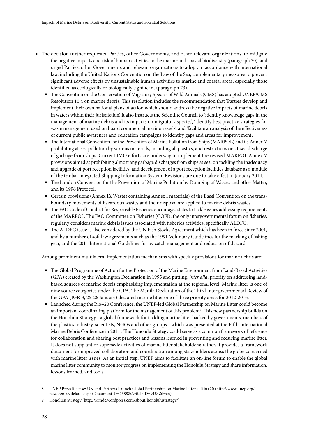- The decision further requested Parties, other Governments, and other relevant organizations, to mitigate the negative impacts and risk of human activities to the marine and coastal biodiversity (paragraph 70); and urged Parties, other Governments and relevant organizations to adopt, in accordance with international law, including the United Nations Convention on the Law of the Sea, complementary measures to prevent significant adverse effects by unsustainable human activities to marine and coastal areas, especially those identified as ecologically or biologically significant (paragraph 73).
	- The Convention on the Conservation of Migratory Species of Wild Animals (CMS) has adopted UNEP/CMS Resolution 10.4 on marine debris. This resolution includes the recommendation that 'Parties develop and implement their own national plans of action which should address the negative impacts of marine debris in waters within their jurisdiction'. It also instructs the Scientific Council to 'identify knowledge gaps in the management of marine debris and its impacts on migratory species', 'identify best practice strategies for waste management used on board commercial marine vessels', and 'facilitate an analysis of the effectiveness of current public awareness and education campaigns to identify gaps and areas for improvement'.
	- The International Convention for the Prevention of Marine Pollution from Ships (MARPOL) and its Annex V prohibiting at-sea pollution by various materials, including all plastics, and restrictions on at-sea discharge of garbage from ships. Current IMO efforts are underway to implement the revised MARPOL Annex V provisions aimed at prohibiting almost any garbage discharges from ships at sea, on tackling the inadequacy and upgrade of port reception facilities, and development of a port reception facilities database as a module of the Global Integrated Shipping Information System. Revisions are due to take effect in January 2014.
	- The London Convention for the Prevention of Marine Pollution by Dumping of Wastes and other Matter, and its 1996 Protocol.
	- Certain provisions (Annex IX Wastes containing Annex I materials) of the Basel Convention on the transboundary movements of hazardous wastes and their disposal are applied to marine debris wastes.
	- The FAO Code of Conduct for Responsible Fisheries encourages states to tackle issues addressing requirements of the MARPOL. The FAO Committee on Fisheries (COFI), the only intergovernmental forum on fisheries, regularly considers marine debris issues associated with fisheries activities, specifically ALDFG.
	- The ALDFG issue is also considered by the UN Fish Stocks Agreement which has been in force since 2001, and by a number of soft law agreements such as the 1991 Voluntary Guidelines for the marking of fishing gear, and the 2011 International Guidelines for by catch management and reduction of discards.

Among prominent multilateral implementation mechanisms with specific provisions for marine debris are:

- The Global Programme of Action for the Protection of the Marine Environment from Land-Based Activities (GPA) created by the Washington Declaration in 1995 and putting, *inter alia*, priority on addressing landbased sources of marine debris emphasising implementation at the regional level. Marine litter is one of nine source categories under the GPA. The Manila Declaration of the Third Intergovernmental Review of the GPA (IGR-3, 25-26 January) declared marine litter one of three priority areas for 2012-2016.
- Launched during the Rio+20 Conference, the UNEP-led Global Partnership on Marine Litter could become an important coordinating platform for the management of this problem<sup>8</sup>. This new partnership builds on the Honolulu Strategy - a global framework for tackling marine litter backed by governments, members of the plastics industry, scientists, NGOs and other groups - which was presented at the Fifth International Marine Debris Conference in 2011<sup>9</sup>. The Honolulu Strategy could serve as a common framework of reference for collaboration and sharing best practices and lessons learned in preventing and reducing marine litter. It does not supplant or supersede activities of marine litter stakeholders; rather, it provides a framework document for improved collaboration and coordination among stakeholders across the globe concerned with marine litter issues. As an initial step, UNEP aims to facilitate an on-line forum to enable the global marine litter community to monitor progress on implementing the Honolulu Strategy and share information, lessons learned, and tools.

<sup>8</sup> UNEP Press Release: UN and Partners Launch Global Partnership on Marine Litter at Rio+20 (http://www.unep.org/ newscentre/default.aspx?DocumentID=2688&ArticleID=9184&l=en)

<sup>9</sup> Honolulu Strategy (http://5imdc.wordpress.com/about/honolulustrategy/)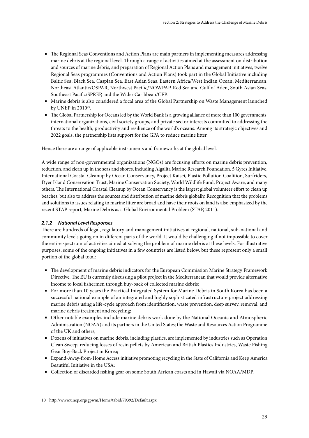- The Regional Seas Conventions and Action Plans are main partners in implementing measures addressing marine debris at the regional level. Through a range of activities aimed at the assessment on distribution and sources of marine debris, and preparation of Regional Action Plans and management initiatives, twelve Regional Seas programmes (Conventions and Action Plans) took part in the Global Initiative including Baltic Sea, Black Sea, Caspian Sea, East Asian Seas, Eastern Africa/West Indian Ocean, Mediterranean, Northeast Atlantic/OSPAR, Northwest Pacific/NOWPAP, Red Sea and Gulf of Aden, South Asian Seas, Southeast Pacific/SPREP, and the Wider Caribbean/CEP.
- Marine debris is also considered a focal area of the Global Partnership on Waste Management launched by UNEP in  $2010^{10}$ .
- The Global Partnership for Oceans led by the World Bank is a growing alliance of more than 100 governments, international organizations, civil society groups, and private sector interests committed to addressing the threats to the health, productivity and resilience of the world's oceans. Among its strategic objectives and 2022 goals, the partnership lists support for the GPA to reduce marine litter.

Hence there are a range of applicable instruments and frameworks at the global level.

A wide range of non-governmental organizations (NGOs) are focusing efforts on marine debris prevention, reduction, and clean up in the seas and shores, including Algalita Marine Research Foundation, 5 Gyres Initiative, International Coastal Cleanup by Ocean Conservancy, Project Kaisei, Plastic Pollution Coalition, Surfriders, Dyer Island Conservation Trust, Marine Conservation Society, World Wildlife Fund, Project Aware, and many others. The International Coastal Cleanup by Ocean Conservancy is the largest global volunteer effort to clean up beaches, but also to address the sources and distribution of marine debris globally. Recognition that the problems and solutions to issues relating to marine litter are broad and have their roots on land is also emphasized by the recent STAP report, Marine Debris as a Global Environmental Problem (STAP, 2011).

#### *2.1.2 National Level Responses*

There are hundreds of legal, regulatory and management initiatives at regional, national, sub-national and community levels going on in different parts of the world. It would be challenging if not impossible to cover the entire spectrum of activities aimed at solving the problem of marine debris at these levels. For illustrative purposes, some of the ongoing initiatives in a few countries are listed below, but these represent only a small portion of the global total:

- The development of marine debris indicators for the European Commission Marine Strategy Framework Directive. The EU is currently discussing a pilot project in the Mediterranean that would provide alternative income to local fishermen through buy-back of collected marine debris;
- For more than 10 years the Practical Integrated System for Marine Debris in South Korea has been a successful national example of an integrated and highly sophisticated infrastructure project addressing marine debris using a life-cycle approach from identification, waste prevention, deep survey, removal, and marine debris treatment and recycling;
- Other notable examples include marine debris work done by the National Oceanic and Atmospheric Administration (NOAA) and its partners in the United States; the Waste and Resources Action Programme of the UK and others;
- Dozens of initiatives on marine debris, including plastics, are implemented by industries such as Operation Clean Sweep, reducing losses of resin pellets by American and British Plastics Industries, Waste Fishing Gear Buy-Back Project in Korea;
- Expand-Away-from-Home Access initiative promoting recycling in the State of California and Keep America Beautiful Initiative in the USA;
- Collection of discarded fishing gear on some South African coasts and in Hawaii via NOAA/MDP.

<sup>10</sup> http://www.unep.org/gpwm/Home/tabid/79392/Default.aspx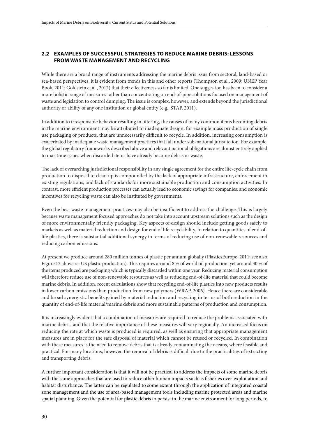#### **2.2 Examples of Successful Strategies to Reduce Marine Debris: Lessons from Waste Management and Recycling**

While there are a broad range of instruments addressing the marine debris issue from sectoral, land-based or sea-based perspectives, it is evident from trends in this and other reports (Thompson et al., 2009; UNEP Year Book, 2011; Goldstein et al., 2012) that their effectiveness so far is limited. One suggestion has been to consider a more holistic range of measures rather than concentrating on end-of-pipe solutions focused on management of waste and legislation to control dumping. The issue is complex, however, and extends beyond the jurisdictional authority or ability of any one institution or global entity (e.g., STAP, 2011).

In addition to irresponsible behavior resulting in littering, the causes of many common items becoming debris in the marine environment may be attributed to inadequate design, for example mass production of single use packaging or products, that are unnecessarily difficult to recycle. In addition, increasing consumption is exacerbated by inadequate waste management practices that fall under sub-national jurisdiction. For example, the global regulatory frameworks described above and relevant national obligations are almost entirely applied to maritime issues when discarded items have already become debris or waste.

The lack of overarching jurisdictional responsibility in any single agreement for the entire life-cycle chain from production to disposal to clean up is compounded by the lack of appropriate infrastructure, enforcement in existing regulations, and lack of standards for more sustainable production and consumption activities. In contrast, more efficient production processes can actually lead to economic savings for companies, and economic incentives for recycling waste can also be instituted by governments.

Even the best waste management practices may also be insufficient to address the challenge. This is largely because waste management focused approaches do not take into account upstream solutions such as the design of more environmentally friendly packaging. Key aspects of design should include getting goods safely to markets as well as material reduction and design for end of life recyclability. In relation to quantities of end-oflife plastics, there is substantial additional synergy in terms of reducing use of non-renewable resources and reducing carbon emissions.

At present we produce around 280 million tonnes of plastic per annum globally (PlasticsEurope, 2011; see also Figure 12 above re: US plastic production). This requires around 8 % of world oil production, yet around 30 % of the items produced are packaging which is typically discarded within one year. Reducing material consumption will therefore reduce use of non-renewable resources as well as reducing end-of-life material that could become marine debris. In addition, recent calculations show that recycling end-of-life plastics into new products results in lower carbon emissions than production from new polymers (WRAP, 2006). Hence there are considerable and broad synergistic benefits gained by material reduction and recycling in terms of both reduction in the quantity of end-of-life material/marine debris and more sustainable patterns of production and consumption.

It is increasingly evident that a combination of measures are required to reduce the problems associated with marine debris, and that the relative importance of these measures will vary regionally. An increased focus on reducing the rate at which waste is produced is required, as well as ensuring that appropriate management measures are in place for the safe disposal of material which cannot be reused or recycled. In combination with these measures is the need to remove debris that is already contaminating the oceans, where feasible and practical. For many locations, however, the removal of debris is difficult due to the practicalities of extracting and transporting debris.

A further important consideration is that it will not be practical to address the impacts of some marine debris with the same approaches that are used to reduce other human impacts such as fisheries over-exploitation and habitat disturbance. The latter can be regulated to some extent through the application of integrated coastal zone management and the use of area-based management tools including marine protected areas and marine spatial planning. Given the potential for plastic debris to persist in the marine environment for long periods, to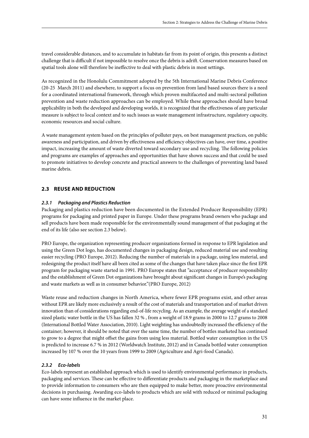travel considerable distances, and to accumulate in habitats far from its point of origin, this presents a distinct challenge that is difficult if not impossible to resolve once the debris is adrift. Conservation measures based on spatial tools alone will therefore be ineffective to deal with plastic debris in most settings.

As recognized in the Honolulu Commitment adopted by the 5th International Marine Debris Conference (20-25 March 2011) and elsewhere, to support a focus on prevention from land based sources there is a need for a coordinated international framework, through which proven multifaceted and multi-sectoral pollution prevention and waste reduction approaches can be employed. While these approaches should have broad applicability in both the developed and developing worlds, it is recognized that the effectiveness of any particular measure is subject to local context and to such issues as waste management infrastructure, regulatory capacity, economic resources and social culture.

A waste management system based on the principles of polluter pays, on best management practices, on public awareness and participation, and driven by effectiveness and efficiency objectives can have, over time, a positive impact, increasing the amount of waste diverted toward secondary use and recycling. The following policies and programs are examples of approaches and opportunities that have shown success and that could be used to promote initiatives to develop concrete and practical answers to the challenges of preventing land based marine debris.

#### **2.3 Reuse and reduction**

#### *2.3.1 Packaging and Plastics Reduction*

Packaging and plastics reduction have been documented in the Extended Producer Responsibility (EPR) programs for packaging and printed paper in Europe. Under these programs brand owners who package and sell products have been made responsible for the environmentally sound management of that packaging at the end of its life (also see section 2.3 below).

PRO Europe, the organization representing producer organizations formed in response to EPR legislation and using the Green Dot logo, has documented changes in packaging design, reduced material use and resulting easier recycling (PRO Europe, 2012). Reducing the number of materials in a package, using less material, and redesigning the product itself have all been cited as some of the changes that have taken place since the first EPR program for packaging waste started in 1991. PRO Europe states that "acceptance of producer responsibility and the establishment of Green Dot organizations have brought about significant changes in Europe's packaging and waste markets as well as in consumer behavior."(PRO Europe, 2012)

Waste reuse and reduction changes in North America, where fewer EPR programs exist, and other areas without EPR are likely more exclusively a result of the cost of materials and transportation and of market driven innovation than of considerations regarding end-of-life recycling. As an example, the average weight of a standard sized plastic water bottle in the US has fallen 32 % , from a weight of 18.9 grams in 2000 to 12.7 grams to 2008 (International Bottled Water Association, 2010). Light weighting has undoubtedly increased the efficiency of the container; however, it should be noted that over the same time, the number of bottles marketed has continued to grow to a degree that might offset the gains from using less material. Bottled water consumption in the US is predicted to increase 6.7 % in 2012 (Worldwatch Institute, 2012) and in Canada bottled water consumption increased by 107 % over the 10 years from 1999 to 2009 (Agriculture and Agri-food Canada).

#### *2.3.2 Eco-labels*

Eco-labels represent an established approach which is used to identify environmental performance in products, packaging and services. These can be effective to differentiate products and packaging in the marketplace and to provide information to consumers who are then equipped to make better, more proactive environmental decisions in purchasing. Awarding eco-labels to products which are sold with reduced or minimal packaging can have some influence in the market place.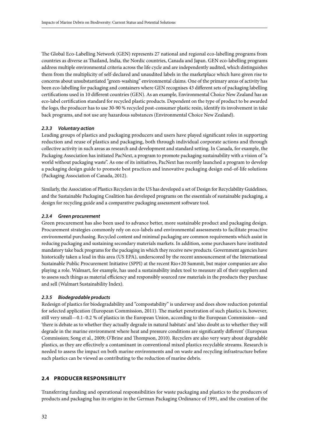The Global Eco-Labelling Network (GEN) represents 27 national and regional eco-labelling programs from countries as diverse as Thailand, India, the Nordic countries, Canada and Japan. GEN eco-labelling programs address multiple environmental criteria across the life cycle and are independently audited, which distinguishes them from the multiplicity of self-declared and unaudited labels in the marketplace which have given rise to concerns about unsubstantiated "green-washing" environmental claims. One of the primary areas of activity has been eco-labelling for packaging and containers where GEN recognises 43 different sets of packaging labelling certifications used in 10 different countries (GEN). As an example, Environmental Choice New Zealand has an eco-label certification standard for recycled plastic products. Dependent on the type of product to be awarded the logo, the producer has to use 30-90 % recycled post-consumer plastic resin, identify its involvement in take back programs, and not use any hazardous substances (Environmental Choice New Zealand).

#### *2.3.3 Voluntary action*

Leading groups of plastics and packaging producers and users have played significant roles in supporting reduction and reuse of plastics and packaging, both through individual corporate actions and through collective activity in such areas as research and development and standard setting. In Canada, for example, the Packaging Association has initiated PacNext, a program to promote packaging sustainability with a vision of "a world without packaging waste". As one of its initiatives, PacNext has recently launched a program to develop a packaging design guide to promote best practices and innovative packaging design end-of-life solutions (Packaging Association of Canada, 2012).

Similarly, the Association of Plastics Recyclers in the US has developed a set of Design for Recyclability Guidelines, and the Sustainable Packaging Coalition has developed programs on the essentials of sustainable packaging, a design for recycling guide and a comparative packaging assessment software tool.

#### *2.3.4 Green procurement*

Green procurement has also been used to advance better, more sustainable product and packaging design. Procurement strategies commonly rely on eco-labels and environmental assessments to facilitate proactive environmental purchasing. Recycled content and minimal packaging are common requirements which assist in reducing packaging and sustaining secondary materials markets. In addition, some purchasers have instituted mandatory take back programs for the packaging in which they receive new products. Government agencies have historically taken a lead in this area (US EPA), underscored by the recent announcement of the International Sustainable Public Procurement Initiative (SPPI) at the recent Rio+20 Summit, but major companies are also playing a role. Walmart, for example, has used a sustainability index tool to measure all of their suppliers and to assess such things as material efficiency and responsibly sourced raw materials in the products they purchase and sell (Walmart Sustainability Index).

#### *2.3.5 Biodegradable products*

Redesign of plastics for biodegradability and "compostability" is underway and does show reduction potential for selected application (European Commission, 2011). The market penetration of such plastics is, however, still very small—0.1–0.2 % of plastics in the European Union, according to the European Commission—and 'there is debate as to whether they actually degrade in natural habitats' and 'also doubt as to whether they will degrade in the marine environment where heat and pressure conditions are significantly different' (European Commission; Song et al., 2009; O'Brine and Thompson, 2010). Recyclers are also very wary about degradable plastics, as they are effectively a contaminant in conventional mixed plastics recyclable streams. Research is needed to assess the impact on both marine environments and on waste and recycling infrastructure before such plastics can be viewed as contributing to the reduction of marine debris.

#### **2.4 Producer responsibility**

Transferring funding and operational responsibilities for waste packaging and plastics to the producers of products and packaging has its origins in the German Packaging Ordinance of 1991, and the creation of the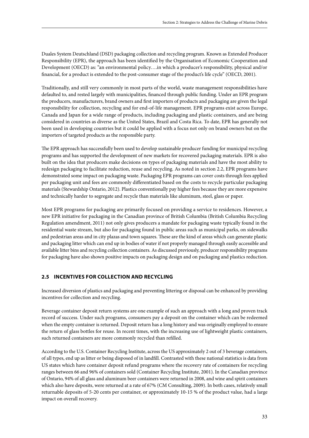Duales System Deutschland (DSD) packaging collection and recycling program. Known as Extended Producer Responsibility (EPR), the approach has been identified by the Organisation of Economic Cooperation and Development (OECD) as: "an environmental policy….in which a producer's responsibility, physical and/or financial, for a product is extended to the post-consumer stage of the product's life cycle" (OECD, 2001).

Traditionally, and still very commonly in most parts of the world, waste management responsibilities have defaulted to, and rested largely with municipalities, financed through public funding. Under an EPR program the producers, manufacturers, brand owners and first importers of products and packaging are given the legal responsibility for collection, recycling and for end-of-life management. EPR programs exist across Europe, Canada and Japan for a wide range of products, including packaging and plastic containers, and are being considered in countries as diverse as the United States, Brazil and Costa Rica. To date, EPR has generally not been used in developing countries but it could be applied with a focus not only on brand owners but on the importers of targeted products as the responsible party.

The EPR approach has successfully been used to develop sustainable producer funding for municipal recycling programs and has supported the development of new markets for recovered packaging materials. EPR is also built on the idea that producers make decisions on types of packaging materials and have the most ability to redesign packaging to facilitate reduction, reuse and recycling. As noted in section 2.2, EPR programs have demonstrated some impact on packaging waste. Packaging EPR programs can cover costs through fees applied per packaging unit and fees are commonly differentiated based on the costs to recycle particular packaging materials (Stewardship Ontario, 2012). Plastics conventionally pay higher fees because they are more expensive and technically harder to segregate and recycle than materials like aluminum, steel, glass or paper.

Most EPR programs for packaging are primarily focused on providing a service to residences. However, a new EPR initiative for packaging in the Canadian province of British Columbia (British Columbia Recycling Regulation amendment, 2011) not only gives producers a mandate for packaging waste typically found in the residential waste stream, but also for packaging found in public areas such as municipal parks, on sidewalks and pedestrian areas and in city plazas and town squares. These are the kind of areas which can generate plastic and packaging litter which can end up in bodies of water if not properly managed through easily accessible and available litter bins and recycling collection containers. As discussed previously, producer responsibility programs for packaging have also shown positive impacts on packaging design and on packaging and plastics reduction.

#### **2.5 Incentives for collection and recycling**

Increased diversion of plastics and packaging and preventing littering or disposal can be enhanced by providing incentives for collection and recycling.

Beverage container deposit return systems are one example of such an approach with a long and proven track record of success. Under such programs, consumers pay a deposit on the container which can be redeemed when the empty container is returned. Deposit return has a long history and was originally employed to ensure the return of glass bottles for reuse. In recent times, with the increasing use of lightweight plastic containers, such returned containers are more commonly recycled than refilled.

According to the U.S. Container Recycling Institute, across the US approximately 2 out of 3 beverage containers, of all types, end up as litter or being disposed of in landfill. Contrasted with these national statistics is data from US states which have container deposit refund programs where the recovery rate of containers for recycling ranges between 66 and 96% of containers sold (Container Recycling Institute, 2001). In the Canadian province of Ontario, 94% of all glass and aluminum beer containers were returned in 2008, and wine and spirit containers which also have deposits, were returned at a rate of 67% (CM Consulting, 2009). In both cases, relatively small returnable deposits of 5-20 cents per container, or approximately 10-15 % of the product value, had a large impact on overall recovery.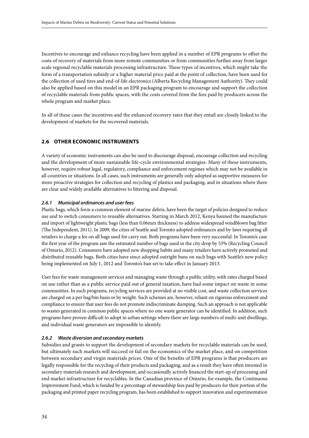Incentives to encourage and enhance recycling have been applied in a number of EPR programs to offset the costs of recovery of materials from more remote communities or from communities further away from larger scale regional recyclable materials processing infrastructure. These types of incentives, which might take the form of a transportation subsidy or a higher material price paid at the point of collection, have been used for the collection of used tires and end-of-life electronics (Alberta Recycling Management Authority). They could also be applied based on this model in an EPR packaging program to encourage and support the collection of recyclable materials from public spaces, with the costs covered from the fees paid by producers across the whole program and market place.

In all of these cases the incentives and the enhanced recovery rates that they entail are closely linked to the development of markets for the recovered materials.

#### **2.6 Other Economic instruments**

A variety of economic instruments can also be used to discourage disposal, encourage collection and recycling and the development of more sustainable life-cycle environmental strategies. Many of these instruments, however, require robust legal, regulatory, compliance and enforcement regimes which may not be available in all countries or situations. In all cases, such instruments are generally only adopted as supportive measures for more proactive strategies for collection and recycling of plastics and packaging, and in situations where there are clear and widely available alternatives to littering and disposal.

#### *2.6.1 Municipal ordinances and user fees*

Plastic bags, which form a common element of marine debris, have been the target of policies designed to reduce use and to switch consumers to reusable alternatives. Starting in March 2012, Kenya banned the manufacture and import of lightweight plastic bags (less than 0.06mm thickness) to address widespread windblown bag litter (The Independent, 2011). In 2009, the cities of Seattle and Toronto adopted ordinances and by-laws requiring all retailers to charge a fee on all bags used for carry out. Both programs have been very successful. In Toronto's case the first year of the program saw the estimated number of bags used in the city drop by 53% (Recycling Council of Ontario, 2012). Consumers have adopted new shopping habits and many retailers have actively promoted and distributed reusable bags. Both cities have since adopted outright bans on such bags with Seattle's new policy being implemented on July 1, 2012 and Toronto's ban set to take effect in January 2013.

User fees for waste management services and managing waste through a public utility, with rates charged based on use rather than as a public service paid out of general taxation, have had some impact on waste in some communities. In such programs, recycling services are provided at no visible cost, and waste collection services are charged on a per bag/bin basis or by weight. Such schemes are, however, reliant on rigorous enforcement and compliance to ensure that user fees do not promote indiscriminate dumping. Such an approach is not applicable to wastes generated in common public spaces where no one waste generator can be identified. In addition, such programs have proven difficult to adopt in urban settings where there are large numbers of multi-unit dwellings, and individual waste generators are impossible to identify.

#### *2.6.2 Waste diversion and secondary markets*

Subsidies and grants to support the development of secondary markets for recyclable materials can be used, but ultimately such markets will succeed or fail on the economics of the market place, and on competition between secondary and virgin materials prices. One of the benefits of EPR programs is that producers are legally responsible for the recycling of their products and packaging, and as a result they have often invested in secondary materials research and development, and occasionally actively financed the start-up of processing and end market infrastructure for recyclables. In the Canadian province of Ontario, for example, the Continuous Improvement Fund, which is funded by a percentage of stewardship fees paid by producers for their portion of the packaging and printed paper recycling program, has been established to support innovation and experimentation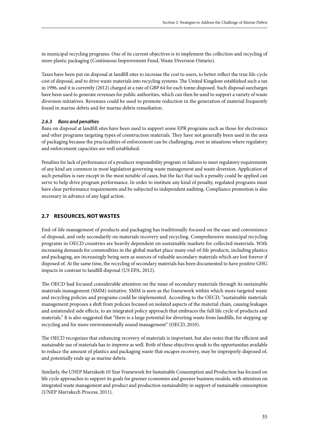in municipal recycling programs. One of its current objectives is to implement the collection and recycling of more plastic packaging (Continuous Improvement Fund, Waste Diversion Ontario).

Taxes have been put on disposal at landfill sites to increase the cost to users, to better reflect the true life-cycle cost of disposal, and to drive waste materials into recycling systems. The United Kingdom established such a tax in 1996, and it is currently (2012) charged at a rate of GBP 64 for each tonne disposed. Such disposal surcharges have been used to generate revenues for public authorities, which can then be used to support a variety of waste diversion initiatives. Revenues could be used to promote reduction in the generation of material frequently found in marine debris and for marine debris remediation.

#### *2.6.3 Bans and penalties*

Bans on disposal at landfill sites have been used to support some EPR programs such as those for electronics and other programs targeting types of construction materials. They have not generally been used in the area of packaging because the practicalities of enforcement can be challenging, even in situations where regulatory and enforcement capacities are well established.

Penalties for lack of performance of a producer responsibility program or failures to meet regulatory requirements of any kind are common in most legislation governing waste management and waste diversion. Application of such penalties is rare except in the most notable of cases, but the fact that such a penalty could be applied can serve to help drive program performance. In order to institute any kind of penalty, regulated programs must have clear performance requirements and be subjected to independent auditing. Compliance promotion is also necessary in advance of any legal action.

#### **2.7 Resources, not wastes**

End-of-life management of products and packaging has traditionally focused on the ease and convenience of disposal, and only secondarily on materials recovery and recycling. Comprehensive municipal recycling programs in OECD countries are heavily dependent on sustainable markets for collected materials. With increasing demands for commodities in the global market place many end-of-life products, including plastics and packaging, are increasingly being seen as sources of valuable secondary materials which are lost forever if disposed of. At the same time, the recycling of secondary materials has been documented to have positive GHG impacts in contrast to landfill disposal (US EPA, 2012).

The OECD had focused considerable attention on the issue of secondary materials through its sustainable materials management (SMM) initiative. SMM is seen as the framework within which more targeted waste and recycling policies and programs could be implemented. According to the OECD, "sustainable materials management proposes a shift from policies focused on isolated aspects of the material chain, causing leakages and unintended side effects, to an integrated policy approach that embraces the full life cycle of products and materials." It is also suggested that "there is a large potential for diverting waste from landfills, for stepping up recycling and for more environmentally sound management" (OECD, 2010).

The OECD recognizes that enhancing recovery of materials is important, but also notes that the efficient and sustainable use of materials has to improve as well. Both of these objectives speak to the opportunities available to reduce the amount of plastics and packaging waste that escapes recovery, may be improperly disposed of, and potentially ends up as marine debris.

Similarly, the UNEP Marrakesh 10 Year Framework for Sustainable Consumption and Production has focused on life cycle approaches to support its goals for greener economies and greener business models, with attention on integrated waste management and product and production sustainability in support of sustainable consumption (UNEP Marrakech Process, 2011).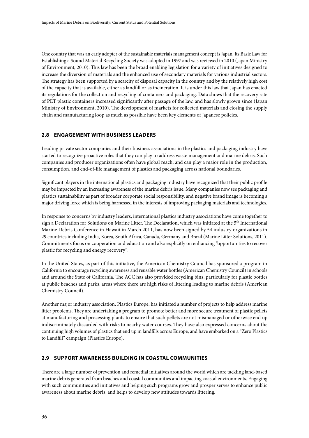One country that was an early adopter of the sustainable materials management concept is Japan. Its Basic Law for Establishing a Sound Material Recycling Society was adopted in 1997 and was reviewed in 2010 (Japan Ministry of Environment, 2010). This law has been the broad enabling legislation for a variety of initiatives designed to increase the diversion of materials and the enhanced use of secondary materials for various industrial sectors. The strategy has been supported by a scarcity of disposal capacity in the country and by the relatively high cost of the capacity that is available, either as landfill or as incineration. It is under this law that Japan has enacted its regulations for the collection and recycling of containers and packaging. Data shows that the recovery rate of PET plastic containers increased significantly after passage of the law, and has slowly grown since (Japan Ministry of Environment, 2010). The development of markets for collected materials and closing the supply chain and manufacturing loop as much as possible have been key elements of Japanese policies.

#### **2.8 Engagement with business leaders**

Leading private sector companies and their business associations in the plastics and packaging industry have started to recognize proactive roles that they can play to address waste management and marine debris. Such companies and producer organizations often have global reach, and can play a major role in the production, consumption, and end-of-life management of plastics and packaging across national boundaries.

Significant players in the international plastics and packaging industry have recognized that their public profile may be impacted by an increasing awareness of the marine debris issue. Many companies now see packaging and plastics sustainability as part of broader corporate social responsibility, and negative brand image is becoming a major driving force which is being harnessed in the interests of improving packaging materials and technologies.

In response to concerns by industry leaders, international plastics industry associations have come together to sign a Declaration for Solutions on Marine Litter. The Declaration, which was initiated at the 5<sup>th</sup> International Marine Debris Conference in Hawaii in March 2011, has now been signed by 54 industry organizations in 29 countries including India, Korea, South Africa, Canada, Germany and Brazil (Marine Litter Solutions, 2011). Commitments focus on cooperation and education and also explicitly on enhancing "opportunities to recover plastic for recycling and energy recovery".

In the United States, as part of this initiative, the American Chemistry Council has sponsored a program in California to encourage recycling awareness and reusable water bottles (American Chemistry Council) in schools and around the State of California. The ACC has also provided recycling bins, particularly for plastic bottles at public beaches and parks, areas where there are high risks of littering leading to marine debris (American Chemistry Council).

Another major industry association, Plastics Europe, has initiated a number of projects to help address marine litter problems. They are undertaking a program to promote better and more secure treatment of plastic pellets at manufacturing and processing plants to ensure that such pellets are not mismanaged or otherwise end up indiscriminately discarded with risks to nearby water courses. They have also expressed concerns about the continuing high volumes of plastics that end up in landfills across Europe, and have embarked on a "Zero Plastics to Landfill" campaign (Plastics Europe).

#### **2.9 Support awareness building in coastal communities**

There are a large number of prevention and remedial initiatives around the world which are tackling land-based marine debris generated from beaches and coastal communities and impacting coastal environments. Engaging with such communities and initiatives and helping such programs grow and prosper serves to enhance public awareness about marine debris, and helps to develop new attitudes towards littering.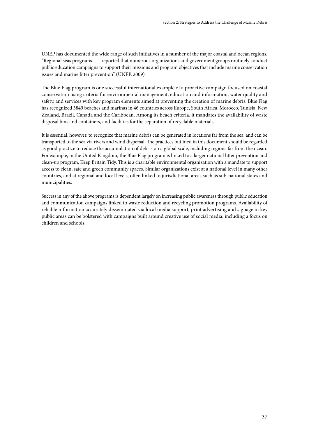UNEP has documented the wide range of such initiatives in a number of the major coastal and ocean regions. "Regional seas programs ---- reported that numerous organizations and government groups routinely conduct public education campaigns to support their missions and program objectives that include marine conservation issues and marine litter prevention" (UNEP, 2009)

The Blue Flag program is one successful international example of a proactive campaign focused on coastal conservation using criteria for environmental management, education and information, water quality and safety, and services with key program elements aimed at preventing the creation of marine debris. Blue Flag has recognized 3849 beaches and marinas in 46 countries across Europe, South Africa, Morocco, Tunisia, New Zealand, Brazil, Canada and the Caribbean. Among its beach criteria, it mandates the availability of waste disposal bins and containers, and facilities for the separation of recyclable materials.

It is essential, however, to recognize that marine debris can be generated in locations far from the sea, and can be transported to the sea via rivers and wind dispersal. The practices outlined in this document should be regarded as good practice to reduce the accumulation of debris on a global scale, including regions far from the ocean. For example, in the United Kingdom, the Blue Flag program is linked to a larger national litter prevention and clean-up program, Keep Britain Tidy. This is a charitable environmental organization with a mandate to support access to clean, safe and green community spaces. Similar organizations exist at a national level in many other countries, and at regional and local levels, often linked to jurisdictional areas such as sub-national states and municipalities.

Success in any of the above programs is dependent largely on increasing public awareness through public education and communication campaigns linked to waste reduction and recycling promotion programs. Availability of reliable information accurately disseminated via local media support, print advertising and signage in key public areas can be bolstered with campaigns built around creative use of social media, including a focus on children and schools.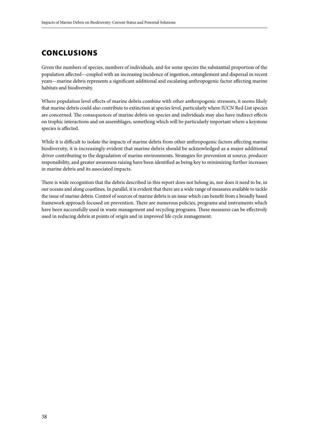### **CONCLUSIONS**

Given the numbers of species, numbers of individuals, and for some species the substantial proportion of the population affected—coupled with an increasing incidence of ingestion, entanglement and dispersal in recent years—marine debris represents a significant additional and escalating anthropogenic factor affecting marine habitats and biodiversity.

Where population level effects of marine debris combine with other anthropogenic stressors, it seems likely that marine debris could also contribute to extinction at species level, particularly where IUCN Red List species are concerned. The consequences of marine debris on species and individuals may also have indirect effects on trophic interactions and on assemblages, something which will be particularly important where a keystone species is affected.

While it is difficult to isolate the impacts of marine debris from other anthropogenic factors affecting marine biodiversity, it is increasingly evident that marine debris should be acknowledged as a major additional driver contributing to the degradation of marine environments. Strategies for prevention at source, producer responsibility, and greater awareness raising have been identified as being key to minimizing further increases in marine debris and its associated impacts.

There is wide recognition that the debris described in this report does not belong in, nor does it need to be, in our oceans and along coastlines. In parallel, it is evident that there are a wide range of measures available to tackle the issue of marine debris. Control of sources of marine debris is an issue which can benefit from a broadly based framework approach focused on prevention. There are numerous policies, programs and instruments which have been successfully used in waste management and recycling programs. These measures can be effectively used in reducing debris at points of origin and in improved life cycle management.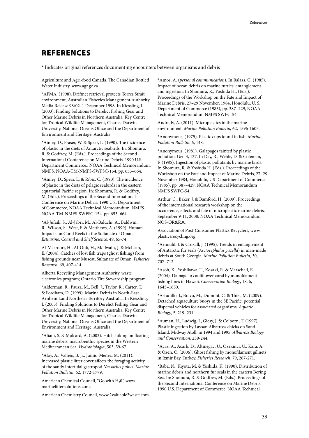### **REFERENCES**

\* Indicates original references documenting encounters between organisms and debris

Agriculture and Agri-food Canada, The Canadian Bottled Water Industry, www.agr.gc.ca

\*AFMA. (1998). Driftnet retrieval protects Torres Strait environment, Australian Fisheries Management Authority Media Release 98/02. 1 December 1998. In Kiessling, I. (2003). Finding Solutions to Derelict Fishing Gear and Other Marine Debris in Northern Australia. Key Centre for Tropical Wildlife Management, Charles Darwin University, National Oceans Office and the Department of Environment and Heritage, Australia.

\*Ainley, D., Fraser, W. & Spear, L. (1990). The incidence of plastic in the diets of Antarctic seabirds. In: Shomura, R. & Godfrey, M. (Eds.). Proceedings of the Second International Conference on Marine Debris. 1990 U.S. Department Commerce., NOAA Technical Memorandum. NMFS. NOAA-TM-NMFS-SWFSC-154. pp. 653–664.

\*Ainley, D., Spear, L. & Ribic, C. (1990). The incidence of plastic in the diets of pelagic seabirds in the eastern equatorial Pacific region. In: Shomura, R. & Godfrey, M. (Eds.). Proceedings of the Second International Conference on Marine Debris. 1990 U.S. Department of Commerce, NOAA Technical Memorandum. NMFS. NOAA-TM-NMFS-SWFSC-154. pp. 653–664.

\*Al-Jufaili, S., Al-Jabri, M., Al-Baluchi, A., Baldwin, R., Wilson, S., West, F. & Matthews, A. (1999). Human Impacts on Coral Reefs in the Sultanate of Oman. *Estuarine, Coastal and Shelf Science*, 49, 65-74.

Al-Masroori, H., Al-Oufi, H., McIlwain, J. & McLean, E. (2004). Catches of lost fish traps (ghost fishing) from fishing grounds near Muscat, Sultanate of Oman. *Fisheries Research*, 69, 407-414.

Alberta Recycling Management Authority, waste electronics program; Ontario Tire Stewardship program

\*Alderman, R., Pauza, M., Bell, J., Taylor, R., Carter, T. & Fordham, D. (1999). Marine Debris in North-East Arnhem Land Northern Territory Australia. In Kiessling, I. (2003). Finding Solutions to Derelict Fishing Gear and Other Marine Debris in Northern Australia. Key Centre for Tropical Wildlife Management, Charles Darwin University, National Oceans Office and the Department of Environment and Heritage, Australia.

\*Aliani, S. & Molcard, A. (2003). Hitch-hiking on floating marine debris: macrobenthic species in the Western Mediterranean Sea. *Hydrobiologia*, 503, 59-67.

\*Aloy, A., Vallejo, B. Jr., Juinio-Meñez, M. (2011). Increased plastic litter cover affects the foraging activity of the sandy intertidal gastropod *Nassarius pullus*. *Marine Pollution Bulletin*, 62, 1772-1779.

American Chemical Council, "Go with  $H_20$ ", www. marinelittersolutions.com.

American Chemistry Council, www.2valuable2waste.com.

\*Amos, A. (*personal communication*). In Balazs, G. (1985). Impact of ocean debris on marine turtles: entanglement and ingestion. In Shomura, R., Yoshida H., (Eds.). Proceedings of the Workshop on the Fate and Impact of Marine Debris, 27–29 November, 1984, Honolulu, U. S. Department of Commerce (1985), pp. 387–429, NOAA Technical Memorandum NMFS SWFC-54.

Andrady, A. (2011). Microplastics in the marine environment. *Marine Pollution Bulletin,* 62, 1596-1605.

\*Anonymous, (1975). Plastic cups found in fish. *Marine Pollution Bulletin*, 6, 148.

\*Anonymous, (1981). Galapagos tainted by plastic pollution. Geo 3, 137. In Day, R., Wehle, D. & Coleman, F. (1985). Ingestion of plastic pollutants by marine birds. In Shomura, R. & Yoshida H. (Eds.). Proceedings of the Workshop on the Fate and Impact of Marine Debris, 27–29 November 1984, Honolulu, US Department of Commerce (1985), pp. 387–429, NOAA Technical Memorandum NMFS SWFC-54.

Arthur, C., Baker, J. & Bamford, H. (2009). Proceedings of the international research workshop on the occurrence, effects and fate of microplastic marine debris. September 9-11, 2008: NOAA Technical Memorandum NOS-OR&R30.

Association of Post-Consumer Plastics Recyclers, www. plasticsrecycling.org.

\*Arnould, J. & Croxall, J. (1995). Trends in entanglement of Antarctic fur seals (*Arctocephalus gazella*) in man-made debris at South Georgia. *Marine Pollution Bulletin*, 30, 707–712.

\*Asoh, K., Yoshikawa, T., Kosaki, R. & Marschall, E. (2004). Damage to cauliflower coral by monofilament fishing lines in Hawaii. *Conservation Biology*, 18, 6, 1645–1650.

\*Astudillo, J., Bravo, M., Dumont, C. & Thiel, M. (2009). Detached aquaculture buoys in the SE Pacific: potential dispersal vehicles for associated organisms. *Aquatic Biology*, 5, 219–231.

\*Auman, H., Ludwig, J., Giesy, J. & Colborn, T. (1997). Plastic ingestion by Laysan Albatross chicks on Sand Island, Midway Atoll, in 1994 and 1995. *Albatross Biology and Conservation*, 239-244.

\*Ayaz, A., Acarli, D., Altinegac, U., Ozekinci, U., Kara, A. & Ozen, O. (2006). Ghost fishing by monofilament gillnets in Izmir Bay, Turkey. *Fisheries Research*, 79, 267-271.

\*Baba, N., Kiyota, M. & Yoshida, K. (1990). Distribution of marine debris and northern fur seals in the eastern Bering Sea. In: Shomura, R. & Godfrey, M. (Eds.). Proceedings of the Second International Conference on Marine Debris. 1990 U.S. Department of Commerce, NOAA Technical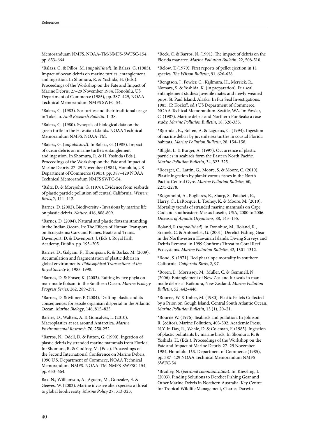Memoranduam NMFS. NOAA-TM-NMFS-SWFSC-154. pp. 653–664.

\*Balazs, G. & Pillos, M. (*unpublished*). In Balazs, G. (1985). Impact of ocean debris on marine turtles: entanglement and ingestion. In Shomura, R. & Yoshida, H. (Eds.). Proceedings of the Workshop on the Fate and Impact of Marine Debris, 27–29 November 1984, Honolulu, US Department of Commerce (1985), pp. 387–429, NOAA Technical Memorandum NMFS SWFC-54.

\*Balazs, G. (1983). Sea turtles and their traditional usage in Tokelau. *Atoll Research Bulletin*. 1–38.

\*Balazs, G. (1980). Synopsis of biological data on the green turtle in the Hawaiian Islands. NOAA Technical Memorandum NMFS. NOAA-TM.

\*Balazs, G. (*unpublished*). In Balazs, G. (1985). Impact of ocean debris on marine turtles: entanglement and ingestion. In Shomura, R. & H. Yoshida (Eds.). Proceedings of the Workshop on the Fate and Impact of Marine Debris, 27–29 November (1984), Honolulu, US Department of Commerce (1985), pp. 387–429 NOAA Technical Memorandum NMFS SWFC-54.

\*Baltz, D. & Morejohn, G. (1976). Evidence from seabirds of plastic particle pollution off central California. *Western Birds*, 7, 111–112.

Barnes, D. (2002). Biodiversity - Invasions by marine life on plastic debris. *Nature,* 416, 808-809.

\*Barnes, D. (2004). Natural and plastic flotsam stranding in the Indian Ocean. In: The Effects of Human Transport on Ecosystems: Cars and Planes, Boats and Trains. Davenport, D. & Davenport, J. (Eds.). Royal Irish Academy, Dublin. pp. 193–205.

Barnes, D., Galgani, F., Thompson, R. & Barlaz, M. (2009). Accumulation and fragmentation of plastic debris in global environments. *Philosophical Transactions of the Royal Society B*, 1985-1998.

\*Barnes, D. & Fraser, K. (2003). Rafting by five phyla on man-made flotsam in the Southern Ocean. *Marine Ecology Progress Series*, 262, 289–291.

\*Barnes, D. & Milner, P. (2004). Drifting plastic and its consequences for sessile organism dispersal in the Atlantic Ocean. *Marine Biology*, 146, 815–825.

Barnes, D., Walters, A. & Goncalves, L. (2010). Macroplastics at sea around Antarctica. *Marine Environmental Research,* 70, 250-252.

\*Barros, N., Odell, D. & Patton, G. (1990). Ingestion of plastic debris by stranded marine mammals from Florida. In: Shomura, R. & Godfrey, M. (Eds.). Proceedings of the Second International Conference on Marine Debris. 1990 U.S. Department of Commece, NOAA Technical Memorandum. NMFS. NOAA-TM-NMFS-SWFSC-154. pp. 653–664.

Bax, N., Williamson, A., Aguero, M., Gonzalez, E. & Geeves, W. (2003). Marine invasive alien species: a threat to global biodiversity. *Marine Policy* 27, 313-323.

\*Beck, C. & Barros, N. (1991). The impact of debris on the Florida manatee. *Marine Pollution Bulletin*, 22, 508-510.

\*Below, T. (1979). First reports of pellet ejection in 11 species. *The Wilson Bulletin*, 91, 626-628.

\*Bengtson, J., Fowler. C., Kajlmura, H., Merriek, R., Nomara, S. & Yoshida, K. (in preparation). Fur seal entanglement studies: Juvenile mates and newly-weaned pups, St. Paul Island, Alaska. In Fur Seal Investigations, 1985. (P. Kozloff, ed.) US Department of Commerce, NOAA Techical Memorandum. Seattle, WA. In: Fowler, C. (1987). Marine debris and Northern Fur Seals: a case study. *Marine Pollution Bulletin*, 18, 326-335.

\*Bjorndal, K., Bolten, A. & Lagueux, C. (1994). Ingestion of marine debris by juvenile sea turtles in coastal Florida habitats. *Marine Pollution Bulletin*, 28, 154–158.

\*Blight, L. & Burger, A. (1997). Occurrence of plastic particles in seabirds form the Eastern North Pacific. *Marine Pollution Bulletin*, 34, 323-325.

\*Boerger, C., Lattin, G., Moore, S. & Moore, C. (2010). Plastic ingestion by planktivorous fishes in the North Pacific Central Gyre. *Marine Pollution Bulletin,* 60, 2275-2278.

\*Bogomolni, A., Pugliares, K., Sharp, S., Patchett, K., Harry, C., LaRocque, J., Touhey, K. & Moore, M. (2010). Mortality trends of stranded marine mammals on Cape Cod and southeastern Massachusetts, USA, 2000 to 2006. *Diseases of Aquatic Organisms*, 88, 143–155.

Boland, R (*unpublished*). in Donohue, M., Boland, R., Sramek, C. & Antonelist, G. (2001). Derelict Fishing Gear in the Northwestern Hawaiian Islands: Diving Surveys and Debris Removal in 1999 Confirms Threat to Coral Reef Ecosystems. *Marine Pollution Bulletin*, 42, 1301-1312.

\*Bond, S. (1971). Red pharalope mortality in southern California. *California Birds*, 2, 97.

\*Boren, L., Morrissey, M., Muller, C. & Gemmell, N. (2006). Entanglement of New Zealand fur seals in manmade debris at Kaikoura, New Zealand. *Marine Pollution Bulletin*, 52, 442–446.

\*Bourne, W. & Imber, M. (1980). Plastic Pellets Collected by a Prion on Gough Island, Central South Atlantic Ocean. *Marine Pollution Bulletin*, 13 (1), 20–21.

\*Bourne W. (1976). Seabirds and pollution. In Johnson R. (editor). Marine Pollution, 403-502. Academic Press, N.Y. In Day, R., Wehle, D. & Coleman, F. (1985). Ingestion of plastic pollutants by marine birds. In Shomura, R. & Yoshida, H. (Eds.). Proceedings of the Workshop on the Fate and Impact of Marine Debris, 27–29 November 1984, Honolulu, U.S. Department of Commerce (1985), pp. 387–429 NOAA Technical Memorandum NMFS SWFC-54

\*Bradley, N. (*personal communication*). In: Kiessling, I. (2003). Finding Solutions to Derelict Fishing Gear and Other Marine Debris in Northern Australia. Key Centre for Tropical Wildlife Management, Charles Darwin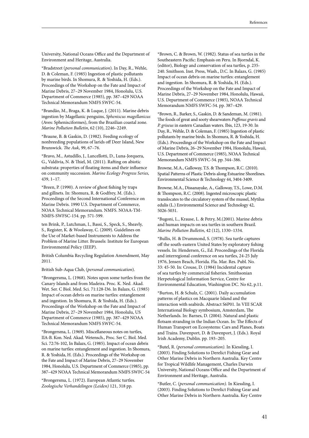University, National Oceans Office and the Department of Environment and Heritage, Australia.

\*Bradstreet (*personal communication*). In Day, R., Wehle, D. & Coleman, F. (1985) Ingestion of plastic pollutants by marine birds. In Shomura, R. & Yoshida, H. (Eds.). Proceedings of the Workshop on the Fate and Impact of Marine Debris, 27–29 November 1984, Honolulu, U.S. Department of Commerce (1985), pp. 387–429 NOAA Technical Memorandum NMFS SWFC-54.

\*Brandão, M., Braga, K. & Luque, J. (2011). Marine debris ingestion by Magellanic penguins, *Spheniscus magellanicus* (Aves: Sphenisciformes), from the Brazilian coastal zone. *Marine Pollution Bulletin*, 62 (10), 2246–2249.

\*Braune, B. & Gaskin, D. (1982). Feeding ecology of nonbreeding populations of larids off Deer Island, New Brunswick. *The Auk*, 99, 67–76.

\*Bravo, M., Astudillo, J., Lancellotti, D., Luna-Jorquera, G., Valdivia, N. & Thiel, M. (2011). Rafting on abiotic substrata: properties of floating items and their influence on community succession. *Marine Ecology Progress Series*, 439, 1–17.

\*Breen, P. (1990). A review of ghost fishing by traps and gillnets. In: Shomura, R. & Godfrey, M. (Eds.). Proceedings of the Second International Conference on Marine Debris. 1990 U.S. Department of Commerce, NOAA Technical Memorandum. NMFS. NOAA-TM-NMFS-SWFSC-154. pp. 571-599.

ten Brink, P., Lutchman, I., Bassi, S., Speck, S., Sheavly, S., Register, K. & Woolaway, C. (2009). Guidelines on the Use of Market-based Instruments to Address the Problem of Marine Litter. Brussels: Institute for European Environmental Policy (IEEP).

British Columbia Recycling Regulation Amendment, May 2011.

British Sub-Aqua Club, (*personal communication*).

\*Brongersma, L. (1968). Notes upon some turtles from the Canary Islands and from Madeira. Proc. K. Ned. Akad. Wet. Ser. C Biol. Med. Sci. 71:128-l36. In Balazs, G. (1985) Impact of ocean debris on marine turtles: entanglement and ingestion. In Shomura, R. & Yoshida, H. (Eds.). Proceedings of the Workshop on the Fate and Impact of Marine Debris, 27–29 November 1984, Honolulu, US Department of Commerce (1985), pp. 387–429 NOAA Technical Memorandum NMFS SWFC-54.

\*Brongersma, L. (1969). Miscellaneous notes on turtles, IIA-B. Kon. Ned. Akad. Wetensch., Proc. Ser C. Biol. Med. Sci. 72:76-102, In Balazs, G. (1985). Impact of ocean debris on marine turtles: entanglement and ingestion. In Shomura, R. & Yoshida, H. (Eds.). Proceedings of the Workshop on the Fate and Impact of Marine Debris, 27–29 November 1984, Honolulu, U.S. Department of Commerce (1985), pp. 387–429 NOAA Technical Memorandum NMFS SWFC-54

\*Brongersma, L. (1972). European Atlantic turtles. *Zoologische Verhandelingen (Leiden)* 121, 318 pp.

\*Brown, C. & Brown, W. (1982). Status of sea turtles in the Southeastern Pacific: Emphasis on Peru. In Bjorndal, K. (editor), Biology and conservation of sea turtles, p. 235- 240. Smithson. Inst. Press, Wash., D.C. In Balazs, G. (1985) Impact of ocean debris on marine turtles: entanglement and ingestion. In Shomura, R. & Yoshida, H. (Eds.). Proceedings of the Workshop on the Fate and Impact of Marine Debris, 27–29 November 1984, Honolulu, Hawaii, U.S. Department of Commerce (1985), NOAA Technical Memorandum NMFS SWFC-54. pp. 387–429.

\*Brown, R., Barker, S., Gaskin, D. & Sandeman, M. (1981). The foods of great and sooty shearwaters *Puffinus gravis* and *P. griseus* in eastern Canadian waters. Ibis, 123, 19-30. In Day, R., Wehle, D. & Coleman, F. (1985) Ingestion of plastic pollutants by marine birds. In Shomura, R. & Yoshida, H. (Eds.). Proceedings of the Workshop on the Fate and Impact of Marine Debris, 26–29 November 1984, Honolulu, Hawaii, U.S. Department of Commerce (1985), NOAA Technical Memorandum NMFS SWFC-54. pp. 344–386.

Browne, M.A., Galloway, T.S. & Thompson, R.C. (2010). Spatial Patterns of Plastic Debris along Estuarine Shorelines. Environmental Science & Technology 44, 3404-3409.

Browne, M.A., Dissanayake, A., Galloway, T.S., Lowe, D.M. & Thompson, R.C. (2008). Ingested microscopic plastic translocates to the circulatory system of the mussel, Mytilus edulis (L.) Environmental Science and Technology 42, 5026-5031.

\*Bugoni, L., Krause, L. & Petry, M.(2001). Marine debris and human impacts on sea turtles in southern Brazil. *Marine Pollution Bulletin*, 42 (12), 1330–1334.

\*Bullis, H. & Drummond, S. (1978). Sea turtle captures off the south-eastern United States by exploratory fishing vessels. In: Hendersen, G., Ed. Proceedings of the Florida and interregional conference on sea turtles, 24-25 July 1976, Jensen Beach, Florida. Fla. Mar. Res. Publ. No. 33: 45-50. In: Crouse, D. (1984) Incidental capture of sea turtles by commercial fisheries. Smithsonian Herpetological Information Service, Centre for Environmental Education, Washington DC. No 62, p.11.

\*Burton, H. & Schulz, C. (2001). Daily accumulation patterns of plastics on Macquarie Island and the interaction with seabirds. Abstract S6P01. In VIII SCAR International Biology symbosium, Amsterdam, The Netherlands. In: Barnes, D. (2004). Natural and plastic flotsam stranding in the Indian Ocean. In: The Effects of Human Transport on Ecosystems: Cars and Planes, Boats and Trains. Davenport, D. & Davenport, J. (Eds.). Royal Irish Academy, Dublin. pp. 193–205.

\*Butel, R. (*personal communication).* In Kiessling, I. (2003). Finding Solutions to Derelict Fishing Gear and Other Marine Debris in Northern Australia. Key Centre for Tropical Wildlife Management, Charles Darwin University, National Oceans Office and the Department of Environment and Heritage, Australia.

\*Butler, C. (*personal communication).* In Kiessling, I. (2003). Finding Solutions to Derelict Fishing Gear and Other Marine Debris in Northern Australia. Key Centre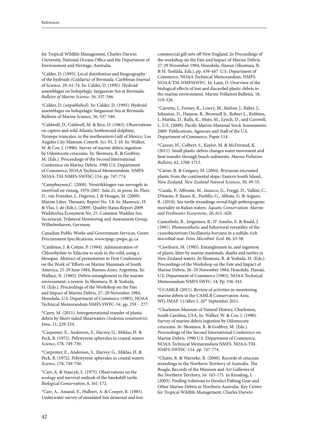for Tropical Wildlife Management, Charles Darwin University, National Oceans Office and the Department of Environment and Heritage, Australia.

\*Calder, D. (1993). Local distribution and biogeography of the hydroids (Cnidaria) of Bermuda. Caribbean Journal of Science, 29, 61-74. In: Calder, D. (1995). Hydroid assemblages on holopelagic Sargassum Sea at Bermuda. *Bulletin of Marine Science*, 56, 537-546.

\*Calder, D. (*unpublished*). In: Calder, D. (1995). Hydroid assemblages on holopelagic Sargassum Sea at Bermuda. Bulletin of Marine Science, 56, 537-546.

\*Caldwell, D., Caldwell, M. & Rice, D. (1965). Observations on captive and wild Atlantic bottlenosed dolphins, Tursiops truncates, in the northeastern Gulf of Mexico. Los Angeles City Museum Contrib. Sci. 91, 2-10. In: Walker, W. & Coe, J. (1990). Survey of marine debris ingestion by Odontocete cetaceans. In: Shomura, R. & Godfrey, M. (Eds.). Proceedings of the Second International Conference on Marine Debris. 1990 U.S. Department of Commerce, NOAA Technical Memorandum. NMFS. NOAA-TM-NMFS-SWFSC-154. pp. 747-774.

\*Camphuysen,C. (2008). Verstrikkingen van zeevogels in zwerfvuil en vistuig, 1970-2007. Sula 21, in press. In: Fleet, D., van Franeker, J., Dagevos, J. & Hougee, M. (2009). Marine Litter. Thematic Report No. 3.8. In: Marencic, H. & Vlas, J. de (Eds.), (2009). Quality Status Report 2009. WaddenSea Ecosystem No. 25. Common Wadden Sea Secretariat, Trilateral Monitoring and Assessment Group, Wilhelmshaven, Germany.

Canadian Public Works and Government Services, Green Procurement Specifications, www.tpsgc-pwgsc.gc.ca .

\*Cardenas, J. & Cattan, P. (1984). Administration of Chlorohydate to Xilacina to seals in the wild, using a blowgun. Abstract of presentation to First Conference on the Work of 'Efforts on Marine Mammals of South America, 25-29 June 1984, Buenos Aires, Argentina. In: Wallace, N. (1985). Debris entanglement in the marine environment: a review. In Shomura, R. & Yoshida, H. (Eds.). Proceedings of the Workshop on the Fate and Impact of Marine Debris, 27–29 November 1984, Honolulu, U.S. Department of Commerce (1985), NOAA Technical Memorandum NMFS SWFC-54. pp. 259 – 277.

\*Carey, M. (2011). Intergenerational transfer of plastic debris by Short-tailed Shearwaters (*Ardenna tenuirostris*). *Emu*, 11, 229-234.

\*Carpenter, E., Anderson, S., Harvey, G., Miklas, H. & Peck, B. (1972). Polystyrene spherules in coastal waters. *Science*, 178, 749-750.

\*Carpenter, E., Anderson, S., Harvey, G., Miklas, H. & Peck, B. (1972). Polystyrene spherules in coastal waters. *Science*, 178, 749-750.

\*Carr, A. & Stancyk, S. (1975). Observations on the ecology and survival outlook of the hawksbill turtle. *Biological Conservation*, 8, 161-172.

\*Carr, A., Amaral, E., Hulbert, A. & Cooper, R. (1985). Underwater survey of simulated lost demersal and lost commercial gill nets off New England. In Proceedings of the workshop on the Fate and lmpact of Marine Debris, 27-29 November 1984, Honolulu, Hawaii (Shomura, R. & H. Yoshlda, Eds.), pp. 439-447. U.S. Department of Commerce, NOAA Technical Memorandum, NMFS. NOAA-TM-NMFSSWFC. In: Laist, D. Overview of the biological effects of lost and discarded plastic debris in the marine environment. Marine Pollution Bulletin, 18, 319-326.

\*Carretta, J., Forney, K., Lowry, M., Barlow, J., Baker, J., Johnston, D., Hanson, B., Brownell Jr., Robert L., Robbins, J., Mattila, D., Ralls, K., Muto, M., Lynch, D., and Carswell, L. U.S. (2009). Pacific Marine Mammal Stock Assessments: 2009. Publications, Agencies and Staff of the U.S. Department of Commerce. Paper 114.

\*Carson, H., Colbert, S., Kaylor, M. & McDermid, K. (2011). Small plastic debris changes water movement and heat transfer through beach sediments. *Marine Pollution Bulletin*, 62, 1708-1713.

\*Carter, R. & Gregory, M. (2004). Bryozoan encrusted plastic from the continental slope: Eastern South Island, New Zealand. *New Zealand Natural Sciences*, 30, 49-55.

\*Casale, P., Affronte, M., Insacco, G., Freggi, D., Vallini, C., D'Astore, P, Basso, R., Paolillo, G., Abbate, G. & Argano, R. (2010). Sea turtle strandings reveal high anthropogenic mortality in Italian waters. *Aquatic Conservation: Marine and Freshwater Ecosystems*, 20, 611–620.

Castenholz, R., Jorgensen, B., D' Amelio, E. & Bauld, J. (1991). Photosynthetic and behavioral versatility of the cyanobacterium Oscillatoria boryana in a sulfide-rich microbial mat. *Fems Microbiol. Ecol.* 86, 43-58.

\*Cawthorn, M. (1985). Entanglement in, and ingestion of plastic litter by marine mammals, sharks and turtles in New Zealand waters. In Shomura, R. & Yoshida, H. (Eds.). Proceedings of the Workshop on the Fate and Impact of Marine Debris, 26–29 November 1984, Honolulu, Hawaii, U.S. Department of Commerce (1985), NOAA Technical Memorandum NMFS SWFC-54. Pp. 336-343.

\*CCAMLR (2011). Review of activities in monitoring marine debris in the CAMLR Conservation Area. WG-IMAF-11/4Rev.1. 26<sup>th</sup> September 2011.

\*Charleston Museum of Natural History, Charleston, South Carolina, USA, In: Walker, W. & Coe, J. (1990). Survey of marine debris ingestion by Odontocete cetaceans. In: Shomura, R. & Godfrey, M. (Eds.). Proceedings of the Second International Conference on Marine Debris. 1990 U.S. Department of Commerce, NOAA Technical Memorandum NMFS. NOAA-TM-NMFS-SWFSC-154. pp. 747-774.

\*Chatto, R. & Warneke, R. (2000). Records of cetacean strandings in the Northern Territory of Australia. The Beagle, Records of the Museum and Art Galleries of the Northern Territory, 16: 163-175. In Kiessling, I. (2003). Finding Solutions to Derelict Fishing Gear and Other Marine Debris in Northern Australia. Key Centre for Tropical Wildlife Management, Charles Darwin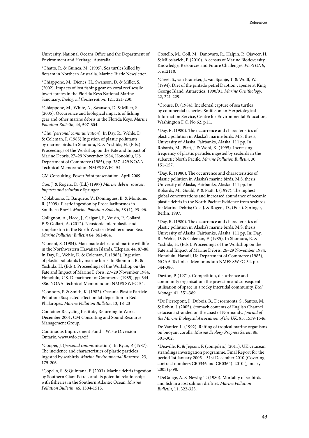University, National Oceans Office and the Department of Environment and Heritage, Australia.

\*Chatto, R. & Guinea, M. (1995). Sea turtles killed by flotsam in Northern Australia. Marine Turtle Newsletter.

\*Chiappone, M., Dienes, H., Swanson, D. & Miller, S. (2002). Impacts of lost fishing gear on coral reef sessile invertebrates in the Florida Keys National Marine Sanctuary. *Biological Conservation*, 121, 221-230.

\*Chiappone, M., White, A., Swanson, D. & Miller, S. (2005). Occurrence and biological impacts of fishing gear and other marine debris in the Florida Keys. *Marine Pollution Bulletin*, 44, 597-604.

\*Chu (*personal communication*). In Day, R., Wehle, D. & Coleman, F. (1985) Ingestion of plastic pollutants by marine birds. In Shomura, R. & Yoshida, H. (Eds.). Proceedings of the Workshop on the Fate and Impact of Marine Debris, 27–29 November 1984, Honolulu, US Department of Commerce (1985), pp. 387–429 NOAA Technical Memorandum NMFS SWFC-54.

CM Consulting, PowerPoint presentation. April 2009.

Coe, J. & Rogers, D. (Ed.) (1997) *Marine debris: sources, impacts and solutions*: Springer.

\*Colabuono, F., Barquete, V., Domingues, B. & Montone, R. (2009). Plastic ingestion by Procellariiformes in Southern Brazil. *Marine Pollution Bulletin*, 58 (1), 93–96.

Collignon, A., Hecq, J., Galgani, F., Voisin, P., Collard, F. & Goffart, A. (2012). Neustonic microplastic and zooplankton in the North Western Mediterranean Sea. *Marine Pollution Bulletin* 64, 861-864.

\*Conant, S. (1984). Man-made debris and marine wildlife in the Northwestern Hawaiian Islands. 'Elepaio, 44, 87-88. In Day, R., Wehle, D. & Coleman, F. (1985). Ingestion of plastic pollutants by marine birds. In Shomura, R. & Yoshida, H. (Eds.). Proceedings of the Workshop on the Fate and Impact of Marine Debris, 27–29 November 1984, Honolulu, U.S. Department of Commerce (1985), pp. 344- 886. NOAA Technical Memorandum NMFS SWFC-54.

\*Connors, P. & Smith, K. (1982). Oceanic Plastic Particle Pollution: Suspected effect on fat deposition in Red Phalaropes. *Marine Pollution Bulletin*, 13, 18-20

Container Recycling Institute, Returning to Work. December 2001, CM Consulting and Sound Resource Management Group.

Continuous Improvement Fund – Waste Diversion Ontario, www.wdo.ca/cif

\*Cooper, J. (*personal comm*unication). In Ryan, P. (1987). The incidence and characteristics of plastic particles ingested by seabirds. *Marine Environmental Research*, 23, 175-206.

\*Copello, S. & Quintana, F. (2003). Marine debris ingestion by Southern Giant Petrels and its potential relationships with fisheries in the Southern Atlantic Ocean. *Marine Pollution Bulletin*, 46, 1504-1515.

Costello, M., Coll, M., Danovaro, R., Halpin, P., Ojaveer, H. & Miloslavich, P. (2010). A census of Marine Biodoversity Knowledge, Resources and Future Challenges. *PLoS ONE*, 5, e12110.

\*Creet, S., van Franeker, J., van Spanje, T. & Wolff, W. (1994). Diet of the pintado petrel Daption capense at King George Island, Antarctica, 1990/91. *Marine Ornithology*, 22, 221-229.

\*Crouse, D. (1984). Incidental capture of sea turtles by commercial fisheries. Smithsonian Herpetological Information Service, Centre for Environmental Education, Washington DC. No 62, p.11.

\*Day, R. (1980). The occurrence and characteristics of plastic pollution in Alaska's marine birds. M.S. thesis, University of Alaska, Fairbanks, Alaska. 111 pp. In Robards, M., Piatt, J. & Wohl, K. (1995). Increasing frequency of plastic particles ingested by seabirds in the subarctic North Pacific. *Marine Pollution Bulletin*, 30, 151-157.

\*Day, R. (1980). The occurrence and characteristics of plastic pollution in Alaska's marine birds. M.S. thesis, University of Alaska, Fairbanks, Alaska. 111 pp. In: Robards, M., Gould, P. & Piatt, J. (1997). The highest global concentrations and increased abundance of oceanic plastic debris in the North Pacific: Evidence from seabirds. In: Marine Debris; Coe, J. & Rogers, D., (Eds.). Springer, Berlin, 1997.

\*Day, R. (1980). The occurrence and characteristics of plastic pollution in Alaska's marine birds. M.S. thesis, University of Alaska, Fairbanks, Alaska. 111 pp. In: Day, R., Wehle, D. & Coleman, F. (1985). In Shomura, R. & Yoshida, H. (Eds.). Proceedings of the Workshop on the Fate and Impact of Marine Debris, 26–29 November 1984, Honolulu, Hawaii, US Department of Commerce (1985), NOAA Technical Memorandum NMFS SWFC-54. pp. 344-386.

Dayton, P. (1971). Competition, disturbance and community organisation: the provision and subsequent utilisation of space in a rocky intertidal community. *Ecol. Monogr.* 41, 351-389.

\*De Pierrepont, J., Dubois, B., Desormonts, S., Santos, M. & Robin, J. (2005). Stomach contents of English Channel cetaceans stranded on the coast of Normandy. *Journal of the Marine Biological Association of the UK*, 85, 1539-1546.

De Vantier, L. (1992). Rafting of tropical marine organisms on buoyant corolla. *Marine Ecology Progress Series*, 86, 301-302.

\*Deaville, R. & Jepson, P. (compilers) (2011). UK cetacean strandings investigation programme. Final Report for the period 1st January 2005 – 31st December 2010 (Covering contract numbers CR0346 and CR0364). 2010 (January 2005) p.98.

\*DeGange, A. & Newby, T. (1980). Mortality of seabirds and fish in a lost salmon driftnet. *Marine Pollution Bulletin*, 11, 322-323.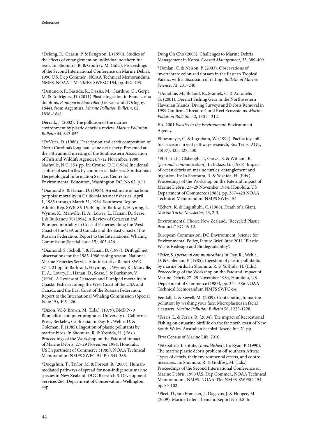\*Delong, R., Gearin, P. & Bengtson, J. (1990). Studies of the effects of entanglement on individual northern fur seals. In: Shomura, R. & Godfrey, M. (Eds.). Proceedings of the Second International Conference on Marine Debris. 1990 U.S. Dep Commer., NOAA Technical Memorandum. NMFS. NOAA-TM-NMFS-SWFSC-154, pp. 492–493.

\*Denuncio, P., Bastida, R., Dassis, M., Giardino, G., Gerpe, M. & Rodríguez, D. (2011) Plastic ingestion in Franciscana dolphins, *Pontoporia blainvillei* (Gervais and d'Orbigny, 1844), from Argentina. *Marine Pollution Bulletin*, 62, 1836–1841.

Derraik, J. (2002). The pollution of the marine environment by plastic debris: a review. *Marine Pollution Bulletin* 44, 842-852.

\*DeVries, D. (1980). Description and catch composition of North Carolina's long haul seine net fishery. Presented at: the 34th annual meeting of the Southeastern Association of Fish and Wildlife Agencies. 9-12 November, 1980, Nashville, N.C. 15+ pp. In: Crouse, D.T. (1984) Incidental capture of sea turtles by commercial fisheries. Smithsonian Herpetological Information Service, Centre for Environmental Education, Washington DC. No 62, p.11.

\*Diamond S. & Hanan, D. (1986). An estimate of harbour porpoise mortality in California set-net fisheries. April 1, 1983 through March 31, 1984. Southwest Region Admin. Rep. SWR-86-15. 40 pp. In Barlow, J., Heyning, J., Wynne, K., Manville, II, A., Lowry, L., Hanan, D., Sease, J. & Burkanov, V. (1994). A Review of Cetacean and Pinniped mortality in Coastal Fisheries along the West Coast of the USA and Canada and the East Coast of the Russian Federation. Report to the International Whaling Commission(Special Issue 15), 405-426.

\*Diamond, S., Scholl, J. & Hanan, D. (1987). Drift gill net observations for the 1985-1986 fishing season. National Marine Fisheries Service Administrative Report SWR 87-4. 21 pp. In Barlow, J., Heyning, J., Wynne, K., Manville, II, A., Lowry, L., Hanan, D., Sease, J. & Burkanov, V. (1994). A Review of Cetacean and Pinniped mortality in Coastal Fisheries along the West Coast of the USA and Canada and the East Coast of the Russian Federation. Report to the International Whaling Commission (Special Issue 15), 405-426.

\*Dixon, W. & Brown, M. (Eds.). (1979). BMDP-79 Biomedical computer programs. University of California Press, Berkeley, California. In Day, R., Wehle, D. & Coleman, F. (1985). Ingestion of plastic pollutants by marine birds. In Shomura, R. & Yoshida, H. (Eds.). Proceedings of the Workshop on the Fate and Impact of Marine Debris, 27–29 November 1984, Honolulu, US Department of Commerce (1985). NOAA Technical Memorandum NMFS SWFC-54. Pp. 344-386.

\*Dodgshun, T., Taylor, M. & Forrest, B. (2007). Humanmediated pathways of spread for non-indigenous marine species in New Zealand. DOC Research & Development Services 266, Department of Conservation, Wellington, 44p.

Dong Oh Cho (2005). Challenges to Marine Debris Management in Korea. *Coastal Management*, 33, 389-409.

\*Donlan, C. & Nelson, P. (2003). Observations of invertebrate colonized flotsam in the Eastern Tropical Pacific, with a discussion of rafting. *Bulletin of Marine Science*, 72, 231–240.

\*Donohue, M., Boland, R., Sramek, C. & Antonelis G. (2001). Derelict Fishing Gear in the Northwestern Hawaiian Islands: Diving Surveys and Debris Removal in 1999 Confirms Threat to Coral Reef Ecosystems. *Marine Pollution Bulletin*, 42, 1301-1312.

EA, 2001 *Plastics in the Environment*: Environment Agency.

Ebbesmeyer, C. & Ingraham, W. (1994). Pacific toy spill fuels ocean current pathways research, Eos Trans. AGU, 75(37), 425, 427, 430.

\*Ebrhart, L., Clabaugh, T., Gravel, S. & Witham, R. (*personal communication*). In Balazs, G. (1985). Impact of ocean debris on marine turtles: entanglement and ingestion. In: In Shomura, R. & Yoshida, H. (Eds.). Proceedings of the Workshop on the Fate and Impact of Marine Debris, 27–29 November 1984, Honolulu, US Department of Commerce (1985), pp. 387–429 NOAA Technical Memorandum NMFS SWFC-54.

\*Eckert, K. & Luginbuhl, C. (1988). Death of a Giant. *Marine Turtle Newsletter*, 43, 2-3.

Environmental Choice New Zealand, "Recycled Plastic Products" EC-06-12.

European Commission, DG Environment, Science for Environmental Policy, Future Brief, June 2011 "Plastic Waste: Redesign and Biodegradability".

\*Fefer, S. (*personal communication*) In Day, R., Wehle, D. & Coleman, F. (1985). Ingestion of plastic pollutants by marine birds. In Shomura, R. & Yoshida, H. (Eds.). Proceedings of the Workshop on the Fate and Impact of Marine Debris, 27–29 November 1984, Honolulu, US Department of Commerce (1985), pp. 344–386 NOAA Technical Memorandum NMFS SWFC-54.

Fendall, L. & Sewell, M. (2009). Contributing to marine pollution by washing your face: Microplastics in facial cleansers. *Marine Pollution Bulletin* 58, 1225-1228.

\*Ferris, L. & Ferris, R. (2004). The impact of Recreational Fishing on estuarine birdlife on the far north coast of New South Wales. Australian Seabird Rescue Inc. 21 pp.

First Census of Marine Life, 2010.

\*Fitzpatrick Institute, (*unpublished*). In: Ryan, P. (1990). The marine plastic debris problem off southern Africa: Types of debris, their environmental effects, and control measures. In: Shomura, R. & Godfrey, M. (Eds.). Proceedings of the Second International Conference on Marine Debris. 1990 U.S. Dep Commer., NOAA Technical Memorandum. NMFS. NOAA-TM-NMFS-SWFSC-154. pp. 85-102.

\*Fleet, D., van Franeker, J., Dagevos, J. & Hougee, M. (2009). Marine Litter. Thematic Report No. 3.8. In: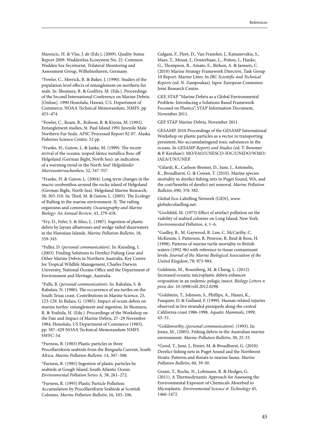Marencic, H. & Vlas, J. de (Eds.), (2009). Quality Status Report 2009. WaddenSea Ecosystem No. 25. Common Wadden Sea Secretariat, Trilateral Monitoring and Assessment Group, Wilhelmshaven, Germany.

\*Fowler, C., Merrick, R. & Baker, J. (1990). Studies of the population level effects of entanglement on northern fur seals. In: Shomura, R. & Godfrey, M. (Eds.). Proceedings of the Second International Conference on Marine Debris. [Online]. 1990 Honolulu, Hawaii, U.S. Department of Commerce, NOAA Technical Memorandum. NMFS. pp. 453–474

\*Fowler, C., Ream, R., Robson, B. & Kiyota, M. (1992). Entanglement studies, St. Paul Island 1991 Juvenile Male Northern Fur Seals. AFSC Processed Report 92-07. Alaska Fisheries Science Centre. 52 pp.

\*Franke, H., Gutow, L. & Janke, M. (1999). The recent arrival of the oceanic isopod *Idotea metallica* Bosc off Helgoland (German Bight, North Sea): an indication of a warming trend in the North Sea? *Helgoländer Meeresuntersuchunhen*, 52, 347-357.

\*Franke, H. & Gutow, L. (2004). Long term changes in the macro-zoobenthos around the rocky island of Helgoland (German Bight, North Sea). Helgoland Marine Research, 58, 303-310. In: Theil, M. & Gutow, L. (2005). The Ecology of Rafting in the marine environment. II. The rafting organisms and community. *Oceanography and Marine Biology: An Annual Review*, 43, 279-418.

\*Fry, D., Fefer, S. & Sileo, L. (1987). Ingestion of plastic debris by laysan albatrosses and wedge-tailed shearwaters in the Hawaiian Islands. *Marine Pollution Bulletin*, 18, 339-343.

\*Fuller, D. (*personal communication*). In: Kiessling, I. (2003). Finding Solutions to Derelict Fishing Gear and Other Marine Debris in Northern Australia. Key Centre for Tropical Wildlife Management, Charles Darwin University, National Oceans Office and the Department of Environment and Heritage, Australia.

\*Fulls, B. (*personal communication*). In: Rabalais, S. & Rabalais, N. (1980). The occurrence of sea turtles on the South Texas coast. Contributions in Marine Science, 23, 123-129. In Balazs, G. (1985). Impact of ocean debris on marine turtles: entanglement and ingestion. In Shomura, R. & Yoshida, H. (Eds.). Proceedings of the Workshop on the Fate and Impact of Marine Debris, 27–29 November 1984, Honolulu, US Department of Commerce (1985), pp. 387–429 NOAA Technical Memorandum NMFS SWFC-54.

\*Furness, B. (1983) Plastic particles in three Procellariiform seabirds from the Benguela Current, South Africa. *Marine Pollution Bulletin*. 14, 307–308.

\*Furness, R. (1985) Ingestion of plastic particles by seabirds at Gough Island, South Atlantic Ocean. *Environmental Pollution Series A,* 38, 261–272.

\*Furness, R. (1995) Plastic Particle Pollution: Accumulation by Procellariiform Seabirds at Scottish Colonies. *Marine Pollution Bulletin*, 16, 103–106.

Galgani, F., Fleet, D., Van Franeker, J., Katsanevakis, S., Maes, T., Mouat, J., Oosterbaan, L., Poitou, I., Hanke, G., Thompson, R., Amato, E., Birkun, A. & Janssen, C. (2010) Marine Strategy Framework Directive, Task Group 10 Report: Marine Litter. In *JRC Scientific and Technical Reports* (ed. N. Zampoukas). Ispra: European Comission Joint Research Centre.

GEF, STAP "Marine Debris as a Global Environmental Problem: Introducing a Solutions Based Framework Focused on Plastics", STAP Information Document, November 2011.

GEF STAP Marine Debris, November 2011.

GESAMP. 2010 Proceedings of the GESAMP International Workshop on plastic particles as a vector in transporting persistent, bio-accumulatingand toxic substances in the oceans. In *GESAMP Reports and Studies* (ed. T. Bowmer & P. Kershaw): MO/FAO/UNESCO-IOC/UNIDO/WMO/ IAEA/UN/UNEP.

\*Gilardi, K., Carlson-Bremer, D., June, J., Antonelis, K., Broadhurst, G. & Cowan, T. (2010). Marine species mortality in derelict fishing nets in Puget Sound, WA, and the cost/benefits of derelict net removal. *Marine Pollution Bulletin*, 690, 376-382.

Global Eco-Labelling Network (GEN), www. globalecolaelling.net.

\*Gochfeld, M. (1973) Effect of artefact pollution on the viability of seabird colonies on Long Island, New York. *Environmental Pollution*, 4, 1–6.

\*Godley, B., M. Gaywood, R. Law, C. McCarthy, C. McKenzie, I. Patterson, R. Penrose, R. Reid & Ross, H. (1998). Patterns of marine turtle mortality in British waters (1992-96) with reference to tissue contaminant levels. *Journal of the Marine Biological Association of the United Kingdom*, 78: 973-984.

Goldstein, M., Rosenberg, M. & Cheng, L. (2012). Increased oceanic microplastic debris enhances oviposition in an endemic pelagic insect. *Biology Letters n press doi: 10.1098/rsbl.2012.0298*.

\*Goldstein, T., Johnson, S., Phillips, A., Hanni, K., Fauquier, D. & Gulland, F. (1999). Human-related injuries observed in live stranded pinnipeds along the central California coast 1986-1998. *Aquatic Mammals*, 1999, 43–51.

\*Goldsworthy, (*personal communication*). (1993). In: Jones, M., (2005). Fishing debris in the Australian marine environment. *Marine Pollution Bulletin*, 30, 25-33.

\*Good, T., June, J., Etnier, M. & Broadhurst, G. (2010). Derelict fishing nets in Puget Sound and the Northwest Straits: Patterns and threats to marine fauna. *Marine Pollution Bulletin*, 60, 39-50.

Gouin, T., Roche, N., Lohmann, R. & Hodges, G. (2011). A Thermodynamic Approach for Assessing the Environmental Exposure of Chemicals Absorbed to Microplastic. *Environmental Science & Technology* 45, 1466-1472.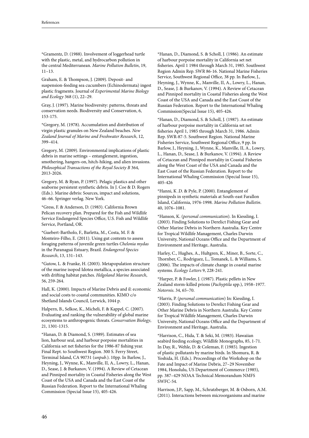\*Gramentz, D. (1988). Involvement of loggerhead turtle with the plastic, metal, and hydrocarbon pollution in the central Mediterranean. *Marine Pollution Bulletin*, 19, 11–13.

Graham, E. & Thompson, J. (2009). Deposit- and suspension-feeding sea cucumbers (Echinodermata) ingest plastic fragments. Journal of *Experimental Marine Biology and Ecology* 368 (1), 22–29.

Gray, J. (1997). Marine biodiversity: patterns, threats and conservation needs. Biodiversity and Conservation, 6, 153-175.

\*Gregory, M. (1978). Accumulation and distribution of virgin plastic granules on New Zealand beaches. *New Zealand Journal of Marine and Freshwater Research*, 12, 399–414.

Gregory, M. (2009). Environmental implications of plastic debris in marine settings – entanglement, ingestion, smothering, hangers-on, hitch-hiking, and alien invasions. *Philosophical Transactions of the Royal Society B* 364, 2013-2026.

Gregory, M. & Ryan, P. (1997). Pelagic plastics and other seaborne persistent synthetic debris. In J. Coe & D. Rogers (Eds.). Marine debris: Sources, impact and solutions, 46–66. Springer verlag. New York.

\*Gress, F. & Anderson, D. (1983). California Brown Pelican recovery plan. Prepared for the Fish and Wildlife Service Endangered Species Office, U.S. Fish and Wildlife Service, Portland, OR.

\*Guebert-Bartholo, F., Barletta, M., Costa, M. F. & Monteiro-Filho, E. (2011). Using gut contents to assess foraging patterns of juvenile green turtles *Chelonia mydas* in the Paranaguá Estuary, Brazil. *Endangered Species Research*, 13, 131–143.

\*Gutow, L. & Franke, H. (2003). Metapopulation structure of the marine isopod Idotea metallica, a species associated with drifting habitat patches. *Helgoland Marine Research*, 56, 259-264.

Hall, K. (2000). Impacts of Marine Debris and il: economic and social costs to coastal communities. KIMO c/o Shetland Islands Council, Lerwick, 1044 p.

Halpern, B., Selkoe, K., Micheli, F. & Kappel, C. (2007). Evaluating and ranking the vulnerability of global marine ecosystems to anthropogenic threats. *Conservation Biology*, 21, 1301-1315.

\*Hanan, D. & Diamond, S. (1989). Estimates of sea lion, harbour seal, and harbour porpoise mortalities in California set net fisheries for the 1986-87 fishing year. Final Rept. to Southwest Region. 300 S. Ferry Street, Terminal Island, CA 90731 (*unpub.*). 10pp. In Barlow, J., Heyning, J., Wynne, K., Manville, II, A., Lowry, L., Hanan, D., Sease, J. & Burkanov, V. (1994). A Review of Cetacean and Pinniped mortality in Coastal Fisheries along the West Coast of the USA and Canada and the East Coast of the Russian Federation. Report to the International Whaling Commission (Special Issue 15), 405-426.

\*Hanan, D., Diamond, S. & Scholl, J. (1986). An estimate of harbour porpoise mortality in California set net fisheries. April 1 1984 through March 31, 1985. Southwest Region Admin Rep. SWR 86-16. National Marine Fisheries Service, Southwest Regional Office, 38 pp. In Barlow, J., Heyning, J., Wynne, K., Manville, II, A., Lowry, L., Hanan, D., Sease, J. & Burkanov, V. (1994). A Review of Cetacean and Pinniped mortality in Coastal Fisheries along the West Coast of the USA and Canada and the East Coast of the Russian Federation. Report to the International Whaling Commission(Special Issue 15), 405-426.

\*Hanan, D., Diamond, S. & Scholl, J. (1987). An estimate of harbour porpoise mortality in California set net fisheries April 1, 1985 through March 31, 1986. Admin Rep. SWR-87-5. Southwest Region. National Marine Fisheries Service, Southwest Regional Office, 9 pp. In Barlow, J., Heyning, J., Wynne, K., Manville, II, A., Lowry, L., Hanan, D., Sease, J. & Burkanov, V. (1994). A Review of Cetacean and Pinniped mortality in Coastal Fisheries along the West Coast of the USA and Canada and the East Coast of the Russian Federation. Report to the International Whaling Commission (Special Issue 15), 405-426

\*Hanni, K .D. & Pyle, P. (2000). Entanglement of pinnipeds in synthetic materials at South-east Farallon Island, California, 1976-1998. *Marine Pollution Bulletin*. 40, 1076–1081.

\*Hanson, K. (*personal communication*). In Kiessling, I. (2003). Finding Solutions to Derelict Fishing Gear and Other Marine Debris in Northern Australia. Key Centre for Tropical Wildlife Management, Charles Darwin University, National Oceans Office and the Department of Environment and Heritage, Australia.

Harley, C., Hughes, A., Hultgren, K., Miner, B., Sorte, C., Thornber, C., Rodriguez, L., Tomanek, L. & Williams, S. (2006). The impacts of climate change in coastal marine systems. *Ecology Letters* 9, 228-241.

\*Harper, P. & Fowler, J. (1987). Plastic pellets in New Zealand storm-killed prions (*Pachyptila* spp.), 1958–1977. *Notornis*. 34, 65–70.

\*Harris, P. (*personal communication*) In: Kiessling, I. (2003). Finding Solutions to Derelict Fishing Gear and Other Marine Debris in Northern Australia. Key Centre for Tropical Wildlife Management, Charles Darwin University, National Oceans Office and the Department of Environment and Heritage, Australia.

\*Harrison, C., Hida, T. & Seki, M. (1983). Hawaiian seabird feeding ecology, Wildlife Monographs, 85, 1-71. In Day, R., Wehle, D. & Coleman, F. (1985). Ingestion of plastic pollutants by marine birds. In Shomura, R. & Yoshida, H. (Eds.). Proceedings of the Workshop on the Fate and Impact of Marine Debris, 27–29 November 1984, Honolulu, US Department of Commerce (1985), pp. 387–429 NOAA Technical Memorandum NMFS SWFC-54.

Harrison, J.P., Sapp, M., Schratzberger, M. & Osborn, A.M. (2011). Interactions between microorganisms and marine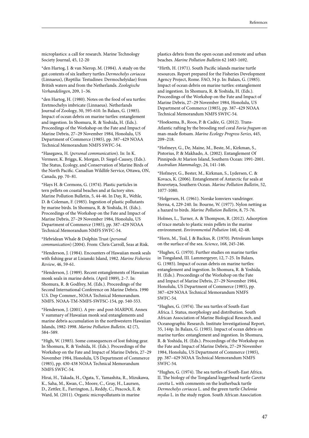microplastics: a call for research. Marine Technology Society Journal, 45, 12-20

\*den Hartog, J. & van Nierop, M. (1984). A study on the gut contents of six leathery turtles *Dermochelys coriacea* (Linnaeus), (Reptilia: Testudines: Dermochelyidae) from British waters and from the Netherlands. *Zoologische Verhandelingen*, 209, 1–36.

\*den Hartog, H. (1980). Notes on the food of sea turtles: Eretmochelys imbricate (Linnaeus). Netherlands Journal of Zoology, 30, 595-610. In Balazs, G. (1985). Impact of ocean debris on marine turtles: entanglement and ingestion. In Shomura, R. & Yoshida, H. (Eds.). Proceedings of the Workshop on the Fate and Impact of Marine Debris, 27–29 November 1984, Honolulu, US Department of Commerce (1985), pp. 387–429 NOAA Technical Memorandum NMFS SWFC-54.

\*Hasegawa, H. (*personal communication*). In: In K. Vermeer, K. Briggs, K. Morgan, D. Siegel-Causey, (Eds.). The Status, Ecology, and Conservation of Marine Birds of the North Pacific. Canadian Wildlife Service, Ottawa, ON, Canada, pp. 70–81.

\*Hays H. & Cormons, G. (1974). Plastic particles in tern pellets on coastal beaches and at factory sites. Marine Pollution Bulletin, 5, 44-46. In Day, R., Wehle, D. & Coleman, F. (1985). Ingestion of plastic pollutants by marine birds. In Shomura, R. & Yoshida, H. (Eds.). Proceedings of the Workshop on the Fate and Impact of Marine Debris, 27–29 November 1984, Honolulu, US Department of Commerce (1985), pp. 387–429 NOAA Technical Memorandum NMFS SWFC-54.

\*Hebridean Whale & Dolphin Trust (*personal communication*) (2004). From: Chris Carroll, Seas at Risk.

\*Henderson, J. (1984). Encounters of Hawaiian monk seals with fishing gear at Lisianski Island, 1982. *Marine Fisheries Review*, 46, 59-61.

\*Henderson, J. (1989). Recent entanglements of Hawaiian monk seals in marine debris. (April 1989), 2–7. In: Shomura, R. & Godfrey, M. (Eds.). Proceedings of the Second International Conference on Marine Debris. 1990 U.S. Dep Commer., NOAA Technical Memorandum. NMFS. NOAA-TM-NMFS-SWFSC-154, pp. 540-553.

\*Henderson, J. (2001). A pre- and post-MARPOL Annex V summary of Hawaiian monk seal entanglements and marine debris accumulation in the northwestern Hawaiian Islands, 1982-1998. *Marine Pollution Bulletin*. 42 (7), 584–589.

\*High, W. (1985). Some consequences of lost fishing gear. In Shomura, R. & Yoshida, H. (Eds.). Proceedings of the Workshop on the Fate and Impact of Marine Debris, 27–29 November 1984, Honolulu, US Department of Commerce (1985), pp. 430-438 NOAA Technical Memorandum NMFS SWFC-54.

Hirai, H., Takada, H., Ogata, Y., Yamashita, R., Mizukawa, K., Saha, M., Kwan, C., Moore, C., Gray, H., Laursen, D., Zettler, E., Farrington, J., Reddy, C., Peacock, E. & Ward, M. (2011). Organic micropollutants in marine

plastics debris from the open ocean and remote and urban beaches. *Marine Pollution Bulletin* 62 1683-1692.

\*Hirth, H. (1971). South Pacific islands marine turtle resources. Report prepared for the Fisheries Development Agency Project, Rome. FAO, 34 p. In: Balazs, G. (1985). Impact of ocean debris on marine turtles: entanglement and ingestion. In Shomura, R. & Yoshida, H. (Eds.). Proceedings of the Workshop on the Fate and Impact of Marine Debris, 27–29 November 1984, Honolulu, US Department of Commerce (1985), pp. 387–429 NOAA Technical Memorandum NMFS SWFC-54.

\*Hoeksema, B., Roos, P. & Cadée, G. (2012). Trans-Atlantic rafting by the brooding reef coral *Favia fragum* on man-made flotsam. *Marine Ecology Progress Series*, 445, 209–218.

\*Hofmeyr, G., De, Maine, M., Beste, M., Kirkman, S., Pistorius, P. & Makhado, A. (2002). Entanglement Of Pinnipeds At Marion Island, Southern Ocean: 1991-2001. *Australian Mammalogy*, 24, 141-146.

\*Hofmeyr, G., Bester, M., Kirkman, S., Lydersen, C. & Kovacs, K. (2006). Entanglement of Antarctic fur seals at Bouvetøya, Southern Ocean. *Marine Pollution Bulletin*, 52, 1077-1080.

\*Holgersen, H. (1961). Norske lomviers vandringer. Sterna, 4, 229-240. In: Bourne, W. (1977). Nylon netting as a hazard to birds. *Marine Pollution Bulletin*, 8, 75-76.

Holmes, L., Turner, A. & Thompson, R. (2012). Adsorption of trace metals to plastic resin pellets in the marine environment. *Environmental Pollution* 160, 42-48.

\*Horn, M., Teal, J. & Backus, R. (1970). Petroleum lumps on the surface of the sea. *Science*, 168, 245-246.

\*Hughes, G. (1970). Further studies on marine turtles in Tongaland, III. Lammergeyer, 12, 7-25. In Balazs, G. (1985). Impact of ocean debris on marine turtles: entanglement and ingestion. In Shomura, R. & Yoshida, H. (Eds.). Proceedings of the Workshop on the Fate and Impact of Marine Debris, 27–29 November 1984, Honolulu, US Department of Commerce (1985), pp. 387–429 NOAA Technical Memorandum NMFS SWFC-54.

\*Hughes, G. (1974). The sea turtles of South-East Africa. I. Status, morphology and distribution. South African Association of Marine Biological Research, and Oceanographic Research. Institute Investigational Report, 35, 144p. In Balazs, G. (1985). Impact of ocean debris on marine turtles: entanglement and ingestion. In Shomura, R. & Yoshida, H. (Eds.). Proceedings of the Workshop on the Fate and Impact of Marine Debris, 27–29 November 1984, Honolulu, US Department of Commerce (1985), pp. 387–429 NOAA Technical Memorandum NMFS SWFC-54.

\*Hughes, G. (1974). The sea turtles of South-East Africa. II. The biology of the Tongaland loggerhead turtle *Caretta caretta* L. with comments on the leatherback turtle *Dermochelys coriacea* L. and the green turtle *Chelonia mydas* L. in the study region. South African Association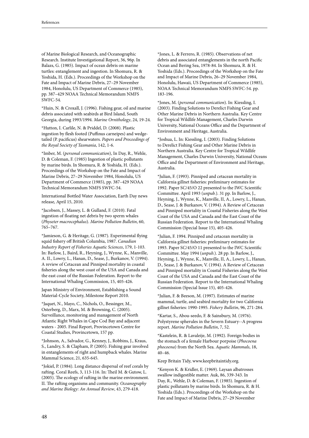of Marine Biological Research, and Oceanographic Research. Institute Investigational Report, 36, 96p. In Balazs, G. (1985). Impact of ocean debris on marine turtles: entanglement and ingestion. In Shomura, R. & Yoshida, H. (Eds.). Proceedings of the Workshop on the Fate and Impact of Marine Debris, 27–29 November 1984, Honolulu, US Department of Commerce (1985), pp. 387–429 NOAA Technical Memorandum NMFS SWFC-54.

\*Huin, N. & Croxall, J. (1996). Fishing gear, oil and marine debris associated with seabirds at Bird Island, South Georgia, during 1993/1994. *Marine Ornithology*, 24, 19-24.

\*Hutton, I. Carlile, N. & Priddel, D. (2008). Plastic ingestion by flesh footed (Puffinus carneipes) and wedgetailed (P. pacificus) shearwaters. *Papers and Proceedings of the Royal Society of Tasmania*, 142, 1-6.

\*Imber, M. (*personal communication*), In Day, R., Wehle, D. & Coleman, F. (1985) Ingestion of plastic pollutants by marine birds. In Shomura, R. & Yoshida, H. (Eds.). Proceedings of the Workshop on the Fate and Impact of Marine Debris, 27–29 November 1984, Honolulu, US Department of Commerce (1985), pp. 387–429 NOAA Technical Memorandum NMFS SWFC-54.

International Bottled Water Association, Earth Day news release, April 15, 2010.

\*Jacobsen, J., Massey, L. & Gulland, F. (2010). Fatal ingestion of floating net debris by two sperm whales (*Physeter macrocephalus*). *Marine Pollution Bulletin*, 60, 765–767.

\*Jamieson, G. & Heritage, G. (1987). Experimental flying squid fishery off British Columbia, 1987. *Canadian Industry Report of Fisheries Aquatic Sciences*, 179, 1-103. In: Barlow, J., Baird, R., Heyning, J., Wynne, K., Manville, A. II., Lowry, L., Hanan, D., Sease, J., Burkanov, V. (1994). A review of Cetacean and Pinniped mortality in coastal fisheries along the west coast of the USA and Canada and the east coast of the Russian Federation. Report to the International Whaling Commission, 15, 405-426.

Japan Ministry of Environment, Establishing a Sound Material-Cycle Society, Milestone Report 2010.

\*Jaquet, N., Mayo, C., Nichols, O., Bessinger, M., Osterberg, D., Marx, M. & Browning, C. (2005). Surveillance, monitoring and management of North Atlantic Right Whales in Cape Cod Bay and adjacent waters - 2005. Final Report, Provincetown Centre for Coastal Studies, Provincetown, 157 pp.

\*Johnson, A., Salvador, G., Kenney, J., Robbins, J., Kraus, S., Landry, S. & Clapham, P. (2005). Fishing gear involved in entanglements of right and humpback whales. Marine Mammal Science, 21, 635-645.

\*Jokiel, P. (1984). Long distance dispersal of reef corals by rafting. Coral Reefs, 3, 113-116. In: Theil M. & Gutow, L. (2005). The ecology of rafting in the marine environment. II. The rafting organisms and community. *Oceanography and Marine Biology: An Annual Review*, 43, 279-418.

\*Jones, L. & Ferrero, R. (1985). Observations of net debris and associated entanglements in the north Pacific Ocean and Bering Sea, 1978-84. In Shomura, R. & H. Yoshida (Eds.). Proceedings of the Workshop on the Fate and Impact of Marine Debris, 26–29 November 1984, Honolulu, Hawaii, US Department of Commerce (1985), NOAA Technical Memorandum NMFS SWFC-54. pp. 183-196.

\*Jones, M. (*personal communication*). In: Kiessling, I. (2003). Finding Solutions to Derelict Fishing Gear and Other Marine Debris in Northern Australia. Key Centre for Tropical Wildlife Management, Charles Darwin University, National Oceans Office and the Department of Environment and Heritage, Australia.

\*Joshua, L. In: Kiessling, I. (2003). Finding Solutions to Derelict Fishing Gear and Other Marine Debris in Northern Australia. Key Centre for Tropical Wildlife Management, Charles Darwin University, National Oceans Office and the Department of Environment and Heritage, Australia.

\*Julian, F. (1993). Pinniped and cetacean mortality in California gillnet fisheries: preliminary estimates for 1992. Paper SC/45/O 22 presented to the IWC Scientific Committee. April 1993 (*unpub.*). 31 pp. In Barlow, J., Heyning, J., Wynne, K., Manville, II, A., Lowry, L., Hanan, D., Sease, J. & Burkanov, V. (1994). A Review of Cetacean and Pinniped mortality in Coastal Fisheries along the West Coast of the USA and Canada and the East Coast of the Russian Federation. Report to the International Whaling Commission (Special Issue 15), 405-426.

\*Julian, F. 1994. Pinniped and cetacean mortality in California gillnet fisheries: preliminary estimates for 1993. Paper SC/45/O 11 presented to the IWC Scientific Committee. May 1994 (*unpub.*). 28 pp. In Barlow, J., Heyning, J., Wynne, K., Manville, II, A., Lowry, L., Hanan, D., Sease, J. & Burkanov, V. (1994). A Review of Cetacean and Pinniped mortality in Coastal Fisheries along the West Coast of the USA and Canada and the East Coast of the Russian Federation. Report to the International Whaling Commission (Special Issue 15), 405-426.

\*Julian, F. & Beeson, M. (1997). Estimates of marine mammal, turtle, and seabird mortality for two California gillnet fisheries: 1990-1995. *Fishery Bulletin*, 96, 271-284.

\*Kartar, S., Abou-seedo, F. & Sainsbury, M. (1976). Polystyrene spherules in the Severn Estuary--A progress report. *Marine Pollution Bulletin*, 7, 52.

\*Kastelein, R. & Lavaleije, M. (1992). Foreign bodies in the stomach of a female Harbour porpoise (*Phocoena phocoena*) from the North Sea. *Aquatic Mammals*, 18, 40–46.

Keep Britain Tidy, www.keepbritaintidy.org.

\*Kenyon K. & Kridler, E. (1969). Laysan albatrosses swallow indigestible matter. Auk, 86, 339-343. In Day, R., Wehle, D. & Coleman, F. (1985). Ingestion of plastic pollutants by marine birds. In Shomura, R. & H. Yoshida (Eds.). Proceedings of the Workshop on the Fate and Impact of Marine Debris, 27–29 November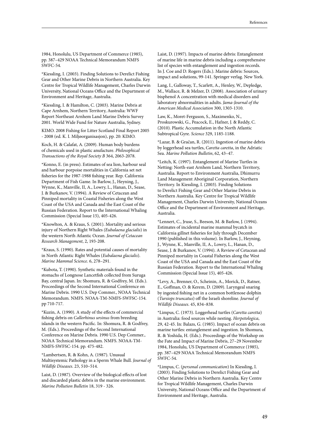1984, Honolulu, US Department of Commerce (1985), pp. 387–429 NOAA Technical Memorandum NMFS SWFC-54.

\*Kiessling, I. (2003). Finding Solutions to Derelict Fishing Gear and Other Marine Debris in Northern Australia. Key Centre for Tropical Wildlife Management, Charles Darwin University, National Oceans Office and the Department of Environment and Heritage, Australia.

\*Kiessling, I. & Hamilton, C. (2003). Marine Debris at Cape Arnhem, Northern Territory, Australia: WWF Report Northeast Arnhem Land Marine Debris Survey 2001. World Wide Fund for Nature Australia, Sydney.

KIMO. 2008 Fishing for Litter Scotland Final Report 2005 - 2008 (ed. K. I. Miljøorganisasjon), pp. 20: KIMO.

Koch, H. & Calafat, A. (2009). Human body burdens of chemicals used in plastic anufacture. *Philosophical Transactions of the Royal Society B* 364, 2063-2078.

\*Konno, E. (in press). Estimates of sea lion, harbour seal and harbour porpoise mortalities in California set net fisheries for the 1987-1988 fishing year. Rep. California Department of Fish Game. In Barlow, J., Heyning, J., Wynne, K., Manville, II, A., Lowry, L., Hanan, D., Sease, J. & Burkanov, V. (1994). A Review of Cetacean and Pinniped mortality in Coastal Fisheries along the West Coast of the USA and Canada and the East Coast of the Russian Federation. Report to the International Whaling Commission (Special Issue 15), 405-426.

\*Knowlton, A. & Kraus, S. (2001). Mortality and serious injury of Northern Right Whales *(Eubalaena glacialis*) in the western North Atlantic Ocean. *Journal of Cetacean Research Management*, 2, 193-208.

\*Kraus, S. (1990). Rates and potential causes of mortality in North Atlantic Right Whales (*Eubalaena glacialis*). *Marine Mammal Science*. 6, 278–291.

\*Kubota, T. (1990). Synthetic materials found in the stomachs of Longnose Lancetfish collected from Suruga Bay, central Japan. In: Shomura, R. & Godfrey, M. (Eds.). Proceedings of the Second International Conference on Marine Debris. 1990 U.S. Dep Commer., NOAA Technical Memorandum. NMFS. NOAA-TM-NMFS-SWFSC-154. pp 710-717.

\*Kuzin, A. (1990). A study of the effects of commercial fishing debris on *Callorhinus ursinus* from breeding islands in the western Pacific. In: Shomura, R. & Godfrey, M. (Eds.). Proceedings of the Second International Conference on Marine Debris. 1990 U.S. Dep Commer., NOAA Technical Memorandum. NMFS. NOAA-TM-NMFS-SWFSC-154. pp. 475-482.

\*Lambertsen, R. & Kohn, A. (1987). Unusual Multisystemic Pathology in a Sperm Whale Bull. *Journal of Wildlife Diseases*. 23, 510–514.

Laist, D. (1987). Overview of the biological effects of lost and discarded plastic debris in the marine environment. *Marine Pollution Bulletin* 18, 319 - 326.

Laist, D. (1997). Impacts of marine debris: Entanglement of marine life in marine debris including a comprehensive list of species with entanglement and ingestion records. In J. Coe and D. Rogers (Eds.). Marine debris: Sources, impact and solutions, 99-141. Springer verlag. New York.

Lang, I., Galloway, T., Scarlett, A., Henley, W., Depledge, M., Wallace, R. & Melzer, D. (2008). Association of urinary bisphenol A concentration with medical disorders and laboratory abnormalities in adults. *Jama-Journal of the American Medical Association* 300, 1303-1310.

Law, K., Moret-Ferguson, S., Maximenko, N., Proskurowski, G., Peacock, E., Hafner, J. & Reddy, C. (2010). Plastic Accumulation in the North Atlantic Subtropical Gyre. *Science* 329, 1185-1188.

\*Lazar, B. & Gračan, R. (2011). Ingestion of marine debris by loggerhead sea turtles, *Caretta caretta*, in the Adriatic Sea. *Marine Pollution Bulletin*, 62, 43–47.

\*Leitch, K. (1997). Entanglement of Marine Turtles in Netting: North-east Arnhem Land, Northern Territory, Australia. Report to Environment Australia, Dhimurru Land Management Aboriginal Corporation, Northern Territory. In Kiessling, I. (2003). Finding Solutions to Derelict Fishing Gear and Other Marine Debris in Northern Australia. Key Centre for Tropical Wildlife Management, Charles Darwin University, National Oceans Office and the Department of Environment and Heritage, Australia.

\*Lennert, C., Jruse, S., Beeson, M. & Barlow, J. (1994). Estimates of incidental marine mammal bycatch in California gillnet fisheries for July through December 1990 (published in this volume). In Barlow, J., Heyning, J., Wynne, K., Manville, II, A., Lowry, L., Hanan, D., Sease, J. & Burkanov, V. (1994). A Review of Cetacean and Pinniped mortality in Coastal Fisheries along the West Coast of the USA and Canada and the East Coast of the Russian Federation. Report to the International Whaling Commission (Special Issue 15), 405-426.

\*Levy, A., Brenner, O., Scheinin, A., Morick, D., Ratner, E., Goffman, O. & Kerem, D. (2009). Laryngeal snaring by ingested fishing net in a common bottlenose dolphin (*Tursiops truncatus*) off the Israeli shoreline. *Journal of Wildlife Diseases*. 45, 834–838.

\*Limpus, C. (1973). Loggerhead turtles (*Caretta caretta*) in Australia: food sources while nesting. *Herpetologica*, 29, 42-45. In: Balazs, G. (1985). Impact of ocean debris on marine turtles: entanglement and ingestion. In Shomura, R. & Yoshida, H. (Eds.). Proceedings of the Workshop on the Fate and Impact of Marine Debris, 27–29 November 1984, Honolulu, US Department of Commerce (1985), pp. 387–429 NOAA Technical Memorandum NMFS SWFC-54.

\*Limpus, C. (*personal communication*) In Kiessling, I. (2003). Finding Solutions to Derelict Fishing Gear and Other Marine Debris in Northern Australia. Key Centre for Tropical Wildlife Management, Charles Darwin University, National Oceans Office and the Department of Environment and Heritage, Australia.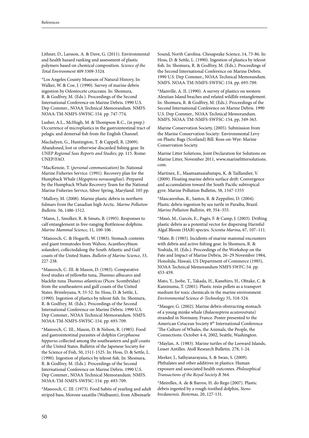Lithner, D., Larsson, A. & Dave, G. (2011). Environmental and health hazard ranking and assessment of plastic polymers based on chemical composition. *Science of the Total Environment* 409 3309-3324.

\*Los Angeles County Museum of Natural History, In: Walker, W. & Coe, J. (1990). Survey of marine debris ingestion by Odontocete cetaceans. In: Shomura, R. & Godfrey, M. (Eds.). Proceedings of the Second International Conference on Marine Debris. 1990 U.S. Dep Commer., NOAA Technical Memorandum. NMFS. NOAA-TM-NMFS-SWFSC-154. pp. 747-774.

Lusher, A.L., McHugh, M. & Thompson R.C., (in prep.) Occurrence of microplastics in the gastrointestinal tract of pelagic and demersal fish from the English Channel.

Macfadyen, G., Huntington, T. & Cappell, R. (2009). Abandoned, lost or otherwise discarded fishing gear. In *UNEP Regional Seas Reports and Studies*, pp. 115. Rome: UNEP/FAO.

\*MacKenzie, T. (*personal communication*) In: National Marine Fisheries Service. (1991). Recovery plan for the Humpback Whale (*Megaptera novaeangliae*). Prepared by the Humpback Whale Recovery Team for the National Marine Fisheries Service, Silver Spring, Maryland. 105 pp.

\*Mallory, M. (2008). Marine plastic debris in northern fulmars from the Canadian high Arctic. *Marine Pollution Bulletin*. 56, 1486-1512.

\*Mann, J., Smolker, R. & Smuts, B. (1995). Responses to calf entanglement in free-ranging Bottlenose dolphins. *Marine Mammal Science*, 11, 100-106 .

\*Manooch, C. & Hogarth, W. (1983). Stomach contents and giant trematodes from Wahoo, Acanthocybium solanderi, collectedalong the South Atlantic and Gulf coasts of the United States. *Bulletin of Marine Science*, 33, 227-238.

\*Manooch, C. III. & Mason, D. (1983). Comparative food studies of yellowfin tuna, *Thunnus albacares* and blackfin tuna *Thunnus atlanticus* (Pices: Scombridae) from the southeastern and gulf coasts of the United States. Brimleyana, 9, 33-52. In: Hoss, D. & Settle, L. (1990). Ingestion of plastics by teleost fish. In: Shomura, R. & Godfrey, M. (Eds.). Proceedings of the Second International Conference on Marine Debris. 1990 U.S. Dep Commer., NOAA Technical Memorandum. NMFS. NOAA-TM-NMFS-SWFSC-154. pp. 693-709.

\*Manooch, C. III., Mason, D. & Nelson, R. (1985). Food and gastrointestinal parasites of dolphin *Coryphaena hippurus* collected among the southeastern and gulf coasts of the United States. Bulletin of the Japenese Society for the Science of Fish, 50, 1511-1525. In: Hoss, D. & Settle, L. (1990). Ingestion of plastics by teleost fish. In: Shomura, R. & Godfrey, M. (Eds.). Proceedings of the Second International Conference on Marine Debris. 1990 U.S. Dep Commer., NOAA Technical Memorandum. NMFS. NOAA-TM-NMFS-SWFSC-154. pp. 693-709.

\*Manooch, C. III. (1973). Food habits of yearling and adult striped bass, Morone saxatilis (Walbaum), from Albemarle

Sound, North Carolina. Chesapeake Science, 14, 73-86. In: Hoss, D. & Settle, L. (1990). Ingestion of plastics by teleost fish. In: Shomura, R. & Godfrey, M. (Eds.). Proceedings of the Second International Conference on Marine Debris. 1990 U.S. Dep Commer., NOAA Technical Memorandum. NMFS. NOAA-TM-NMFS-SWFSC-154. pp. 693-709.

\*Manville, A. II. (1990). A survey of plastics on western Aleutian Island beaches and related wildlife entanglement. In: Shomura, R. & Godfrey, M. (Eds.). Proceedings of the Second International Conference on Marine Debris. 1990 U.S. Dep Commer., NOAA Technical Memorandum. NMFS. NOAA-TM-NMFS-SWFSC-154. pp, 349-363.

Marine Conservation Society, (2005). Submission from the Marine Conservation Society: Environmental Levy on Plastic Bags (Scotland) Bill. Ross-on-Wye: Marine Conservation Society.

Marine Litter Solutions, Joint Declaration for Solutions on Marine Litter, November 2011, www.marinelittersolutions. com.

Martinez, E., Maamaatuaiahutapu, K. & Taillandier, V. (2009). Floating marine debris surface drift: Convergence and accumulation toward the South Pacific subtropical gyre. Marine Pollution Bulletin, 58, 1347-1355

\*Mascarenhas, R., Santos, R. & Zeppelini, D. (2004). Plastic debris ingestion by sea turtle in Paraíba, Brazil. *Marine Pollution Bulletin*, 49, 354–355.

\*Masó, M., Garcés, E., Pagés, F. & Camp, J. (2003). Drifting plastic debris as a potential vector for dispersing Harmful Algal Bloom (HAB) species. *Scientia Marina*, 67, 107–111.

\*Mate, B. (1985). Incidents of marine mammal encounters with debris and active fishing gear. In Shomura, R. & Yoshida, H. (Eds.). Proceedings of the Workshop on the Fate and Impact of Marine Debris, 26–29 November 1984, Honolulu, Hawaii, US Department of Commerce (1985), NOAA Technical Memorandum NMFS SWFC-54. pp. 453-459.

Mato, Y., Isobe, T., Takada, H., Kanehiro, H., Ohtake, C. & Kaminuma, T. (2001). Plastic resin pellets as a transport medium for toxic chemicals in the marine environment. *Environmental Science & Technology* 35, 318-324.

\*Mauger, G. (2002). Marine debris obstructing stomach of a young minke whale (*Balaenoptera acutorostrata*) stranded in Normany, France. Poster presented to the American Cetacean Society 8th International Conference 'The Culture of Whales, the Animals, the People, the Connections. October 4-6, 2002, Seattle, Washington.

\*Maylan, A. (1983). Marine turtles of the Leeward Islands, Lesser Antilles. Atoll Research Bulletin. 278, 1-24.

Meeker, J., Sathyanarayana, S. & Swan, S. (2009). Phthalates and other additives in plastics: Human exposure and associated health outcomes. *Philosophical Transactions of the Royal Society B* 364.

\*Meirelles, A. de & Barros, H. do Rego (2007). Plastic debris ingested by a rough-toothed dolphin, *Steno bredanensis*. *Biotemas*, 20, 127-131.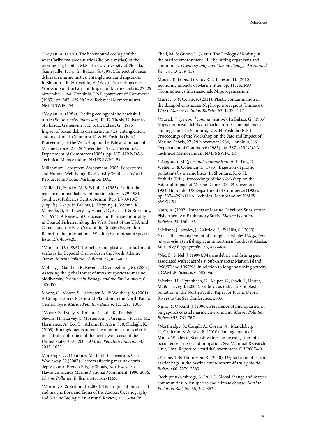\*Meylan, A. (1978). The behavioural ecology of the west Caribbena green turtle (Chelonia mydas) in the internesting habitat. M.S. Thesis, University of Florida, Gainesville, 131 p. In: Balazs, G. (1985). Impact of ocean debris on marine turtles: entanglement and ingestion. In Shomura, R. & Yoshida, H. (Eds.). Proceedings of the Workshop on the Fate and Impact of Marine Debris, 27–29 November 1984, Honolulu, US Department of Commerce (1985), pp. 387–429 NOAA Technical Memorandum NMFS SWFC-54.

\*Meylan, A. (1984). Feeding ecology of the hawksbill turtle (*Eretmochelys imbricata*). Ph.D. Thesis, University of Florida, Gainesville, 115 p. In: Balazs, G. (1985). Impact of ocean debris on marine turtles: entanglement and ingestion. In Shomura, R. & H. Yoshida (Eds.). Proceedings of the Workshop on the Fate and Impact of Marine Debris, 27–29 November 1984, Honolulu, US Department of Commerce (1985), pp. 387–429 NOAA Technical Memorandum NMFS SWFC-54.

Millennium Ecosystem Assessment, 2005. Ecosystems and Human Well-being: Biodiversity Synthesis. World Resources Institute, Washington D.C.

\*Miller, D., Herder, M. & Scholl, J. (1983). California marine mammal fishery interaction study 1979-1981. Southwest Fisheries Centre Admin. Rep. LJ-83-13C (*unpub.*). 233 p. In Barlow, J., Heyning, J., Wynne, K., Manville, II, A., Lowry, L., Hanan, D., Sease, J. & Burkanov, V. (1994). A Review of Cetacean and Pinniped mortality in Coastal Fisheries along the West Coast of the USA and Canada and the East Coast of the Russian Federation. Report to the International Whaling Commission(Special Issue 15), 405-426.

\*Minchin, D. (1996). Tar pellets and plastics as attachment surfaces for Lepadid Cirripedes in the North Atlantic Ocean. *Marine Pollution Bulletin*, 32, 855–859.

Molnar, J., Gamboa, R. Revenga, C. & Spalding, M. (2008). Assessing the global threat of invasive species to marine biodiversity. *Frontiers in Ecology and the Environment*, 6, 485-492.

Moore, C., Moore, S., Leecaster, M. & Weisberg, S. (2001). A Comparison of Plastic and Plankton in the North Pacific Central Gyre. *Marine Pollution Bulletin* 42, 1297-1300.

\*Moore, E., Lyday, S., Roletto, J., Litle, K., Parrish, J., Nevins, H., Harvey, J., Mortenson, J., Greig, D., Piazza, M., Hermance, A., Lee, D., Adams, D, Allen, S. & Shelagh, K. (2009). Entanglements of marine mammals and seabirds in central California and the north-west coast of the United States 2001-2005. *Marine Pollution Bulletin*, 58, 1045–1051.

Morishige, C., Donohue, M., Flint, E., Swenson, C. & Woolaway, C. (2007). Factors affecting marine debris deposition at French Frigate Shoals, Northwestern Hawaiian Islands Marine National Monument, 1990-2006. *Marine Pollution Bulletin*, 54, 1162-1169.

\*Morton, B. & Britton, J. (2000). The origins of the coastal and marine flora and fauna of the Azores. Oceanography and Marine Biology: An Annual Review, 38, 13-84. In:

Theil, M. & Gutow, L. (2005). The Ecology of Rafting in the marine environment. II. The rafting organisms and community. *Oceanography and Marine Biology: An Annual Review*, 43, 279-418.

Mouat, T., Lopez-Lozano, R. & Bateson, H. (2010). Economic impacts of Marine litter, pp. 117: KIMO (Kommunenes Internasjonale Miljøorganisasjon).

Murray, F. & Cowie, P. (2011). Plastic contamination in the decapod crustacean Nephrops norvegicus (Linnaeus, 1758). *Marine Pollution Bulletin* 62, 1207-1217.

\*Musick, J. (*personal communication*). In Balazs, G. (1985). Impact of ocean debris on marine turtles: entanglement and ingestion. In Shomura, R. & H. Yoshida (Eds.). Proceedings of the Workshop on the Fate and Impact of Marine Debris, 27–29 November 1984, Honolulu, US Department of Commerce (1985), pp. 387–429 NOAA Technical Memorandum NMFS SWFC-54.

\*Naughton, M. (*personal communication*) In Day, R., Wehle, D. & Coleman, F. (1985). Ingestion of plastic pollutants by marine birds. In Shomura, R. & H. Yoshida (Eds.). Proceedings of the Workshop on the Fate and Impact of Marine Debris, 27–29 November 1984, Honolulu, US Department of Commerce (1985), pp. 387–429 NOAA Technical Memorandum NMFS SWFC-54.

Nash, A. (1992). Impacts of Marine Debris on Subsistence Fishermen. An Exploratory Study. *Marine Pollution Bulletin*, 24, 150-156.

\*Neilson, J., Straley, J., Gabriele, C. & Hills, S. (2009). Non-lethal entanglement of humpback whales (*Megaptera novaeangliae*) in fishing gear in northern Southeast Alaska. *Journal of Biogeography*, 36, 452–464.

\*Nel, D. & Nel, J. (1999). Marine debris and fishing gear associated with seabirds at Sub-Antarctic Marion Island, l996/97 and 1997/98: in relation to longline fishing activity. CCAMLR. *Science*, 6, 685–96.

\*Nevins, H., Hyrenbach, D., Keiper, C., Stock, J., Hester, M. & Harvey, J. (2005). Seabirds as indicators of plastic pollution in the North Pacific. Paper for Plastic Debris Rivers to the Sea Conference, 2005.

Ng, K. & Obbard, J. (2006). Prevalence of microplastics in Singapore's coastal marine environment. *Marine Pollution Bulletin* 52, 761-767.

\*Northridge, S., Cargill, A., Coram, A., Mandleberg, L., Calderan, S. & Reid, B. (2010). Entanglement of Minke Whales in Scottish waters; an investigation into occurrence, causes and mitigation. Sea Mammal Research Unit, Final Report to Scottish Government, CR/2007/49.

O'Brine, T. & Thompson, R. (2010). Degradation of plastic carrier bags in the marine environment *Marine pollution Bulletin* 60: 2279-2283.

Occhipinti-Ambrogi, A. (2007). Global change and marine communities: Alien species and climate change. *Marine Pollution Bulletin*, 55, 342-352.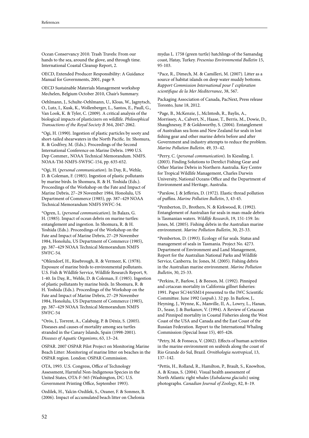Ocean Conservancy 2010. Trash Travels: From our hands to the sea, around the glove, and through time. International Coastal Cleanup Report, 2.

OECD, Extended Producer Responsibility: A Guidance Manual for Governments, 2001, page 9.

OECD Sustainable Materials Management workshop Mechelen, Belgium October 2010, Chair's Summary.

Oehlmann, J., Schulte-Oehlmann, U., Kloas, W., Jagnytsch, O., Lutz, I., Kusk, K., Wollenberger, L., Santos, E., Paull, G., Van Look, K. & Tyler, C. (2009). A critical analysis of the biological impacts of plasticizers on wildlife. *Philosophical Transactions of the Royal Society B* 364, 2047-2062.

\*Ogi, H. (1990). Ingestion of plastic particles by sooty and short-tailed shearwaters in the North Pacific. In: Shomura, R. & Godfrey, M. (Eds.). Proceedings of the Second International Conference on Marine Debris. 1990 U.S. Dep Commer., NOAA Technical Memorandum. NMFS. NOAA-TM-NMFS-SWFSC-154, pp. 635-652.

\*Ogi, H. (*personal communication*). In Day, R., Wehle, D. & Coleman, F. (1985). Ingestion of plastic pollutants by marine birds. In Shomura, R. & H. Yoshida (Eds.). Proceedings of the Workshop on the Fate and Impact of Marine Debris, 27–29 November 1984, Honolulu, US Department of Commerce (1985), pp. 387–429 NOAA Technical Memorandum NMFS SWFC-54.

\*Ogren, L. (*personal communication*). In Balazs, G. H. (1985). Impact of ocean debris on marine turtles: entanglement and ingestion. In Shomura, R. & H. Yoshida (Eds.). Proceedings of the Workshop on the Fate and Impact of Marine Debris, 27–29 November 1984, Honolulu, US Department of Commerce (1985), pp. 387–429 NOAA Technical Memorandum NMFS SWFC-54.

\*Ohlendorf, H., Risebrough, R. & Vermeer, K. (1978). Exposure of marine birds to environmental pollutants. U.S. Fish & Wildlife Service, Wildlife Research Report, 9, 1-40. In Day, R., Wehle, D. & Coleman, F. (1985). Ingestion of plastic pollutants by marine birds. In Shomura, R. & H. Yoshida (Eds.). Proceedings of the Workshop on the Fate and Impact of Marine Debris, 27–29 November 1984, Honolulu, US Department of Commerce (1985), pp. 387–429 NOAA Technical Memorandum NMFS SWFC-54

\*Orós, J., Torrent, A., Calabuig, P. & Déniz, S. (2005). Diseases and causes of mortality among sea turtles stranded in the Canary Islands, Spain (1998-2001). *Diseases of Aquatic Organisms*, 63, 13–24.

OSPAR. 2007 OSPAR Pilot Project on Monitoring Marine Beach Litter: Monitoring of marine litter on beaches in the OSPAR region. London: OSPAR Commission.

OTA, 1993. U.S. Congress, Office of Technology Assessment, Harmful Non-Indigenous Species in the United States, OTA-F-565 (Washington, DC: U.S. Government Printing Office, September 1993).

Ozdilek, H., Yalcin-Ozdilek, S., Ozaner, F. & Sonmez, B. (2006). Impact of accumulated beach litter on Chelonia mydas L. 1758 (green turtle) hatchlings of the Samandag coast, Hatay, Turkey. *Fresenius Environmental Bulletin* 15, 95-103.

\*Pace, R., Dimech, M. & Camilleri, M. (2007). Litter as a source of habitat islands on deep water muddy bottoms. *Rapport Commission International pour l' exploration scientifique de la Mer Mediterranee*, 38, 567.

Packaging Association of Canada, PacNext, Press release Toronto, June 18, 2012.

\*Page, B., McKenzie, J., McIntosh, R., Baylis, A., Morrissey, A., Calvert, N., Haase, T., Berris, M., Dowie, D., Shaughnessy, P. & Goldsworthy, S. (2004). Entanglement of Australian sea lions and New Zealand fur seals in lost fishing gear and other marine debris before and after Government and industry attempts to reduce the problem. *Marine Pollution Bulletin*. 49, 33–42.

\*Perry, C. (*personal communication*). In Kiessling, I. (2003). Finding Solutions to Derelict Fishing Gear and Other Marine Debris in Northern Australia. Key Centre for Tropical Wildlife Management, Charles Darwin University, National Oceans Office and the Department of Environment and Heritage, Australia.

\*Parslow, J. & Jefferies, D. (1972). Elastic thread pollution of puffins. *Marine Pollution Bulletin*, 3, 43-45.

\*Pemberton, D., Brothers, N. & Kirkwood, R. (1992). Entanglement of Australian fur seals in man-made debris is Tasmanian waters. *Wildlife Research*, 19, 151-159. In: Jones, M. (2005). Fishing debris in the Australian marine environment. *Marine Pollution Bulletin*, 30, 25-33.

\*Pemberton, D. (1993). Ecology of fur seals. Status and management of seals in Tasmania. Project No. 4273. Department of Environment and Land Management, Report for the Australian National Parks and Wildlife Service, Canberra. In: Jones, M. (2005). Fishing debris in the Australian marine environment. *Marine Pollution Bulletin*, 30, 25-33.

\*Perkins, P., Barlow, J. & Beeson, M. (1992). Pinniped and cetacean mortality in California gillnet fisheries: 1991. Paper SC/44/SM14 presented to the IWC Scientific Committee. June 1992 (*unpub.*). 32 pp. In Barlow, J., Heyning, J., Wynne, K., Manville, II, A., Lowry, L., Hanan, D., Sease, J. & Burkanov, V. (1994). A Review of Cetacean and Pinniped mortality in Coastal Fisheries along the West Coast of the USA and Canada and the East Coast of the Russian Federation. Report to the International Whaling Commission (Special Issue 15), 405-426.

\*Petry, M. & Fonseca, V. (2002). Effects of human activities in the marine environment on seabirds along the coast of Rio Grande do Sul, Brazil. *Ornithologia neotropical*, 13, 137–142.

\*Pettis, H., Rolland, R., Hamilton, P., Brault, S., Knowlton, A. & Kraus, S. (2004). Visual health assessment of North Atlantic right whales (*Eubalaena glacialis*) using photographs. *Canadian Journal of Zoology*, 82, 8–19.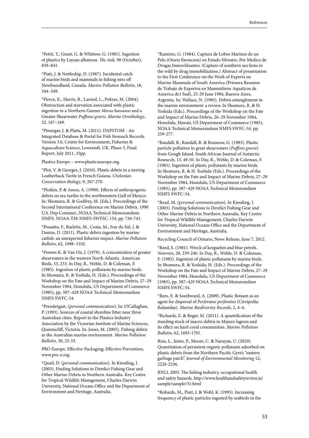\*Pettit, T., Grant, G. & Whittow, G. (1981). Ingestion of plastics by Laysan albatross. *The Auk*. 98 (October), 839–841.

\*Piatt, J. & Nettleship, D. (1987). Incidental catch of marine birds and mammals in fishing nets off Newfoundland, Canada. *Marine Pollution Bulletin*, 18, 344–349.

\*Pierce, K., Harris, R., Larned, L., Pokras, M. (2004). Obstruction and starvation associated with plastic ingestion in a Northern Gannet *Morus bassanus* and a Greater Shearwater *Puffinus gravis*. *Marine Ornithology*, 32, 187–189.

\*Pinnegar, J. & Platts, M. (2011). DAPSTOM - An Integrated Database & Portal for Fish Stomach Records. Version 3.6. Centre for Environment, Fisheries & Aquaculture Science, Lowestoft, UK. Phase 3, Final Report, July 2011, 35pp.

Plastics Europe – www.plasticseurope.org.

\*Plot, V. & Georges, J. (2010). Plastic debris in a nesting Leatherback Turtle in French Guiana. *Chelonian Conservation Biology*, 9, 267-270.

\*Plotkin, P. & Amos, A. (1990). Effects of anthropogenic debris on sea turtles in the northwestern Gulf of Mexico. In: Shomura, R. & Godfrey, M. (Eds.). Proceedings of the Second International Conference on Marine Debris. 1990 U.S. Dep Commer., NOAA Technical Memorandum. NMFS. NOAA-TM-NMFS-SWFSC-154, pp. 736-743.

\*Possatto, F., Barletta, M., Costa, M., Ivar do Sul, J. & Dantas, D. (2011). Plastic debris ingestion by marine catfish: an unexpected fisheries impact. *Marine Pollution Bulletin*, 62, 1098–1102.

\*Powers K. & Van On, J. (1979). A concentration of greater shearwaters in the western North Atlantic. American Birds, 33, 253. In Day, R., Wehle, D. & Coleman, F. (1985). Ingestion of plastic pollutants by marine birds. In Shomura, R. & Yoshida, H. (Eds.). Proceedings of the Workshop on the Fate and Impact of Marine Debris, 27–29 November 1984, Honolulu, US Department of Commerce (1985), pp. 387–429 NOAA Technical Memorandum NMFS SWFC-54.

\*Prendergast, (*personal communication*). In: O'Callaghan, P. (1993). Sources of coastal shoreline litter near three Australian cities. Report to the Plastics Industry Association by the Victorian Institute of Marine Sciences, Queenscliff, Victoria. In: Jones, M. (2005). Fishing debris in the Australian marine environment. *Marine Pollution Bulletin*, 30, 25-33.

PRO Europe, Effective Packaging; Effective Prevention, www.pro-e.org.

\*Quail, D. (*personal communication*). In Kiessling, I. (2003). Finding Solutions to Derelict Fishing Gear and Other Marine Debris in Northern Australia. Key Centre for Tropical Wildlife Management, Charles Darwin University, National Oceans Office and the Department of Environment and Heritage, Australia.

\*Ramirez, G. (1984). Captura de Lobos Marinos de un Pelo (Otaris flavescens) en Estado Silvestre, Por Medico de Drogas Inmovilizantes. (Capture of southern sea lions in the wild by drug immobilization.) Abstract of presentation to the First Conference on the Work of Experts on Marine Mammals of South America (Primera Reunion de Trabajo de Expertos en Mammiferos Aquaticos de America de1 Sud), 25-29 June 1984, Buenos Aires, Argentia. In: Wallace, N. (1985). Debris entanglement in the marine environment: a review. In Shomura, R. & H. Yoshida (Eds.). Proceedings of the Workshop on the Fate and Impact of Marine Debris, 26–29 November 1984, Honolulu, Hawaii, US Department of Commerce (1985), NOAA Technical Memorandum NMFS SWFC-54. pp. 259-277.

\*Randall, B., Randall, R. & Roussow, G. (1983). Plastic particle pollution in great shearwaters (*Puffinis gravie*) from Gough Island. South African Journal of Antarctic Research, 13, 49-50. In Day, R., Wehle, D. & Coleman, F. (1985). Ingestion of plastic pollutants by marine birds. In Shomura, R. & H. Yoshida (Eds.). Proceedings of the Workshop on the Fate and Impact of Marine Debris, 27–29 November 1984, Honolulu, US Department of Commerce (1985), pp. 387–429 NOAA Technical Memorandum NMFS SWFC-54.

\*Read, M. (*personal communication*). In Kiessling, I. (2003). Finding Solutions to Derelict Fishing Gear and Other Marine Debris in Northern Australia. Key Centre for Tropical Wildlife Management, Charles Darwin University, National Oceans Office and the Department of Environment and Heritage, Australia.

Recycling Council of Ontario, News Release, June 7, 2012.

\*Reed, S. (1981). Wreck of kerguelen and blue petrels. *Notornis*, 28, 239-240. In Day, R., Wehle, D. & Coleman, F. (1985). Ingestion of plastic pollutants by marine birds. In Shomura, R. & Yoshida, H. (Eds.). Proceedings of the Workshop on the Fate and Impact of Marine Debris, 27–29 November 1984, Honolulu, US Department of Commerce (1985), pp. 387–429 NOAA Technical Memorandum NMFS SWFC-54.

\*Rees, E. & Southward, A. (2009). Plastic flotsam as an agent for dispersal of *Perforatus perforatus* (Cirripedia: Balanidae). *Marine Biodiversity Records*, 2, 4–6.

\*Richards, Z. & Beger, M. (2011). A quantification of the standing stock of macro-debris in Majuro lagoon and its effect on hard coral communities. *Marine Pollution Bulletin*, 62, 1693-1701.

Rios, L., Jones, P., Moore, C. & Narayan, U. (2010). Quantitation of persistent organic pollutants adsorbed on plastic debris from the Northern Pacific Gyre's "eastern garbage patch". *Journal of Environmental Monitoring* 12, 2226-2236.

RNLI, 2005. The fishing industry, occupational health and safety hazards. http://www.healthandsafetyreview.ie/ sample/sample/31.html

\*Robards, M., Piatt, J. & Wohl, K. (1995). Increasing frequency of plastic particles ingested by seabirds in the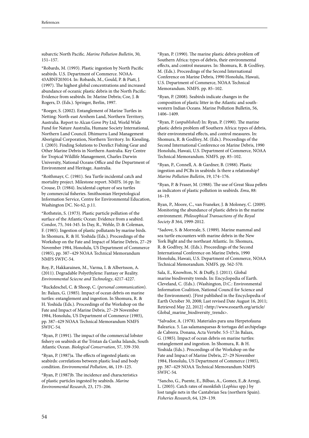subarctic North Pacific. *Marine Pollution Bulletin*, 30, 151–157.

\*Robards, M. (1993). Plastic ingestion by North Pacific seabirds. U.S. Department of Commerce. NOAA-43ABNF203014. In: Robards, M., Gould, P. & Piatt, J. (1997). The highest global concentrations and increased abundance of oceanic plastic debris in the North Pacific: Evidence from seabirds. In: Marine Debris; Coe, J. & Rogers, D. (Eds.). Springer, Berlin, 1997.

\*Roeger, S. (2002). Entanglement of Marine Turtles in Netting: North-east Arnhem Land, Northern Territory, Australia. Report to Alcan Gove Pty Ltd, World Wide Fund for Nature Australia, Humane Society International, Northern Land Council. Dhimurru Land Management Aboriginal Corporation, Northern Territory. In: Kiessling, I. (2003). Finding Solutions to Derelict Fishing Gear and Other Marine Debris in Northern Australia. Key Centre for Tropical Wildlife Management, Charles Darwin University, National Oceans Office and the Department of Environment and Heritage, Australia.

\*Roithmayr, C. (1981). Sea Turtle incidental catch and mortality project. Milestone report. NMFS. 16 pp. In: Crouse, D. (1984). Incidental capture of sea turtles by commercial fisheries. Smithsonian Herpetological Information Service, Centre for Environmental Education, Washington DC. No 62, p.11.

\*Rothstein, S. (1973). Plastic particle pollution of the surface of the Atlantic Ocean: Evidence from a seabird. Condor, 75, 344-345. In Day, R., Wehle, D. & Coleman, F. (1985). Ingestion of plastic pollutants by marine birds. In Shomura, R. & H. Yoshida (Eds.). Proceedings of the Workshop on the Fate and Impact of Marine Debris, 27–29 November 1984, Honolulu, US Department of Commerce (1985), pp. 387–429 NOAA Technical Memorandum NMFS SWFC-54.

Roy, P., Hakkarainen, M., Varma, I. & Albertsson, A. (2011). Degradable Polyethylene: Fantasy or Reality. *Environmental Sciecne and Technology*, 4217-4227.

\*Ruckdeschel, C. & Shoop, C. (*personal communication*). In: Balazs, G. (1985). Impact of ocean debris on marine turtles: entanglement and ingestion. In Shomura, R. & H. Yoshida (Eds.). Proceedings of the Workshop on the Fate and Impact of Marine Debris, 27–29 November 1984, Honolulu, US Department of Commerce (1985), pp. 387–429 NOAA Technical Memorandum NMFS SWFC-54.

\*Ryan, P. (1991). The impact of the commercial lobster fishery on seabirds at the Tristan da Cunha Islands, South Atlantic Ocean. *Biological Conservation*, 57, 339-350.

\*Ryan, P. (1987)a. The effects of ingested plastic on seabirds: correlations between plastic load and body condition. *Environmental Pollution*, 46, 119–125.

\*Ryan, P. (1987)b. The incidence and characteristics of plastic particles ingested by seabirds. *Marine Environmental Research*, 23, 175–206.

\*Ryan, P. (1990). The marine plastic debris problem off Southern Africa: types of debris, their environmental effects, and control measures. In: Shomura, R. & Godfrey, M. (Eds.). Proceedings of the Second International Conference on Marine Debris, 1990 Honolulu, Hawaii, U.S. Department of Commerce, NOAA Technical Memorandum. NMFS. pp. 85–102.

\*Ryan, P. (2008). Seabirds indicate changes in the composition of plastic litter in the Atlantic and southwestern Indian Oceans. Marine Pollution Bulletin, 56, 1406–1409.

\*Ryan, P. (*unpublished*) In: Ryan, P. (1990). The marine plastic debris problem off Southern Africa: types of debris, their environmental effects, and control measures. In: Shomura, R. & Godfrey, M. (Eds.). Proceedings of the Second International Conference on Marine Debris, 1990 Honolulu, Hawaii, U.S. Department of Commerce, NOAA Technical Memorandum. NMFS. pp. 85–102.

\*Ryan, P., Connell, A. & Gardner, B. (1988). Plastic ingestion and PCBs in seabirds: Is there a relationship? *Marine Pollution Bulletin*, 19, 174–176.

\*Ryan, P. & Fraser, M. (1988). The use of Great Skua pellets as indicators of plastic pollution in seabirds. *Emu*, 88: 16–19.

Ryan, P., Moore, C., van Franeker, J. & Moloney, C. (2009). Monitoring the abundance of plastic debris in the marine environment. *Philosophical Transactions of the Royal Society B* 364, 1999-2012.

\*Sadove, S. & Morreale, S. (1989). Marine mammal and sea turtle encounters with marine debris in the New York Bight and the northeast Atlantic. In: Shomura, R. & Godfrey, M. (Eds.). Proceedings of the Second International Conference on Marine Debris, 1990 Honolulu, Hawaii, U.S. Department of Commerce, NOAA Technical Memorandum. NMFS. pp. 562-570.

Sala, E., Knowlton, N. & Duffy, J. (2011). Global marine biodiversity trends. In: Encyclopedia of Earth. Cleveland, C. (Eds.). (Washington, D.C.: Environmental Information Coalition, National Council for Science and the Environment). [First published in the Encyclopedia of Earth October 30, 2008; Last revised Date August 16, 2011; Retrieved May 22, 2012] <http://www.eoearth.org/article/ Global\_marine\_biodiversity\_trends>.

\*Salvador, A. (1978). Materiales para una Herpetofauna Balearica. 5. Las salamanquesas & tortugas del archipelago de Cabrera. Donana, Acta Vertebr. 5:5-17.In Balazs, G. (1985). Impact of ocean debris on marine turtles: entanglement and ingestion. In Shomura, R. & H. Yoshida (Eds.). Proceedings of the Workshop on the Fate and Impact of Marine Debris, 27–29 November 1984, Honolulu, US Department of Commerce (1985), pp. 387–429 NOAA Technical Memorandum NMFS SWFC-54.

\*Sancho, G., Puente, E., Bilbao, A., Gomez, E.,& Arregi, L. (2003). Catch rates of monkfish (*Lophius* spp.) by lost tangle nets in the Cantabrian Sea (northern Spain). *Fisheries Research*, 64, 129–139.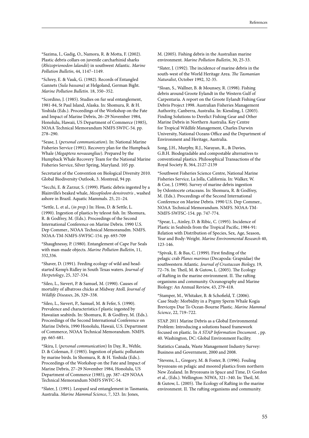\*Sazima, I., Gadig, O., Namora, R. & Motta, F. (2002). Plastic debris collars on juvenile carcharhinid sharks (*Rhizoprionodon lalandii*) in southwest Atlantic. *Marine Pollution Bulletin*, 44, 1147–1149.

\*Schrey, E. & Vauk, G. (1982). Records of Entangled Gannets (*Sula bassana*) at Helgoland, German Bight. *Marine Pollution Bulletin*. 18, 350–352.

\*Scordino, J. (1985). Studies on fur seal entanglement, 1981-84, St Paul Island, Alaska. In: Shomura, R. & H. Yoshida (Eds.). Proceedings of the Workshop on the Fate and Impact of Marine Debris, 26–29 November 1984, Honolulu, Hawaii, US Department of Commerce (1985), NOAA Technical Memorandum NMFS SWFC-54. pp. 278–290.

\*Sease, J. (*personal communication*). In: National Marine Fisheries Service (1991). Recovery plan for the Humpback Whale (*Megaptera novaeangliae*). Prepared by the Humpback Whale Recovery Team for the National Marine Fisheries Service, Silver Spring, Maryland. 105 pp.

Secretariat of the Convention on Biological Diversity 2010. Global Biodiversity Outlook, 3. Montreal, 94 pp.

\*Secchi, E. & Zarzur, S. (1999). Plastic debris ingested by a Blainville's beaked whale, *Mesoplodon densirostris* , washed ashore in Brazil. Aquatic Mammals. 25, 21–24.

\*Settle, L. et al., (*in prep.*) In: Hoss, D. & Settle, L. (1990). Ingestion of plastics by teleost fish. In: Shomura, R. & Godfrey, M. (Eds.). Proceedings of the Second International Conference on Marine Debris. 1990 U.S. Dep Commer., NOAA Technical Memoranudm. NMFS. NOAA-TM-NMFS-SWFSC-154. pp. 693-709

\*Shaughnessy, P. (1980). Entanglement of Cape Fur Seals with man-made objects. *Marine Pollution Bulletin*, 11, 332,336.

\*Shaver, D. (1991). Feeding ecology of wild and headstarted Kemp's Ridley in South Texas waters. *Journal of Herpetology*, 25, 327-334.

\*Sileo, L., Sievert, P. & Samuel, M. (1990). Causes of mortality of albatross chicks at Midway Atoll. *Journal of Wildlife Diseases*, 26, 329–338.

\*Sileo, L., Sievert, P., Samuel, M. & Fefer, S. (1990). Prevalence and characteristics f plastic ingested by Hawaiian seabirds. In: Shomura, R. & Godfrey, M. (Eds.). Proceedings of the Second International Conference on Marine Debris, 1990 Honolulu, Hawaii, U.S. Department of Commerce, NOAA Technical Memorandum. NMFS. pp. 665-681.

\*Skira, I. (*personal communication*) In Day, R., Wehle, D. & Coleman, F. (1985). Ingestion of plastic pollutants by marine birds. In Shomura, R. & H. Yoshida (Eds.). Proceedings of the Workshop on the Fate and Impact of Marine Debris, 27–29 November 1984, Honolulu, US Department of Commerce (1985), pp. 387–429 NOAA Technical Memorandum NMFS SWFC-54.

\*Slater, J. (1991). Leopard seal entanglement in Tasmania, Australia. *Marine Mammal Science*, 7, 323. In: Jones,

M. (2005). Fishing debris in the Australian marine environment. *Marine Pollution Bulletin*, 30, 25-33.

\*Slater, J. (1992). The incidence of marine debris in the south-west of the World Heritage Area. *The Tasmanian Naturalist*, October 1992, 32-35.

\*Sloan, S., Wallner, B. & Mounsey, R. (1998). Fishing debris around Groote Eylandt in the Western Gulf of Carpentaria. A report on the Groote Eylandt Fishing Gear Debris Project 1998. Australian Fisheries Management Authority, Canberra, Australia. In: Kiessling, I. (2003). Finding Solutions to Derelict Fishing Gear and Other Marine Debris in Northern Australia. Key Centre for Tropical Wildlife Management, Charles Darwin University, National Oceans Office and the Department of Environment and Heritage, Australia.

Song, J.H., Murphy, R.J., Narayan, R., & Davies, G.B.H. Biodegradable and compostable alternatives to conventional plastics. Philosophical Transactions of the Royal Society B, 364, 2127-2139

\*Southwest Fisheries Science Centre, National Marine Fisheries Service, La Jolla, California. In: Walker, W. & Coe, J. (1990). Survey of marine debris ingestion by Odontocete cetaceans. In: Shomura, R. & Godfrey, M. (Eds.). Proceedings of the Second International Conference on Marine Debris. 1990 U.S. Dep Commer., NOAA Technical Memorandum. NMFS. NOAA-TM-NMFS-SWFSC-154. pp. 747-774.

\*Spear, L., Ainley, D. & Ribic, C. (1995). Incidence of Plastic in Seabirds from the Tropical Pacific, 1984-91: Relation with Distribution of Species, Sex, Age, Season, Year and Body-Weight. *Marine Environmental Research* 40, 123-146.

\*Spivak, E. & Bas, C. (1999). First finding of the pelagic crab *Planes marinus* (Decapoda: Grapsidae) the southwestern Atlantic. *Journal of Crustacean Biology,* 19, 72–76. In: Theil, M. & Gutow, L. (2005). The Ecology of Rafting in the marine environment. II. The rafting organisms and community. Oceanography and Marine Biology: An Annual Review, 43, 279-418.

\*Stamper, M., Whitaker, B. & Schofield, T. (2006). Case Study: Morbidity in a Pygmy Sperm Whale Kogia Breviceps Due To Ocean-Bourne Plastic. *Marine Mammal Science*, 22, 719–722.

STAP. 2011 Marine Debris as a Global Environmental Problem: Introducing a solutions based framework focused on plastic. In *A STAP Information Document.* , pp. 40. Washington, DC: Global Environment Facility.

Statistics Canada, Waste Management Industry Survey: Business and Government, 2000 and 2008.

\*Stevens, L., Gregory, M. & Foster, B. (1996). Fouling bryozoans on pelagic and moored plastics from northern New Zealand. In Bryozoans in Space and Time, D. Gordon et al., (Eds.). Wellington: NIWA, 321–340. In: Theil, M. & Gutow, L. (2005). The Ecology of Rafting in the marine environment. II. The rafting organisms and community.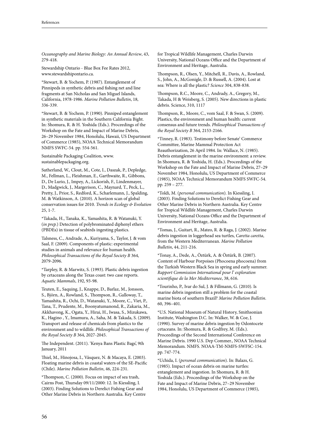*Oceanography and Marine Biology: An Annual Review*, 43, 279-418.

Stewardship Ontario - Blue Box Fee Rates 2012, www.stewardshipontario.ca.

\*Stewart, B. & Yochem, P. (1987). Entanglement of Pinnipeds in synthetic debris and fishing net and line fragments at San Nicholas and San Miguel Islands, California, 1978-1986. *Marine Pollution Bulletin*, 18, 336-339.

\*Stewart, B. & Yochem, P. (1990). Pinniped entanglement in synthetic materials in the Southern California Bight. In: Shomura, R. & H. Yoshida (Eds.). Proceedings of the Workshop on the Fate and Impact of Marine Debris, 26–29 November 1984, Honolulu, Hawaii, US Department of Commerce (1985), NOAA Technical Memorandum NMFS SWFC-54. pp. 554-561.

Sustainable Packaging Coalition, www. sustainablepackaging.org.

Sutherland, W., Clout, M., Cote, I., Daszak, P., Depledge, M., Fellman, L., Fleishman, E., Garthwaite, R., Gibbons, D., De Lurio, J., Impey, A., Lickorish, F., Lindenmayer, D., Madgwick, J., Margerison, C., Maynard, T., Peck, L., Pretty, J., Prior, S., Redford, K., Scharlemann, J., Spalding, M. & Watkinson, A. (2010). A horizon scan of global conservation issues for 2010. *Trends in Ecology & Evolution* 25, 1-7.

\*Takada, H., Tanaka, K., Yamashita, R. & Watanuki, Y. (*in prep.*) Detection of polybrominated diphenyl ethers (PBDEs) in tissue of seabirds ingesting plastics.

Talsness, C., Andrade, A., Kuriyama, S., Taylor, J. & vom Saal, F. (2009). Components of plastic: experimental studies in animals and relevance for human health. *Philosophical Transactions of the Royal Society B* 364, 2079-2096.

\*Tarpley, R. & Marwitz, S. (1993). Plastic debris ingestion by cetaceans along the Texas coast: two case reports. *Aquatic Mammals*, 192, 93-98.

Teuten, E., Saquing, J., Knappe, D., Barlaz, M., Jonsson, S., Björn, A., Rowland, S., Thompson, R., Galloway, T., Yamashita, R., Ochi, D., Watanuki, Y., Moore, C., Viet, P., Tana, T., Prudente, M., Boonyatumanond, R., Zakaria, M., Akkhavong, K., Ogata, Y., Hirai, H., Iwasa, S., Mizukawa, K., Hagino , Y., Imamura, A., Saha, M. & Takada, S. (2009). Transport and release of chemicals from plastics to the environment and to wildlife. *Philosophical Transactions of the Royal Society B* 364, 2027-2045.

The Independent. (2011). 'Kenya Bans Plastic Bags', 9th January, 2011

Thiel, M., Hinojosa, I., Vásquez, N. & Macaya, E. (2003). Floating marine debris in coastal waters of the SE-Pacific (Chile). *Marine Pollution Bulletin*, 46, 224-231.

\*Thompson, C. (2000). Focus on impact of sea trash, Cairns Post, Thursday 09/11/2000: 12. In Kiessling, I. (2003). Finding Solutions to Derelict Fishing Gear and Other Marine Debris in Northern Australia. Key Centre for Tropical Wildlife Management, Charles Darwin University, National Oceans Office and the Department of Environment and Heritage, Australia.

Thompson, R., Olsen, Y., Mitchell, R., Davis, A., Rowland, S., John, A., McGonigle, D. & Russell, A. (2004). Lost at sea: Where is all the plastic? *Science* 304, 838-838.

Thompson, R.C., Moore, C., Andrady, A., Gregory, M., Takada, H & Weisberg, S. (2005). New directions in plastic debris. Science, 310, 1117

Thompson, R., Moore, C., vom Saal, F. & Swan, S. (2009). Plastics, the environment and human health: current consensus and future trends. *Philosophical Transactions of the Royal Society B* 364, 2153-2166.

\*Tinney, R. (1983). Testimony before Senate' Commerce Committee, Marine Mammal Protection Act Reauthorization, 26 April 1984. In: Wallace, N. (1985). Debris entanglement in the marine environment: a review. In Shomura, R. & Yoshida, H. (Eds.). Proceedings of the Workshop on the Fate and Impact of Marine Debris, 27–29 November 1984, Honolulu, US Department of Commerce (1985), NOAA Technical Memorandum NMFS SWFC-54. pp. 259 – 277.

\*Toldi, M. (*personal communication*). In Kiessling, I. (2003). Finding Solutions to Derelict Fishing Gear and Other Marine Debris in Northern Australia. Key Centre for Tropical Wildlife Management, Charles Darwin University, National Oceans Office and the Department of Environment and Heritage, Australia.

\*Tomas, J., Guitart, R., Mateo, R. & Raga, J. (2002). Marine debris ingestion in loggerhead sea turtles, *Caretta caretta*, from the Western Mediterranean. *Marine Pollution Bulletin*, 44, 211-216.

\*Tonay, A., Dede, A., Öztürk, A. & Öztürk, B. (2007). Content of Harbour Porpoises (Phocoena phocoena) from the Turkish Western Black Sea in spring and early summer. *Rapport Commission International pour l' exploration scientifique de la Mer Mediterranee*, 38, 616.

\*Tourinho, P., Ivar do Sul, J. & Fillmann, G. (2010). Is marine debris ingestion still a problem for the coastal marine biota of southern Brazil? *Marine Pollution Bulletin*. 60, 396–401.

\*U.S. National Museum of Natural History, Smithsonian Institute, Washington D.C. In: Walker, W. & Coe, J. (1990). Survey of marine debris ingestion by Odontocete cetaceans. In: Shomura, R. & Godfrey, M. (Eds.). Proceedings of the Second International Conference on Marine Debris. 1990 U.S. Dep Commer., NOAA Technical Memorandum. NMFS. NOAA-TM-NMFS-SWFSC-154. pp. 747-774.

\*Uchida, I. (*personal communication*). In: Balazs, G. (1985). Impact of ocean debris on marine turtles: entanglement and ingestion. In Shomura, R. & H. Yoshida (Eds.). Proceedings of the Workshop on the Fate and Impact of Marine Debris, 27–29 November 1984, Honolulu, US Department of Commerce (1985),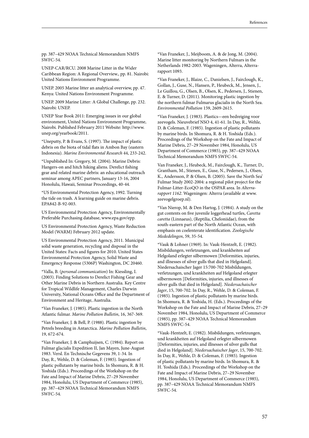pp. 387–429 NOAA Technical Memorandum NMFS SWFC-54.

UNEP-CAR/RCU. 2008 Marine Litter in the Wider Caribbean Region: A Regional Overview., pp. 81. Nairobi: United Nations Environment Programme.

UNEP. 2005 Marine litter an analytical overview, pp. 47. Kenya: United Nations Environment Programme.

UNEP. 2009 Marine Litter: A Global Challenge, pp. 232. Nairobi: UNEP.

UNEP Year Book 2011: Emerging issues in our global environment, United Nations Environment Programme, Nairobi. Published February 2011 Website: http://www. unep.org/yearbook/2011.

\*Uneputty, P. & Evans, S. (1997). The impact of plastic debris on the biota of tidal flats in Ambon Bay (eastern Indonesia). *Marine Environmental Research* 44, 233-242.

\*Unpublished In: Gregory, M. (2004). Marine Debris: Hangers-on and hitch hiking aliens. Derelict fishing gear and related marine debris: an educational outreach seminar among APEC partners, January 13-16, 2004 Honolulu, Hawaii, Seminar Proceedings, 40-44.

\*US Environmental Protection Agency, 1992. Turning the tide on trash. A learning guide on marine debris. EPA842-B-92-003.

US Environmental Protection Agency, Environmentally Preferable Purchasing database, www.epa.gov/epp.

US Environmental Protection Agency, Waste Reduction Model (WARM) February 2012 update.

US Environmental Protection Agency, 2011. Municipal solid waste generation, recycling and disposal in the United States: Facts and figures for 2010. United States Environmental Protection Agency, Solid Waste and Emergency Response (5306P) Washington, DC 20460.

\*Valla, B. (*personal communication*) In: Kiessling, I. (2003). Finding Solutions to Derelict Fishing Gear and Other Marine Debris in Northern Australia. Key Centre for Tropical Wildlife Management, Charles Darwin University, National Oceans Office and the Department of Environment and Heritage, Australia.

\*Van Franeker, J. (1985). Plastic ingestion in the North Atlantic fulmar. *Marine Pollution Bulletin*, 16, 367-369.

\*Van Franeker, J. & Bell, P. (1988). Plastic ingestion by Petrels breeding in Antarctica. *Marine Pollution Bulletin*, 19, 672-674.

\*Van Franeker, J. & Camphuijsen, C. (1984). Report on Fulmar glacialis Expedition II, Jan Mayen, June-August 1983. Versl. En Technische Gegevens 39, 1-34. In Day, R., Wehle, D. & Coleman, F. (1985). Ingestion of plastic pollutants by marine birds. In Shomura, R. & H. Yoshida (Eds.). Proceedings of the Workshop on the Fate and Impact of Marine Debris, 27–29 November 1984, Honolulu, US Department of Commerce (1985), pp. 387–429 NOAA Technical Memorandum NMFS SWFC-54.

\*Van Franeker, J., Meijboom, A. & de Jong, M. (2004). Marine litter monitoring by Northern Fulmars in the Netherlands 1982-2003. Wageningen, Alterra, Alterrarapport 1093.

\*Van Franeker, J., Blaize, C., Danielsen, J., Fairclough, K., Gollan, J., Guse, N., Hansen, P., Heubeck, M., Jensen, J., Le Guillou, G., Olsen, B., Olsen, K., Pedersen, J., Stienen, E. & Turner, D. (2011). Monitoring plastic ingestion by the northern fulmar Fulmarus glacialis in the North Sea. *Environmental Pollution* 159, 2609-2615.

\*Van Franeker, J. (1983). Plastics—een bedreiging voor zeevogels. Nieuvebrief NSO 4, 41-61. In Day, R., Wehle, D. & Coleman, F. (1985). Ingestion of plastic pollutants by marine birds. In Shomura, R. & H. Yoshida (Eds.). Proceedings of the Workshop on the Fate and Impact of Marine Debris, 27–29 November 1984, Honolulu, US Department of Commerce (1985), pp. 387–429 NOAA Technical Memorandum NMFS SWFC-54.

Van Franeker, J., Heubeck, M., Fairclough, K., Turner, D., Grantham, M., Stienen, E., Guse, N., Pedersen, J., Olsen, K., Andersson, P. & Olsen, B. (2005). Save the North Sea' Fulmar Study 2002-2004: a regional pilot project for the Fulmar-Litter-EcoQO in the OSPAR area. In *Alterrarapport 1162*. Wageningen: Alterra (available at www. zeevogelgroep.nl).

\*Van Nierop, M. & Den Hartog, J. (1984). A study on the gut contents on five juvenile loggerhead turtles, *Caretta caretta* (Linnaeus), (Reptilia, Cheloniidae), from the south-eastern part of the North Atlantic Ocean, with emphasis on coelenterate identification. *Zoologische Mededelingen*, 59, 35-54.

\*Vauk & Lohner (1969). In: Vauk-Hentzelt, E. (1982). Misbildungen, verletzungen, und krankheiten auf Helgoland erlegter silbermowen [Deformities, injuries, and illnesses of silver gulls that died in Helgoland]. Niedersachaischer Jager 15:700-702 Misbildungen, verletzungen, und krankheiten auf Helgoland erlegter silbermowen [Deformities, injuries, and illnesses of silver gulls that died in Helgoland]. *Niedersachaischer Jager*, 15, 700-702. In Day, R., Wehle, D. & Coleman, F. (1985). Ingestion of plastic pollutants by marine birds. In Shomura, R. & Yoshida, H. (Eds.). Proceedings of the Workshop on the Fate and Impact of Marine Debris, 27–29 November 1984, Honolulu, US Department of Commerce (1985), pp. 387–429 NOAA Technical Memorandum NMFS SWFC-54.

\*Vauk-Hentzelt, E. (1982). Misbildungen, verletzungen, und krankheiten auf Helgoland erlegter silbermowen [Deformities, injuries, and illnesses of silver gulls that died in Helgoland]. *Niedersachaischer Jager*, 15, 700-702. In Day, R., Wehle, D. & Coleman, F. (1985). Ingestion of plastic pollutants by marine birds. In Shomura, R. & H. Yoshida (Eds.). Proceedings of the Workshop on the Fate and Impact of Marine Debris, 27–29 November 1984, Honolulu, US Department of Commerce (1985), pp. 387–429 NOAA Technical Memorandum NMFS SWFC-54.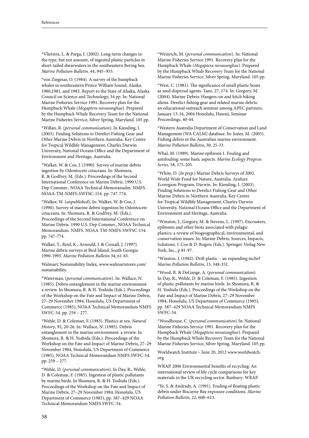\*Vlietstra, L. & Parga, J. (2002). Long-term changes in the type, but not amount, of ingested plastic particles in short-tailed shearwaters in the southeastern Bering Sea. *Marine Pollution Bulletin*. 44, 945–955.

\*von Ziegesar, O. (1984). A survey of the humpback whales in southeastern Prince William Sound, Alaska: 1980,1981, and 1983. Report to the State of Alaska, Alaska Council on Science and Technology, 34 pp. In: National Marine Fisheries Service 1991. Recovery plan for the Humpback Whale (*Megaptera novaeangliae*). Prepared by the Humpback Whale Recovery Team for the National Marine Fisheries Service, Silver Spring, Maryland. 105 pp.

\*Willan, R. (*personal communication*). In Kiessling, I. (2003). Finding Solutions to Derelict Fishing Gear and Other Marine Debris in Northern Australia. Key Centre for Tropical Wildlife Management, Charles Darwin University, National Oceans Office and the Department of Environment and Heritage, Australia.

\*Walker, W. & Coe, J. (1990). Survey of marine debris ingestion by Odontocete cetaceans. In: Shomura, R. & Godfrey, M. (Eds.). Proceedings of the Second International Conference on Marine Debris. 1990 U.S. Dep Commer., NOAA Technical Memoranudm. NMFS. NOAA-TM-NMFS-SWFSC-154. pp. 747-774.

\*Walker, W. (*unpublished*), In: Walker, W. & Coe, J. (1990). Survey of marine debris ingestion by Odontocete cetaceans. In: Shomura, R. & Godfrey, M. (Eds.). Proceedings of the Second International Conference on Marine Debris. 1990 U.S. Dep Commer., NOAA Technical Memorandum. NMFS. NOAA-TM-NMFS-SWFSC-154. pp. 747-774.

Walker, T., Reid, K., Arnould, J. & Croxall, J. (1997). Marine debris surveys at Bird Island, South Georgia 1990-1995. *Marine Pollution Bulletin* 34, 61-65.

Walmart, Sustainability Index, www.walmartstores.com/ sustainability.

\*Waterman, (*personal communication*). In: Wallace, N. (1985). Debris entanglement in the marine environment: a review. In Shomura, R. & H. Yoshida (Eds.). Proceedings of the Workshop on the Fate and Impact of Marine Debris, 27–29 November 1984, Honolulu, US Department of Commerce (1985), NOAA Technical Memorandum NMFS SWFC-54. pp. 259 – 277.

\*Wehle, D. & Coleman, F. (1983). Plastics at sea. *Natural History*, 92, 20-26. In: Wallace, N. (1985). Debris entanglement in the marine environment: a review. In Shomura, R. & H. Yoshida (Eds.). Proceedings of the Workshop on the Fate and Impact of Marine Debris, 27–29 November 1984, Honolulu, US Department of Commerce (1985), NOAA Technical Memorandum NMFS SWFC-54. pp. 259 – 277.

\*Wehle, D. (*personal communication*). In Day, R., Wehle, D. & Coleman, F. (1985). Ingestion of plastic pollutants by marine birds. In Shomura, R. & H. Yoshida (Eds.). Proceedings of the Workshop on the Fate and Impact of Marine Debris, 27–29 November 1984, Honolulu, US Department of Commerce (1985), pp. 387–429 NOAA Technical Memorandum NMFS SWFC-54.

\*Weinrich, M. (*personal communication*). In: National Marine Fisheries Service 1991. Recovery plan for the Humpback Whale (*Megaptera novaeangliae*). Prepared by the Humpback Whale Recovery Team for the National Marine Fisheries Service, Silver Spring, Maryland. 105 pp.

\*West, C. (1981). The significance of small plastic boats as seed dispersal agents. Tane, 27, 174. In: Gregory, M. (2004). Marine Debris: Hangers-on and hitch hiking aliens. Derelict fishing gear and related marine debris: an educational outreach seminar among APEC partners, January 13-16, 2004 Honolulu, Hawaii, Seminar Proceedings, 40-44.

\*Western Australia Department of Conservation and Land Management (WA CALM) database. In: Jones, M. (2005). Fishing debris in the Australian marine environment. *Marine Pollution Bulletin*, 30, 25-33.

Whal, M. (1989). Marine epibiosis 1. Fouling and antifouling: some basic aspects. *Marine Ecology Progress Series*, 58, 175-205.

\*White, D. (*In prep.*) Marine Debris Surveys of 2002. World Wide Fund for Nature, Australia. Arafura Ecoregion Program, Darwin. In: Kiessling, I. (2003). Finding Solutions to Derelict Fishing Gear and Other Marine Debris in Northern Australia. Key Centre for Tropical Wildlife Management, Charles Darwin University, National Oceans Office and the Department of Environment and Heritage, Australia.

\*Winston, J., Gregory, M. & Stevens, L. (1997). Encrusters, epibionts and other biota associated with pelagic plastics: a review of biogeographical, environmental, and conservation issues. In: Marine Debris, Sources, Impacts, Solutions. J. Coe & D. Rogers (Eds.). Springer-Verlag New York, Inc., p 81-97.

\*Winston, J. (1982). Drift plastic – an expanding niche? *Marine Pollution Bulletin*, 13, 348-351.

\*Wood, R. & DeGange, A. (*personal communication*). In Day, R., Wehle, D. & Coleman, F. (1985). Ingestion of plastic pollutants by marine birds. In Shomura, R. & H. Yoshida (Eds.). Proceedings of the Workshop on the Fate and Impact of Marine Debris, 27–29 November 1984, Honolulu, US Department of Commerce (1985), pp. 387–429 NOAA Technical Memorandum NMFS SWFC-54.

\*Woodhouse, C. (*personal communication*) In: National Marine Fisheries Service 1991. Recovery plan for the Humpback Whale (*Megaptera novaeangliae*). Prepared by the Humpback Whale Recovery Team for the National Marine Fisheries Service, Silver Spring, Maryland. 105 pp.

Worldwatch Institute – June 20, 2012 www.worldwatch. org.

WRAP. 2006 Environmental benefits of recycling: An international review of life cycle comparisons for key materials in the UK recycling sector. Banbury: WRAP.

\*Ye, S. & Andrady, A. (1991). Fouling of floating plastic debris under Biscayne Bay exposure conditions. *Marine Pollution Bulletin*, 22, 608–613.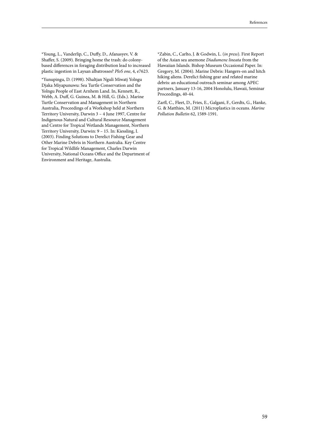\*Young, L., Vanderlip, C., Duffy, D., Afanasyev, V. & Shaffer, S. (2009). Bringing home the trash: do colonybased differences in foraging distribution lead to increased plastic ingestion in Laysan albatrosses? *PloS one*, 4, e7623.

\*Yunupingu, D. (1998). Nhaltjan Nguli Miwatj Yolngu Djaka Miyapunuwu: Sea Turtle Conservation and the Yolngu People of East Arnhem Land. In, Kennett, R., Webb, A. Duff, G. Guinea, M. & Hill, G. (Eds.). Marine Turtle Conservation and Management in Northern Australia, Proceedings of a Workshop held at Northern Territory University, Darwin 3 – 4 June 1997, Centre for Indigenous Natural and Cultural Resource Management and Centre for Tropical Wetlands Management, Northern Territory University, Darwin: 9 – 15. In: Kiessling, I. (2003). Finding Solutions to Derelict Fishing Gear and Other Marine Debris in Northern Australia. Key Centre for Tropical Wildlife Management, Charles Darwin University, National Oceans Office and the Department of Environment and Heritage, Australia.

\*Zabin, C., Carlto, J. & Godwin, L. (*in press*). First Report of the Asian sea anemone *Diadumene lineata* from the Hawaiian Islands. Bishop Museum Occasional Paper. In: Gregory, M. (2004). Marine Debris: Hangers-on and hitch hiking aliens. Derelict fishing gear and related marine debris: an educational outreach seminar among APEC partners, January 13-16, 2004 Honolulu, Hawaii, Seminar Proceedings, 40-44.

Zarfl, C., Fleet, D., Fries, E., Galgani, F., Gerdts, G., Hanke, G. & Matthies, M. (2011) Microplastics in oceans. *Marine Pollution Bulletin* 62, 1589-1591.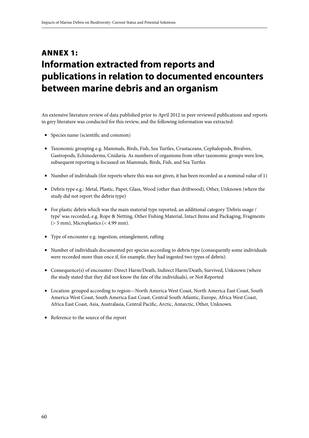## Annex 1: **Information extracted from reports and publications in relation to documented encounters between marine debris and an organism**

An extensive literature review of data published prior to April 2012 in peer reviewed publications and reports in grey literature was conducted for this review, and the following information was extracted:

- Species name (scientific and common)
- Taxonomic grouping e.g. Mammals, Birds, Fish, Sea Turtles, Crustaceans, Cephalopods, Bivalves, Gastropods, Echinoderms, Cnidaria. As numbers of organisms from other taxonomic groups were low, subsequent reporting is focussed on Mammals, Birds, Fish, and Sea Turtles
- Number of individuals (for reports where this was not given, it has been recorded as a nominal value of 1)
- Debris type e.g.: Metal, Plastic, Paper, Glass, Wood (other than driftwood), Other, Unknown (where the study did not report the debris type)
- For plastic debris which was the main material type reported, an additional category 'Debris usage / type' was recorded, e.g. Rope & Netting, Other Fishing Material, Intact Items and Packaging, Fragments (> 5 mm), Microplastics (< 4.99 mm).
- Type of encounter e.g. ingestion, entanglement, rafting
- Number of individuals documented per species according to debris type (consequently some individuals were recorded more than once if, for example, they had ingested two types of debris).
- Consequence(s) of encounter: Direct Harm/Death, Indirect Harm/Death, Survived, Unknown (where the study stated that they did not know the fate of the individuals), or Not Reported
- Location: grouped according to region—North America West Coast, North America East Coast, South America West Coast, South America East Coast, Central South Atlantic, Europe, Africa West Coast, Africa East Coast, Asia, Australasia, Central Pacific, Arctic, Antarctic, Other, Unknown.
- Reference to the source of the report